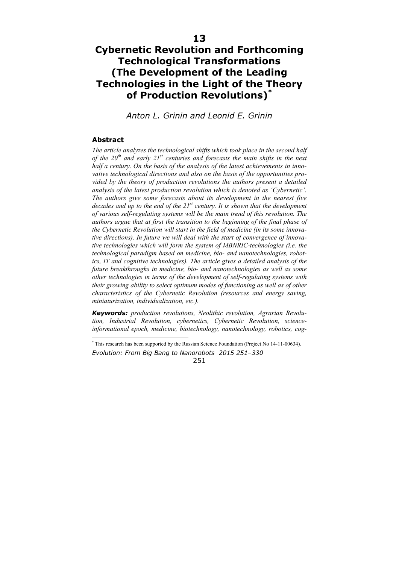# **Cybernetic Revolution and Forthcoming Technological Transformations (The Development of the Leading Technologies in the Light of the Theory of Production Revolutions)\***

*Anton L. Grinin and Leonid E. Grinin* 

# **Abstract**

 $\overline{a}$ 

*The article analyzes the technological shifts which took place in the second half of the 20th and early 21st centuries and forecasts the main shifts in the next half a century. On the basis of the analysis of the latest achievements in innovative technological directions and also on the basis of the opportunities provided by the theory of production revolutions the authors present a detailed analysis of the latest production revolution which is denoted as 'Сybernetic'. The authors give some forecasts about its development in the nearest five decades and up to the end of the 21st century. It is shown that the development of various self-regulating systems will be the main trend of this revolution. The authors argue that at first the transition to the beginning of the final phase of the Cybernetic Revolution will start in the field of medicine (in its some innovative directions). In future we will deal with the start of convergence of innovative technologies which will form the system of MBNRIC-technologies (i.e. the technological paradigm based on medicine, bio- and nanotechnologies, robotics, IT and cognitive technologies). The article gives a detailed analysis of the future breakthroughs in medicine, bio- and nanotechnologies as well as some other technologies in terms of the development of self-regulating systems with their growing ability to select optimum modes of functioning as well as of other characteristics of the Cybernetic Revolution (resources and energy saving, miniaturization, individualization, etc.).*

*Keywords: production revolutions, Neolithic revolution, Agrarian Revolution, Industrial Revolution, cybernetics, Cybernetic Revolution, scienceinformational epoch, medicine, biotechnology, nanotechnology, robotics, cog-*

*Evolution: From Big Bang to Nanorobots 2015 251–330*  \* This research has been supported by the Russian Science Foundation (Project No 14-11-00634).

<sup>251</sup>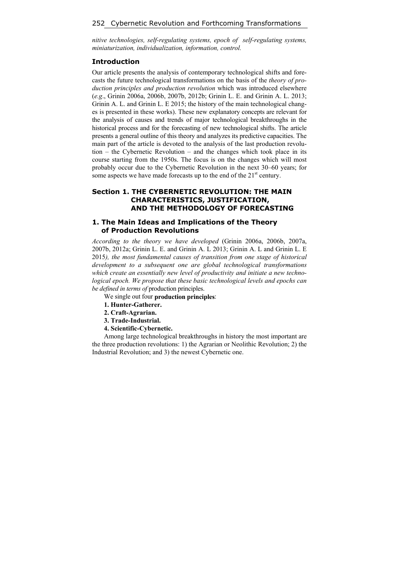*nitive technologies, self-regulating systems, epoch of self-regulating systems, miniaturization, individualization, information, control.* 

#### **Introduction**

Our article presents the analysis of contemporary technological shifts and forecasts the future technological transformations on the basis of the *theory of production principles and production revolution* which was introduced elsewhere (*e.g*., Grinin 2006a, 2006b, 2007b, 2012b; Grinin L. E. and Grinin A. L. 2013; Grinin A. L. and Grinin L. E 2015; the history of the main technological changes is presented in these works). These new explanatory concepts are relevant for the analysis of causes and trends of major technological breakthroughs in the historical process and for the forecasting of new technological shifts. The article presents a general outline of this theory and analyzes its predictive capacities. The main part of the article is devoted to the analysis of the last production revolution – the Cybernetic Revolution – and the changes which took place in its course starting from the 1950s. The focus is on the changes which will most probably occur due to the Cybernetic Revolution in the next 30–60 years; for some aspects we have made forecasts up to the end of the  $21<sup>st</sup>$  century.

# **Section 1. THE CYBERNETIC REVOLUTION: THE MAIN CHARACTERISTICS, JUSTIFICATION, AND THE METHODOLOGY OF FORECASTING**

# **1. The Main Ideas and Implications of the Theory of Production Revolutions**

*According to the theory we have developed* (Grinin 2006a, 2006b, 2007a, 2007b, 2012a; Grinin L. E. and Grinin A. L 2013; Grinin A. L and Grinin L. E 2015*), the most fundamental causes of transition from one stage of historical development to a subsequent one are global technological transformations which create an essentially new level of productivity and initiate a new technological epoch. We propose that these basic technological levels and epochs can be defined in terms of* production principles.

We single out four **production principles**:

- **1. Hunter-Gatherer.**
- **2. Craft-Agrarian.**
- **3. Trade-Industrial.**
- **4. Scientific-Cybernetic.**

Among large technological breakthroughs in history the most important are the three production revolutions: 1) the Agrarian or Neolithic Revolution; 2) the Industrial Revolution; and 3) the newest Cybernetic one.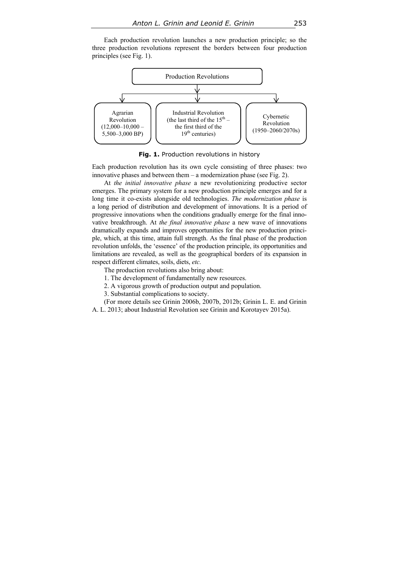Each production revolution launches a new production principle; so the three production revolutions represent the borders between four production principles (see Fig. 1).



**Fig. 1.** Production revolutions in history

Each production revolution has its own cycle consisting of three phases: two innovative phases and between them – a modernization phase (see Fig. 2).

At *the initial innovative phase* a new revolutionizing productive sector emerges. The primary system for a new production principle emerges and for a long time it co-exists alongside old technologies. *The modernization phase* is a long period of distribution and development of innovations. It is a period of progressive innovations when the conditions gradually emerge for the final innovative breakthrough. At *the final innovative phase* a new wave of innovations dramatically expands and improves opportunities for the new production principle, which, at this time, attain full strength. As the final phase of the production revolution unfolds, the 'essence' of the production principle, its opportunities and limitations are revealed, as well as the geographical borders of its expansion in respect different climates, soils, diets, *etc*.

The production revolutions also bring about:

1. The development of fundamentally new resources.

2. A vigorous growth of production output and population.

3. Substantial complications to society.

(For more details see Grinin 2006b, 2007b, 2012b; Grinin L. E. and Grinin

A. L. 2013; about Industrial Revolution see Grinin and Korotayev 2015a).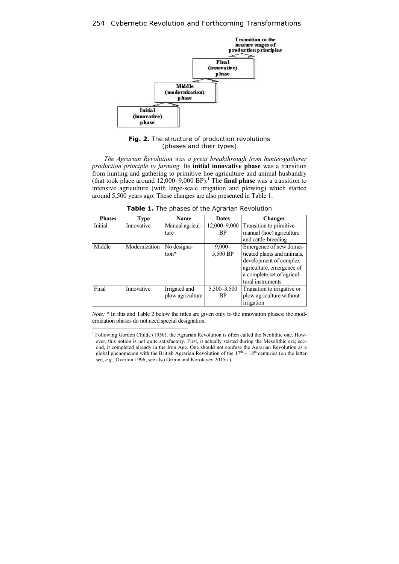

**Fig. 2.** The structure of production revolutions (phases and their types)

*The Agrarian Revolution was a great breakthrough from hunter-gatherer production principle to farming.* Its **initial innovative phase** was a transition from hunting and gathering to primitive hoe agriculture and animal husbandry (that took place around  $12,000-9,000$  BP).<sup>1</sup> The **final phase** was a transition to intensive agriculture (with large-scale irrigation and plowing) which started around 5,500 years ago. These changes are also presented in Table 1.

**Table 1.** The phases of the Agrarian Revolution

| <b>Phases</b> | Type          | Name             | <b>Dates</b>  | <b>Changes</b>              |
|---------------|---------------|------------------|---------------|-----------------------------|
| Initial       | Innovative    | Manual agricul-  | 12,000-9,000  | Transition to primitive     |
|               |               | ture             | <b>BP</b>     | manual (hoe) agriculture    |
|               |               |                  |               | and cattle-breeding         |
| Middle        | Modernization | No designa-      | $9,000 -$     | Emergence of new domes-     |
|               |               | tion*            | 5,500 BP      | ticated plants and animals, |
|               |               |                  |               | development of complex      |
|               |               |                  |               | agriculture, emergence of   |
|               |               |                  |               | a complete set of agricul-  |
|               |               |                  |               | tural instruments           |
| Final         | Innovative    | Irrigated and    | 5,500 - 3,500 | Transition to irrigative or |
|               |               | plow agriculture | <b>BP</b>     | plow agriculture without    |
|               |               |                  |               | irrigation                  |

*Note:* \* In this and Table 2 below the titles are given only to the innovation phases; the modernization phases do not need special designation.

 1 Following Gordon Childe (1950), the Agrarian Revolution is often called the Neolithic one. However, this notion is not quite satisfactory. First, it actually started during the Mesolithic era; second, it completed already in the Iron Age. One should not confuse the Agrarian Revolution as a global phenomenon with the British Agrarian Revolution of the  $17<sup>th</sup> - 18<sup>th</sup>$  centuries (on the latter see, *e.g*., Overton 1996; see also Grinin and Korotayev 2015a ).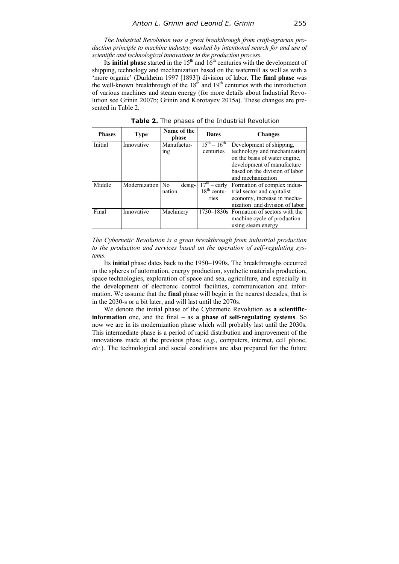*The Industrial Revolution was a great breakthrough from craft-agrarian production principle to machine industry, marked by intentional search for and use of scientific and technological innovations in the production process.* 

Its **initial phase** started in the  $15<sup>th</sup>$  and  $16<sup>th</sup>$  centuries with the development of shipping, technology and mechanization based on the watermill as well as with a 'more organic' (Durkheim 1997 [1893]) division of labor. The **final phase** was the well-known breakthrough of the  $18<sup>th</sup>$  and  $19<sup>th</sup>$  centuries with the introduction of various machines and steam energy (for more details about Industrial Revolution see Grinin 2007b; Grinin and Korotayev 2015a). These changes are presented in Table 2.

| <b>Phases</b> | <b>Type</b>      | Name of the<br>phase | <b>Dates</b>                        | <b>Changes</b>                           |
|---------------|------------------|----------------------|-------------------------------------|------------------------------------------|
| Initial       | Innovative       | Manufactur-          | $15^{th} - 16^{th}$                 | Development of shipping,                 |
|               |                  | <sub>1</sub> ng      | centuries                           | technology and mechanization             |
|               |                  |                      |                                     | on the basis of water engine,            |
|               |                  |                      |                                     | development of manufacture               |
|               |                  |                      |                                     | based on the division of labor           |
|               |                  |                      |                                     | and mechanization                        |
| Middle        | Modernization No | desig-               | $\overline{17}^{\text{th}}$ – early | Formation of complex indus-              |
|               |                  | nation               | $18th$ centu-                       | trial sector and capitalist              |
|               |                  |                      | ries                                | economy, increase in mecha-              |
|               |                  |                      |                                     | nization and division of labor           |
| Final         | Innovative       | Machinery            |                                     | 1730–1830s Formation of sectors with the |
|               |                  |                      |                                     | machine cycle of production              |
|               |                  |                      |                                     | using steam energy                       |

**Table 2.** The phases of the Industrial Revolution

*The Cybernetic Revolution is a great breakthrough from industrial production to the production and services based on the operation of self-regulating systems.* 

Its **initial** phase dates back to the 1950–1990s. The breakthroughs occurred in the spheres of automation, energy production, synthetic materials production, space technologies, exploration of space and sea, agriculture, and especially in the development of electronic control facilities, communication and information. We assume that the **final** phase will begin in the nearest decades, that is in the 2030-s or a bit later, and will last until the 2070s.

We denote the initial phase of the Cybernetic Revolution as **a scientificinformation** one, and the final – as **a phase of self-regulating systems**. So now we are in its modernization phase which will probably last until the 2030s. This intermediate phase is a period of rapid distribution and improvement of the innovations made at the previous phase (*e.g*., computers, internet, cell phone, *etc.*). The technological and social conditions are also prepared for the future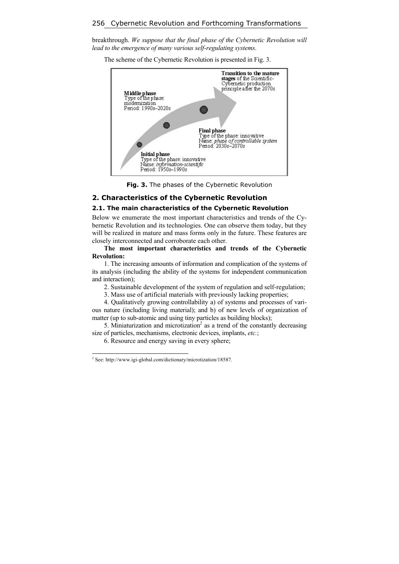breakthrough. *We suppose that the final phase of the Cybernetic Revolution will lead to the emergence of many various self-regulating systems*.

The scheme of the Cybernetic Revolution is presented in Fig. 3.



**Fig. 3.** The phases of the Cybernetic Revolution

# **2. Characteristics of the Cybernetic Revolution**

## **2.1. The main characteristics of the Cybernetic Revolution**

Below we enumerate the most important characteristics and trends of the Cybernetic Revolution and its technologies. One can observe them today, but they will be realized in mature and mass forms only in the future. These features are closely interconnected and corroborate each other.

**The most important characteristics and trends of the Cybernetic Revolution:** 

1. The increasing amounts of information and complication of the systems of its analysis (including the ability of the systems for independent communication and interaction);

2. Sustainable development of the system of regulation and self-regulation;

3. Mass use of artificial materials with previously lacking properties;

4. Qualitatively growing controllability a) of systems and processes of various nature (including living material); and b) of new levels of organization of matter (up to sub-atomic and using tiny particles as building blocks);

5. Miniaturization and microtization<sup>2</sup> as a trend of the constantly decreasing size of particles, mechanisms, electronic devices, implants, *etc.*;

6. Resource and energy saving in every sphere;

 2 See: http://www.igi-global.com/dictionary/microtization/18587.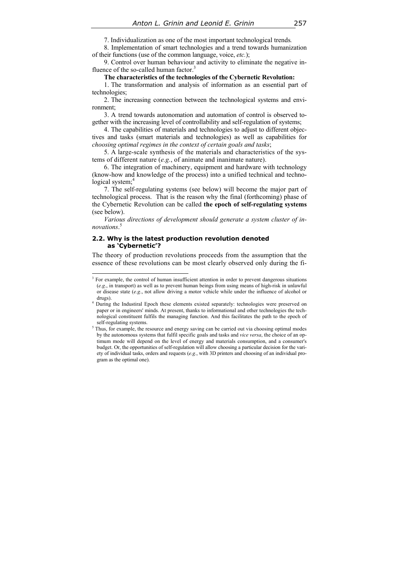7. Individualization as one of the most important technological trends*.*

8. Implementation of smart technologies and a trend towards humanization of their functions (use of the common language, voice, *etc.*);

9. Control over human behaviour and activity to eliminate the negative influence of the so-called human factor.<sup>3</sup>

#### **The characteristics of the technologies of the Cybernetic Revolution:**

1. The transformation and analysis of information as an essential part of technologies;

2. The increasing connection between the technological systems and environment;

3. A trend towards autonomation and automation of control is observed together with the increasing level of controllability and self-regulation of systems;

4. The capabilities of materials and technologies to adjust to different objectives and tasks (smart materials and technologies) as well as capabilities for *choosing optimal regimes in the context of certain goals and tasks*;

5. A large-scale synthesis of the materials and characteristics of the systems of different nature (*e.g.*, of animate and inanimate nature).

6. The integration of machinery, equipment and hardware with technology (know-how and knowledge of the process) into a unified technical and technological system; $4$ 

7. The self-regulating systems (see below) will become the major part of technological process. That is the reason why the final (forthcoming) phase of the Cybernetic Revolution can be called **the epoch of self-regulating systems**  (see below).

*Various directions of development should generate a system cluster of innovations*. 5

#### **2.2. Why is the latest production revolution denoted as 'Cybernetic'?**

 $\overline{a}$ 

The theory of production revolutions proceeds from the assumption that the essence of these revolutions can be most clearly observed only during the fi-

<sup>&</sup>lt;sup>3</sup> For example, the control of human insufficient attention in order to prevent dangerous situations (*e.g*., in transport) as well as to prevent human beings from using means of high-risk in unlawful or disease state (*e.g*., not allow driving a motor vehicle while under the influence of alcohol or

drugs).<br><sup>4</sup> During the Industiral Epoch these elements existed separately: technologies were preserved on paper or in engineers' minds. At present, thanks to informational and other technologies the technological constituent fulfils the managing function. And this facilitates the path to the epoch of self-regulating systems.

Thus, for example, the resource and energy saving can be carried out via choosing optimal modes by the autonomous systems that fulfil specific goals and tasks and *vice versa*, the choice of an optimum mode will depend on the level of energy and materials consumption, and a consumer's budget. Or, the opportunities of self-regulation will allow choosing a particular decision for the variety of individual tasks, orders and requests (*e.g.*, with 3D printers and choosing of an individual program as the optimal one).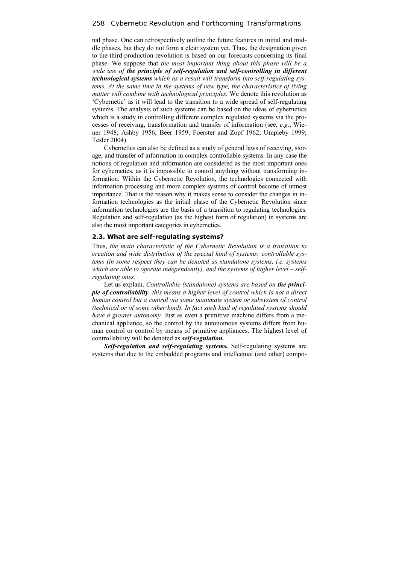nal phase. One can retrospectively outline the future features in initial and middle phases, but they do not form a clear system yet. Thus, the designation given to the third production revolution is based on our forecasts concerning its final phase. We suppose that *the most important thing about this phase will be a wide use of the principle of self-regulation and self-controlling in different technological systems which as a result will transform into self-regulating systems. At the same time in the systems of new type, the characteristics of living matter will combine with technological principles.* We denote this revolution as 'Cybernetic' as it will lead to the transition to a wide spread of self-regulating systems. The analysis of such systems can be based on the ideas of cybernetics which is a study in controlling different complex regulated systems via the processes of receiving, transformation and transfer of information (see, *e.g.*, Wiener 1948; Ashby 1956; Beer 1959; Foerster and Zopf 1962; Umpleby 1999; Tesler 2004).

Cybernetics can also be defined as a study of general laws of receiving, storage, and transfer of information in complex controllable systems. In any case the notions of regulation and information are considered as the most important ones for cybernetics, as it is impossible to control anything without transforming information. Within the Cybernetic Revolution, the technologies connected with information processing and more complex systems of control become of utmost importance. That is the reason why it makes sense to consider the changes in information technologies as the initial phase of the Cybernetic Revolution since information technologies are the basis of a transition to regulating technologies. Regulation and self-regulation (as the highest form of regulation) in systems are also the most important categories in cybernetics.

#### **2.3. What are self-regulating systems?**

Thus, *the main characteristic of the Cybernetic Revolution is a transition to creation and wide distribution of the special kind of systems: controllable systems (in some respect they can be denoted as standalone systems, i.e. systems which are able to operate independently), and the systems of higher level – selfregulating ones*.

Let us explain. *Controllable (standalone) systems are based on the principle of controllability, this means a higher level of control which is not a direct human control but a control via some inanimate system or subsystem of control (technical or of some other kind). In fact such kind of regulated systems should have a greater autonomy.* Just as even a primitive machine differs from a mechanical appliance, so the control by the autonomous systems differs from human control or control by means of primitive appliances. The highest level of controllability will be denoted as *self-regulation.* 

*Self-regulation and self-regulating systems.* Self-regulating systems are systems that due to the embedded programs and intellectual (and other) compo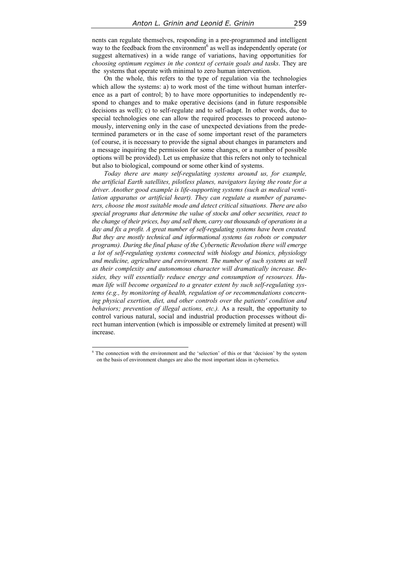nents can regulate themselves, responding in a pre-programmed and intelligent way to the feedback from the environment<sup>6</sup> as well as independently operate (or suggest alternatives) in a wide range of variations, having opportunities for *choosing optimum regimes in the context of certain goals and tasks*. They are the systems that operate with minimal to zero human intervention.

On the whole, this refers to the type of regulation via the technologies which allow the systems: a) to work most of the time without human interference as a part of control; b) to have more opportunities to independently respond to changes and to make operative decisions (and in future responsible decisions as well); c) to self-regulate and to self-adapt. In other words, due to special technologies one can allow the required processes to proceed autonomously, intervening only in the case of unexpected deviations from the predetermined parameters or in the case of some important reset of the parameters (of course, it is necessary to provide the signal about changes in parameters and a message inquiring the permission for some changes, or a number of possible options will be provided). Let us emphasize that this refers not only to technical but also to biological, compound or some other kind of systems.

*Today there are many self-regulating systems around us, for example, the artificial Earth satellites, pilotless planes, navigators laying the route for a driver. Another good example is life-supporting systems (such as medical ventilation apparatus or artificial heart). They can regulate a number of parameters, choose the most suitable mode and detect critical situations. There are also special programs that determine the value of stocks and other securities, react to the change of their prices, buy and sell them, carry out thousands of operations in a day and fix a profit. A great number of self-regulating systems have been created. But they are mostly technical and informational systems (as robots or computer programs). During the final phase of the Cybernetic Revolution there will emerge a lot of self-regulating systems connected with biology and bionics, physiology and medicine, agriculture and environment. The number of such systems as well as their complexity and autonomous character will dramatically increase. Besides, they will essentially reduce energy and consumption of resources. Human life will become organized to a greater extent by such self-regulating systems (e.g., by monitoring of health, regulation of or recommendations concerning physical exertion, diet, and other controls over the patients' condition and behaviors; prevention of illegal actions, etc.).* As a result, the opportunity to control various natural, social and industrial production processes without direct human intervention (which is impossible or extremely limited at present) will increase.

<sup>&</sup>lt;sup>6</sup> The connection with the environment and the 'selection' of this or that 'decision' by the system on the basis of environment changes are also the most important ideas in cybernetics.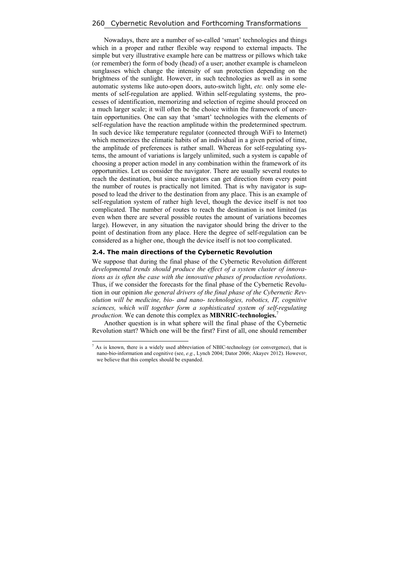Nowadays, there are a number of so-called 'smart' technologies and things which in a proper and rather flexible way respond to external impacts. The simple but very illustrative example here can be mattress or pillows which take (or remember) the form of body (head) of a user; another example is chameleon sunglasses which change the intensity of sun protection depending on the brightness of the sunlight. However, in such technologies as well as in some automatic systems like auto-open doors, auto-switch light, *etc.* only some elements of self-regulation are applied. Within self-regulating systems, the processes of identification, memorizing and selection of regime should proceed on a much larger scale; it will often be the choice within the framework of uncertain opportunities. One can say that 'smart' technologies with the elements of self-regulation have the reaction amplitude within the predetermined spectrum. In such device like temperature regulator (connected through WiFi to Internet) which memorizes the climatic habits of an individual in a given period of time, the amplitude of preferences is rather small. Whereas for self-regulating systems, the amount of variations is largely unlimited, such a system is capable of choosing a proper action model in any combination within the framework of its opportunities. Let us consider the navigator. There are usually several routes to reach the destination, but since navigators can get direction from every point the number of routes is practically not limited. That is why navigator is supposed to lead the driver to the destination from any place. This is an example of self-regulation system of rather high level, though the device itself is not too complicated. The number of routes to reach the destination is not limited (as even when there are several possible routes the amount of variations becomes large). However, in any situation the navigator should bring the driver to the point of destination from any place. Here the degree of self-regulation can be considered as a higher one, though the device itself is not too complicated.

## **2.4. The main directions of the Cybernetic Revolution**

 $\overline{a}$ 

We suppose that during the final phase of the Cybernetic Revolution different *developmental trends should produce the effect of a system cluster of innovations as is often the case with the innovative phases of production revolutions*. Thus, if we consider the forecasts for the final phase of the Cybernetic Revolution in our opinion *the general drivers of the final phase of the Cybernetic Revolution will be medicine, bio- and nano- technologies, robotics, IT, cognitive sciences, which will together form a sophisticated system of self-regulating production.* We can denote this complex as **MBNRIC-technologies.**<sup>7</sup>

Another question is in what sphere will the final phase of the Cybernetic Revolution start? Which one will be the first? First of all, one should remember

 $<sup>7</sup>$  As is known, there is a widely used abbreviation of NBIC-technology (or convergence), that is</sup> nano-bio-information and cognitive (see, *e.g.*, Lynch 2004; Dator 2006; Akayev 2012). However, we believe that this complex should be expanded.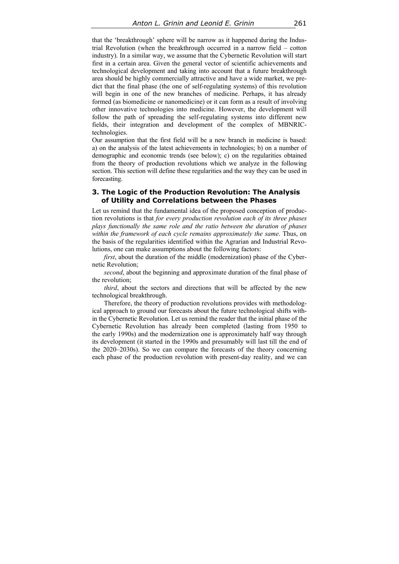that the 'breakthrough' sphere will be narrow as it happened during the Industrial Revolution (when the breakthrough occurred in a narrow field – cotton industry). In a similar way, we assume that the Cybernetic Revolution will start first in a certain area. Given the general vector of scientific achievements and technological development and taking into account that a future breakthrough area should be highly commercially attractive and have a wide market, we predict that the final phase (the one of self-regulating systems) of this revolution will begin in one of the new branches of medicine. Perhaps, it has already formed (as biomedicine or nanomedicine) or it can form as a result of involving other innovative technologies into medicine. However, the development will follow the path of spreading the self-regulating systems into different new fields, their integration and development of the complex of MBNRICtechnologies.

Our assumption that the first field will be a new branch in medicine is based: a) on the analysis of the latest achievements in technologies; b) on a number of demographic and economic trends (see below); c) on the regularities obtained from the theory of production revolutions which we analyze in the following section. This section will define these regularities and the way they can be used in forecasting.

# **3. The Logic of the Production Revolution: The Analysis of Utility and Correlations between the Phases**

Let us remind that the fundamental idea of the proposed conception of production revolutions is that *for every production revolution each of its three phases plays functionally the same role and the ratio between the duration of phases within the framework of each cycle remains approximately the same*. Thus, on the basis of the regularities identified within the Agrarian and Industrial Revolutions, one can make assumptions about the following factors:

*first*, about the duration of the middle (modernization) phase of the Cybernetic Revolution;

*second*, about the beginning and approximate duration of the final phase of the revolution;

*third*, about the sectors and directions that will be affected by the new technological breakthrough.

Therefore, the theory of production revolutions provides with methodological approach to ground our forecasts about the future technological shifts within the Cybernetic Revolution. Let us remind the reader that the initial phase of the Cybernetic Revolution has already been completed (lasting from 1950 to the early 1990s) and the modernization one is approximately half way through its development (it started in the 1990s and presumably will last till the end of the 2020–2030s). So we can compare the forecasts of the theory concerning each phase of the production revolution with present-day reality, and we can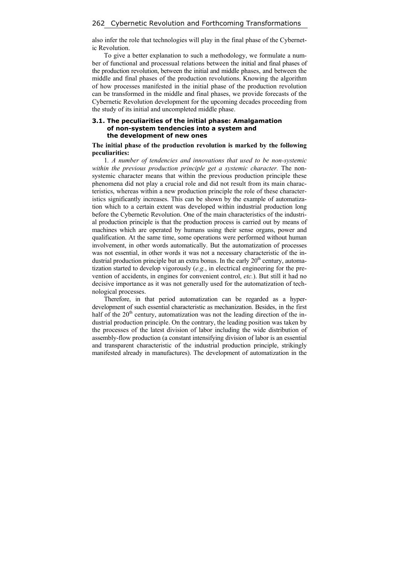also infer the role that technologies will play in the final phase of the Cybernetic Revolution.

To give a better explanation to such a methodology, we formulate a number of functional and processual relations between the initial and final phases of the production revolution, between the initial and middle phases, and between the middle and final phases of the production revolutions. Knowing the algorithm of how processes manifested in the initial phase of the production revolution can be transformed in the middle and final phases, we provide forecasts of the Cybernetic Revolution development for the upcoming decades proceeding from the study of its initial and uncompleted middle phase.

## **3.1. The peculiarities of the initial phase: Amalgamation of non-system tendencies into a system and the development of new ones**

#### **The initial phase of the production revolution is marked by the following peculiarities:**

1*. A number of tendencies and innovations that used to be non-systemic within the previous production principle get a systemic character.* The nonsystemic character means that within the previous production principle these phenomena did not play a crucial role and did not result from its main characteristics, whereas within a new production principle the role of these characteristics significantly increases. This can be shown by the example of automatization which to a certain extent was developed within industrial production long before the Cybernetic Revolution. One of the main characteristics of the industrial production principle is that the production process is carried out by means of machines which are operated by humans using their sense organs, power and qualification. At the same time, some operations were performed without human involvement, in other words automatically. But the automatization of processes was not essential, in other words it was not a necessary characteristic of the industrial production principle but an extra bonus. In the early  $20<sup>th</sup>$  century, automatization started to develop vigorously (*e.g.*, in electrical engineering for the prevention of accidents, in engines for convenient control, *etc.*). But still it had no decisive importance as it was not generally used for the automatization of technological processes.

Therefore, in that period automatization can be regarded as a hyperdevelopment of such essential characteristic as mechanization. Besides, in the first half of the  $20<sup>th</sup>$  century, automatization was not the leading direction of the industrial production principle. On the contrary, the leading position was taken by the processes of the latest division of labor including the wide distribution of assembly-flow production (a constant intensifying division of labor is an essential and transparent characteristic of the industrial production principle, strikingly manifested already in manufactures). The development of automatization in the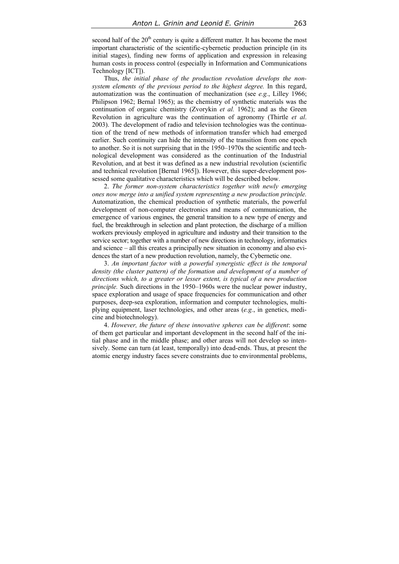second half of the  $20<sup>th</sup>$  century is quite a different matter. It has become the most important characteristic of the scientific-cybernetic production principle (in its initial stages), finding new forms of application and expression in releasing human costs in process control (especially in Information and Communications Technology [IСT]).

Thus, *the initial phase of the production revolution develops the nonsystem elements of the previous period to the highest degree.* In this regard, automatization was the continuation of mechanization (see *e.g.*, Lilley 1966; Philipson 1962; Bernal 1965); as the chemistry of synthetic materials was the continuation of organic chemistry (Zvorykin *et al.* 1962); and as the Green Revolution in agriculture was the continuation of agronomy (Thirtle *et al*. 2003). The development of radio and television technologies was the continuation of the trend of new methods of information transfer which had emerged earlier. Such continuity can hide the intensity of the transition from one epoch to another. So it is not surprising that in the 1950–1970s the scientific and technological development was considered as the continuation of the Industrial Revolution, and at best it was defined as a new industrial revolution (scientific and technical revolution [Bernal 1965]). However, this super-development possessed some qualitative characteristics which will be described below.

2. *The former non-system characteristics together with newly emerging ones now merge into a unified system representing a new production principle.*  Automatization, the chemical production of synthetic materials, the powerful development of non-computer electronics and means of communication, the emergence of various engines, the general transition to a new type of energy and fuel, the breakthrough in selection and plant protection, the discharge of a million workers previously employed in agriculture and industry and their transition to the service sector; together with a number of new directions in technology, informatics and science – all this creates a principally new situation in economy and also evidences the start of a new production revolution, namely, the Cybernetic one.

3. *An important factor with a powerful synergistic effect is the temporal density (the cluster pattern) of the formation and development of a number of directions which, to a greater or lesser extent, is typical of a new production principle.* Such directions in the 1950–1960s were the nuclear power industry, space exploration and usage of space frequencies for communication and other purposes, deep-sea exploration, information and computer technologies, multiplying equipment, laser technologies, and other areas (*e.g.*, in genetics, medicine and biotechnology).

4. *However, the future of these innovative spheres can be different*: some of them get particular and important development in the second half of the initial phase and in the middle phase; and other areas will not develop so intensively. Some can turn (at least, temporally) into dead-ends. Thus, at present the atomic energy industry faces severe constraints due to environmental problems,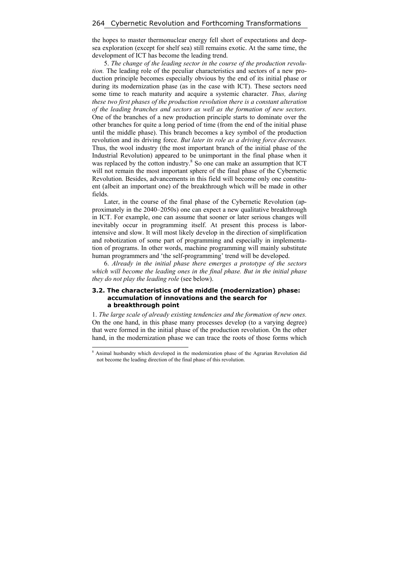the hopes to master thermonuclear energy fell short of expectations and deepsea exploration (except for shelf sea) still remains exotic. At the same time, the development of IСT has become the leading trend.

5. *The change of the leading sector in the course of the production revolution.* The leading role of the peculiar characteristics and sectors of a new production principle becomes especially obvious by the end of its initial phase or during its modernization phase (as in the case with IСT). These sectors need some time to reach maturity and acquire a systemic character. *Thus, during these two first phases of the production revolution there is a constant alteration of the leading branches and sectors as well as the formation of new sectors.* One of the branches of a new production principle starts to dominate over the other branches for quite a long period of time (from the end of the initial phase until the middle phase). This branch becomes a key symbol of the production revolution and its driving force. *But later its role as a driving force decreases.*  Thus, the wool industry (the most important branch of the initial phase of the Industrial Revolution) appeared to be unimportant in the final phase when it was replaced by the cotton industry.<sup>8</sup> So one can make an assumption that ICT will not remain the most important sphere of the final phase of the Cybernetic Revolution. Besides, advancements in this field will become only one constituent (albeit an important one) of the breakthrough which will be made in other fields.

Later, in the course of the final phase of the Cybernetic Revolution (approximately in the 2040–2050s) one can expect a new qualitative breakthrough in ICT. For example, one can assume that sooner or later serious changes will inevitably occur in programming itself. At present this process is laborintensive and slow. It will most likely develop in the direction of simplification and robotization of some part of programming and especially in implementation of programs. In other words, machine programming will mainly substitute human programmers and 'the self-programming' trend will be developed.

6. *Already in the initial phase there emerges a prototype of the sectors which will become the leading ones in the final phase. But in the initial phase they do not play the leading role* (see below).

#### **3.2. The characteristics of the middle (modernization) phase: accumulation of innovations and the search for a breakthrough point**

1. *The large scale of already existing tendencies and the formation of new ones.*  On the one hand, in this phase many processes develop (to a varying degree) that were formed in the initial phase of the production revolution. On the other hand, in the modernization phase we can trace the roots of those forms which

 8 Animal husbandry which developed in the modernization phase of the Agrarian Revolution did not become the leading direction of the final phase of this revolution.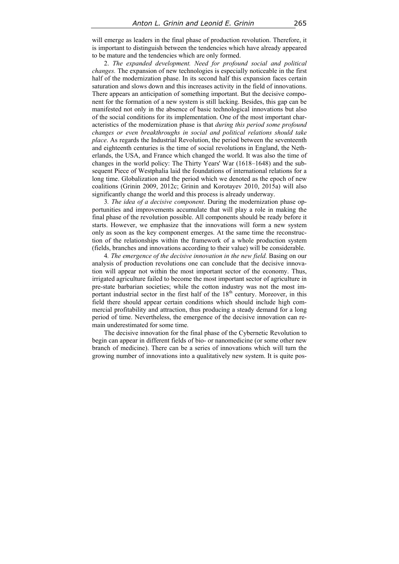will emerge as leaders in the final phase of production revolution. Therefore, it is important to distinguish between the tendencies which have already appeared to be mature and the tendencies which are only formed.

2. *The expanded development. Need for profound social and political changes.* The expansion of new technologies is especially noticeable in the first half of the modernization phase. In its second half this expansion faces certain saturation and slows down and this increases activity in the field of innovations. There appears an anticipation of something important. But the decisive component for the formation of a new system is still lacking. Besides, this gap can be manifested not only in the absence of basic technological innovations but also of the social conditions for its implementation. One of the most important characteristics of the modernization phase is that *during this period some profound changes or even breakthroughs in social and political relations should take place*. As regards the Industrial Revolution, the period between the seventeenth and eighteenth centuries is the time of social revolutions in England, the Netherlands, the USA, and France which changed the world. It was also the time of changes in the world policy: The Thirty Years' War (1618–1648) and the subsequent Piece of Westphalia laid the foundations of international relations for a long time. Globalization and the period which we denoted as the epoch of new coalitions (Grinin 2009, 2012c; Grinin and Korotayev 2010, 2015a) will also significantly change the world and this process is already underway.

3*. The idea of a decisive component*. During the modernization phase opportunities and improvements accumulate that will play a role in making the final phase of the revolution possible. All components should be ready before it starts. However, we emphasize that the innovations will form a new system only as soon as the key component emerges. At the same time the reconstruction of the relationships within the framework of a whole production system (fields, branches and innovations according to their value) will be considerable.

4*. The emergence of the decisive innovation in the new field.* Basing on our analysis of production revolutions one can conclude that the decisive innovation will appear not within the most important sector of the economy. Thus, irrigated agriculture failed to become the most important sector of agriculture in pre-state barbarian societies; while the cotton industry was not the most important industrial sector in the first half of the  $18<sup>th</sup>$  century. Moreover, in this field there should appear certain conditions which should include high commercial profitability and attraction, thus producing a steady demand for a long period of time. Nevertheless, the emergence of the decisive innovation can remain underestimated for some time.

The decisive innovation for the final phase of the Cybernetic Revolution to begin can appear in different fields of bio- or nanomedicine (or some other new branch of medicine). There can be a series of innovations which will turn the growing number of innovations into a qualitatively new system. It is quite pos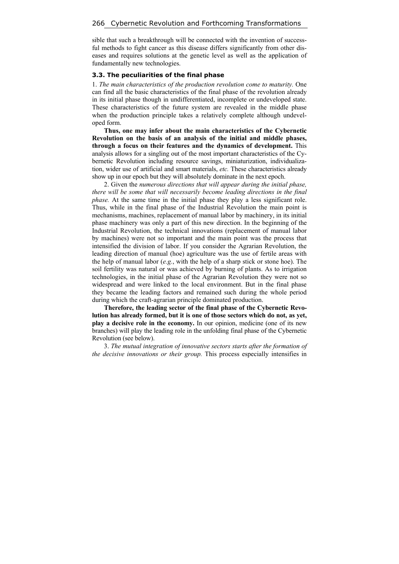sible that such a breakthrough will be connected with the invention of successful methods to fight cancer as this disease differs significantly from other diseases and requires solutions at the genetic level as well as the application of fundamentally new technologies.

#### **3.3. The peculiarities of the final phase**

1. *The main characteristics of the production revolution come to maturity.* One can find all the basic characteristics of the final phase of the revolution already in its initial phase though in undifferentiated, incomplete or undeveloped state. These characteristics of the future system are revealed in the middle phase when the production principle takes a relatively complete although undeveloped form.

**Thus, one may infer about the main characteristics of the Cybernetic Revolution on the basis of an analysis of the initial and middle phases, through a focus on their features and the dynamics of development.** This analysis allows for a singling out of the most important characteristics of the Cybernetic Revolution including resource savings, miniaturization, individualization, wider use of artificial and smart materials, *etc.* These characteristics already show up in our epoch but they will absolutely dominate in the next epoch.

2. Given the *numerous directions that will appear during the initial phase, there will be some that will necessarily become leading directions in the final phase.* At the same time in the initial phase they play a less significant role. Thus, while in the final phase of the Industrial Revolution the main point is mechanisms, machines, replacement of manual labor by machinery, in its initial phase machinery was only a part of this new direction. In the beginning of the Industrial Revolution, the technical innovations (replacement of manual labor by machines) were not so important and the main point was the process that intensified the division of labor. If you consider the Agrarian Revolution, the leading direction of manual (hoe) agriculture was the use of fertile areas with the help of manual labor (*e.g.*, with the help of a sharp stick or stone hoe). The soil fertility was natural or was achieved by burning of plants. As to irrigation technologies, in the initial phase of the Agrarian Revolution they were not so widespread and were linked to the local environment. But in the final phase they became the leading factors and remained such during the whole period during which the craft-agrarian principle dominated production.

**Therefore, the leading sector of the final phase of the Cybernetic Revolution has already formed, but it is one of those sectors which do not, as yet, play a decisive role in the economy.** In our opinion, medicine (one of its new branches) will play the leading role in the unfolding final phase of the Cybernetic Revolution (see below).

3. *The mutual integration of innovative sectors starts after the formation of the decisive innovations or their group.* This process especially intensifies in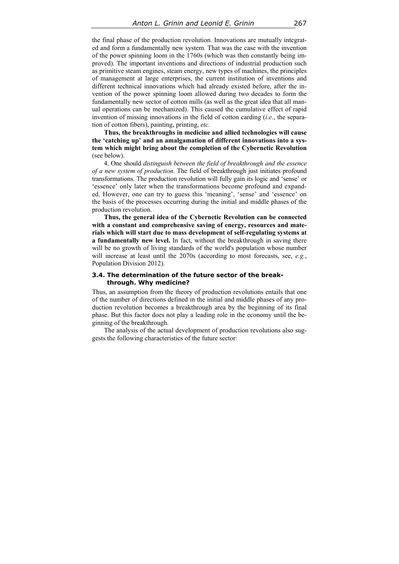the final phase of the production revolution. Innovations are mutually integrated and form a fundamentally new system. That was the case with the invention of the power spinning loom in the 1760s (which was then constantly being improved). The important inventions and directions of industrial production such as primitive steam engines, steam energy, new types of machines, the principles of management at large enterprises, the current institution of inventions and different technical innovations which had already existed before, after the invention of the power spinning loom allowed during two decades to form the fundamentally new sector of cotton mills (as well as the great idea that all manual operations can be mechanized). This caused the cumulative effect of rapid invention of missing innovations in the field of cotton carding (*i.e*., the separation of cotton fibers), painting, printing, *etc.*

**Thus, the breakthroughs in medicine and allied technologies will cause the 'catching up' and an amalgamation of different innovations into a system which might bring about the completion of the Cybernetic Revolution** (see below).

4. One should *distinguish between the field of breakthrough and the essence of a new system of production.* The field of breakthrough just initiates profound transformations. The production revolution will fully gain its logic and 'sense' or 'essence' only later when the transformations become profound and expanded. However, one can try to guess this 'meaning', 'sense' and 'essence' on the basis of the processes occurring during the initial and middle phases of the production revolution.

**Thus, the general idea of the Cybernetic Revolution can be connected with a constant and comprehensive saving of energy, resources and materials which will start due to mass development of self-regulating systems at a fundamentally new level.** In fact, without the breakthrough in saving there will be no growth of living standards of the world's population whose number will increase at least until the 2070s (according to most forecasts, see, *e.g.*, Population Division 2012).

# **3.4. The determination of the future sector of the breakthrough. Why medicine?**

Thus, an assumption from the theory of production revolutions entails that one of the number of directions defined in the initial and middle phases of any production revolution becomes a breakthrough area by the beginning of its final phase. But this factor does not play a leading role in the economy until the beginning of the breakthrough.

The analysis of the actual development of production revolutions also suggests the following characteristics of the future sector: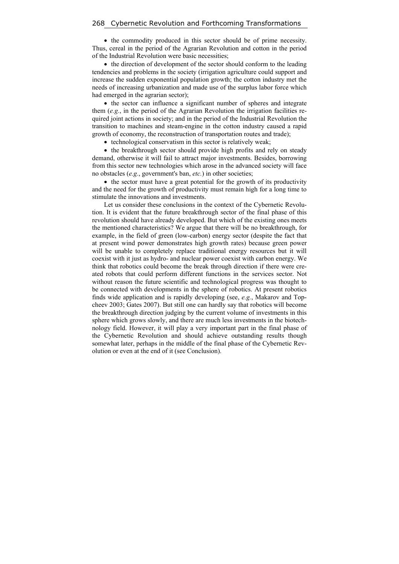• the commodity produced in this sector should be of prime necessity. Thus, cereal in the period of the Agrarian Revolution and cotton in the period of the Industrial Revolution were basic necessities;

• the direction of development of the sector should conform to the leading tendencies and problems in the society (irrigation agriculture could support and increase the sudden exponential population growth; the cotton industry met the needs of increasing urbanization and made use of the surplus labor force which had emerged in the agrarian sector);

• the sector can influence a significant number of spheres and integrate them (*e.g.*, in the period of the Agrarian Revolution the irrigation facilities required joint actions in society; and in the period of the Industrial Revolution the transition to machines and steam-engine in the cotton industry caused a rapid growth of economy, the reconstruction of transportation routes and trade);

• technological conservatism in this sector is relatively weak;

• the breakthrough sector should provide high profits and rely on steady demand, otherwise it will fail to attract major investments. Besides, borrowing from this sector new technologies which arose in the advanced society will face no obstacles (*e.g.*, government's ban, *etc.*) in other societies;

• the sector must have a great potential for the growth of its productivity and the need for the growth of productivity must remain high for a long time to stimulate the innovations and investments.

Let us consider these conclusions in the context of the Cybernetic Revolution. It is evident that the future breakthrough sector of the final phase of this revolution should have already developed. But which of the existing ones meets the mentioned characteristics? We argue that there will be no breakthrough, for example, in the field of green (low-carbon) energy sector (despite the fact that at present wind power demonstrates high growth rates) because green power will be unable to completely replace traditional energy resources but it will coexist with it just as hydro- and nuclear power coexist with carbon energy. We think that robotics could become the break through direction if there were created robots that could perform different functions in the services sector. Not without reason the future scientific and technological progress was thought to be connected with developments in the sphere of robotics. At present robotics finds wide application and is rapidly developing (see, *e.g.*, Makarov and Topcheev 2003; Gates 2007). But still one can hardly say that robotics will become the breakthrough direction judging by the current volume of investments in this sphere which grows slowly, and there are much less investments in the biotechnology field. However, it will play a very important part in the final phase of the Cybernetic Revolution and should achieve outstanding results though somewhat later, perhaps in the middle of the final phase of the Cybernetic Revolution or even at the end of it (see Conclusion).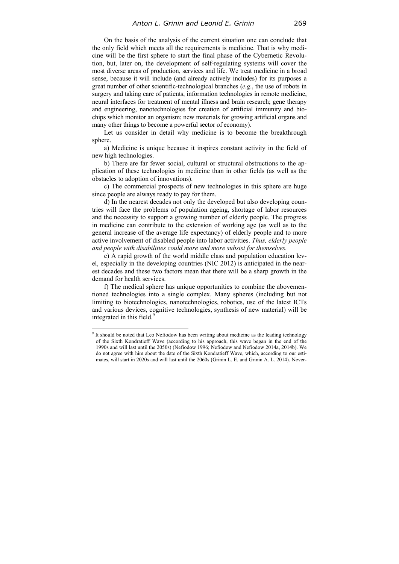On the basis of the analysis of the current situation one can conclude that the only field which meets all the requirements is medicine. That is why medicine will be the first sphere to start the final phase of the Cybernetic Revolution, but, later on, the development of self-regulating systems will cover the most diverse areas of production, services and life. We treat medicine in a broad sense, because it will include (and already actively includes) for its purposes a great number of other scientific-technological branches (*e.g*., the use of robots in surgery and taking care of patients, information technologies in remote medicine, neural interfaces for treatment of mental illness and brain research; gene therapy and engineering, nanotechnologies for creation of artificial immunity and biochips which monitor an organism; new materials for growing artificial organs and many other things to become a powerful sector of economy).

Let us consider in detail why medicine is to become the breakthrough sphere.

a) Medicine is unique because it inspires constant activity in the field of new high technologies.

b) There are far fewer social, cultural or structural obstructions to the application of these technologies in medicine than in other fields (as well as the obstacles to adoption of innovations).

c) The commercial prospects of new technologies in this sphere are huge since people are always ready to pay for them.

d) In the nearest decades not only the developed but also developing countries will face the problems of population ageing, shortage of labor resources and the necessity to support a growing number of elderly people. The progress in medicine can contribute to the extension of working age (as well as to the general increase of the average life expectancy) of elderly people and to more active involvement of disabled people into labor activities. *Thus, elderly people and people with disabilities could more and more subsist for themselves.*

e) A rapid growth of the world middle class and population education level, especially in the developing countries (NIC 2012) is anticipated in the nearest decades and these two factors mean that there will be a sharp growth in the demand for health services.

f) The medical sphere has unique opportunities to combine the abovementioned technologies into a single complex. Many spheres (including but not limiting to biotechnologies, nanotechnologies, robotics, use of the latest ICTs and various devices, cognitive technologies, synthesis of new material) will be integrated in this field.<sup>9</sup>

<sup>&</sup>lt;sup>9</sup> It should be noted that Leo Nefiodow has been writing about medicine as the leading technology of the Sixth Kondratieff Wave (according to his approach, this wave began in the end of the 1990s and will last until the 2050s) (Nefiodow 1996; Nefiodow and Nefiodow 2014a, 2014b). We do not agree with him about the date of the Sixth Kondratieff Wave, which, according to our estimates, will start in 2020s and will last until the 2060s (Grinin L. E. and Grinin A. L. 2014). Never-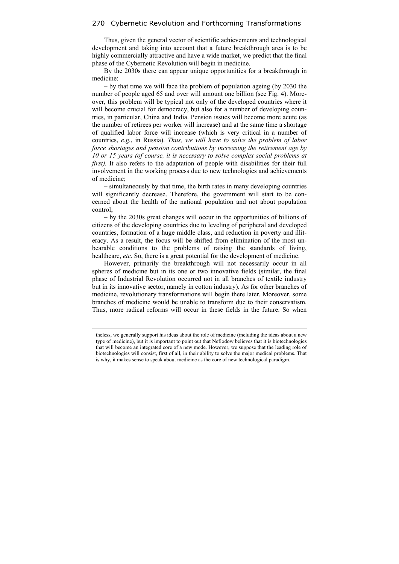Thus, given the general vector of scientific achievements and technological development and taking into account that a future breakthrough area is to be highly commercially attractive and have a wide market, we predict that the final phase of the Cybernetic Revolution will begin in medicine.

By the 2030s there can appear unique opportunities for a breakthrough in medicine:

– by that time we will face the problem of population ageing (by 2030 the number of people aged 65 and over will amount one billion (see Fig. 4). Moreover, this problem will be typical not only of the developed countries where it will become crucial for democracy, but also for a number of developing countries, in particular, China and India. Pension issues will become more acute (as the number of retirees per worker will increase) and at the same time a shortage of qualified labor force will increase (which is very critical in a number of countries, *e.g.*, in Russia). *Thus, we will have to solve the problem of labor force shortages and pension contributions by increasing the retirement age by 10 or 15 years (of course, it is necessary to solve complex social problems at first)*. It also refers to the adaptation of people with disabilities for their full involvement in the working process due to new technologies and achievements of medicine;

– simultaneously by that time, the birth rates in many developing countries will significantly decrease. Therefore, the government will start to be concerned about the health of the national population and not about population control;

– by the 2030s great changes will occur in the opportunities of billions of citizens of the developing countries due to leveling of peripheral and developed countries, formation of a huge middle class, and reduction in poverty and illiteracy. As a result, the focus will be shifted from elimination of the most unbearable conditions to the problems of raising the standards of living, healthcare, *etc*. So, there is a great potential for the development of medicine.

However, primarily the breakthrough will not necessarily occur in all spheres of medicine but in its one or two innovative fields (similar, the final phase of Industrial Revolution occurred not in all branches of textile industry but in its innovative sector, namely in cotton industry). As for other branches of medicine, revolutionary transformations will begin there later. Moreover, some branches of medicine would be unable to transform due to their conservatism. Thus, more radical reforms will occur in these fields in the future. So when

theless, we generally support his ideas about the role of medicine (including the ideas about a new type of medicine), but it is important to point out that Nefiodow believes that it is biotechnologies that will become an integrated core of a new mode. However, we suppose that the leading role of biotechnologies will consist, first of all, in their ability to solve the major medical problems. That is why, it makes sense to speak about medicine as the core of new technological paradigm.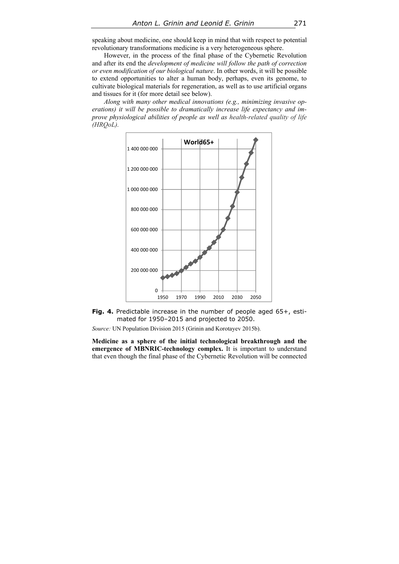speaking about medicine, one should keep in mind that with respect to potential revolutionary transformations medicine is a very heterogeneous sphere.

However, in the process of the final phase of the Cybernetic Revolution and after its end the *development of medicine will follow the path of correction or even modification of our biological nature*. In other words, it will be possible to extend opportunities to alter a human body, perhaps, even its genome, to cultivate biological materials for regeneration, as well as to use artificial organs and tissues for it (for more detail see below).

*Along with many other medical innovations (e.g., minimizing invasive operations) it will be possible to dramatically increase life expectancy and improve physiological abilities of people as well as health-related quality of life (HRQoL).* 



Fig. 4. Predictable increase in the number of people aged 65+, estimated for 1950–2015 and projected to 2050.

*Source:* UN Population Division 2015 (Grinin and Korotayev 2015b).

**Medicine as a sphere of the initial technological breakthrough and the emergence of MBNRIC-technology complex.** It is important to understand that even though the final phase of the Cybernetic Revolution will be connected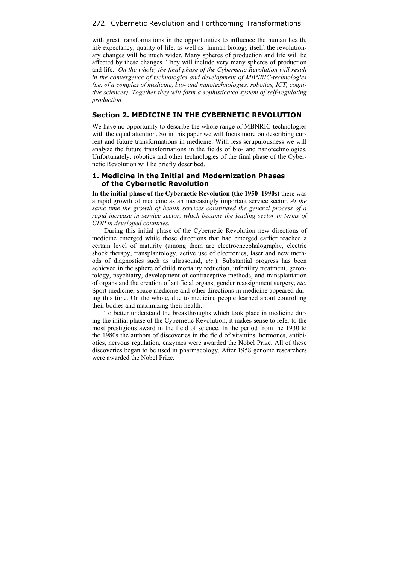with great transformations in the opportunities to influence the human health, life expectancy, quality of life, as well as human biology itself, the revolutionary changes will be much wider. Many spheres of production and life will be affected by these changes. They will include very many spheres of production and life. *On the whole, the final phase of the Cybernetic Revolution will result in the convergence of technologies and development of MBNRIC-technologies (i.e. of a complex of medicine, bio- and nanotechnologies, robotics, ICT, cognitive sciences). Together they will form a sophisticated system of self-regulating production.* 

# **Section 2. MEDICINE IN THE CYBERNETIC REVOLUTION**

We have no opportunity to describe the whole range of MBNRIC-technologies with the equal attention. So in this paper we will focus more on describing current and future transformations in medicine. With less scrupulousness we will analyze the future transformations in the fields of bio- and nanotechnologies. Unfortunately, robotics and other technologies of the final phase of the Cybernetic Revolution will be briefly described.

# **1. Medicine in the Initial and Modernization Phases of the Cybernetic Revolution**

**In the initial phase of the Cybernetic Revolution (the 1950–1990s)** there was a rapid growth of medicine as an increasingly important service sector. *At the same time the growth of health services constituted the general process of a rapid increase in service sector, which became the leading sector in terms of GDP in developed countries.* 

During this initial phase of the Cybernetic Revolution new directions of medicine emerged while those directions that had emerged earlier reached a certain level of maturity (among them are electroencephalography, electric shock therapy, transplantology, active use of electronics, laser and new methods of diagnostics such as ultrasound, *etc.*). Substantial progress has been achieved in the sphere of child mortality reduction, infertility treatment, gerontology, psychiatry, development of contraceptive methods, and transplantation of organs and the creation of artificial organs, gender reassignment surgery, *etc.* Sport medicine, space medicine and other directions in medicine appeared during this time. On the whole, due to medicine people learned about controlling their bodies and maximizing their health.

To better understand the breakthroughs which took place in medicine during the initial phase of the Cybernetic Revolution, it makes sense to refer to the most prestigious award in the field of science. In the period from the 1930 to the 1980s the authors of discoveries in the field of vitamins, hormones, antibiotics, nervous regulation, enzymes were awarded the Nobel Prize. All of these discoveries began to be used in pharmacology. After 1958 genome researchers were awarded the Nobel Prize.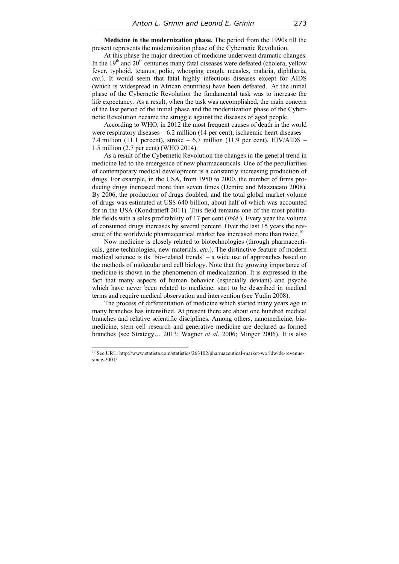**Medicine in the modernization phase.** The period from the 1990s till the present represents the modernization phase of the Cybernetic Revolution.

At this phase the major direction of medicine underwent dramatic changes. In the  $19<sup>th</sup>$  and  $20<sup>th</sup>$  centuries many fatal diseases were defeated (cholera, yellow fever, typhoid, tetanus, polio, whooping cough, measles, malaria, diphtheria, *etc.*). It would seem that fatal highly infectious diseases except for AIDS (which is widespread in African countries) have been defeated. At the initial phase of the Cybernetic Revolution the fundamental task was to increase the life expectancy. As a result, when the task was accomplished, the main concern of the last period of the initial phase and the modernization phase of the Cybernetic Revolution became the struggle against the diseases of aged people.

According to WHO, in 2012 the most frequent causes of death in the world were respiratory diseases – 6.2 million (14 per cent), ischaemic heart diseases – 7.4 million (11.1 percent), stroke – 6.7 million (11.9 per cent), HIV/AIDS – 1.5 million (2.7 per cent) (WHO 2014).

As a result of the Cybernetic Revolution the changes in the general trend in medicine led to the emergence of new pharmaceuticals. One of the peculiarities of contemporary medical development is a constantly increasing production of drugs. For example, in the USA, from 1950 to 2000, the number of firms producing drugs increased more than seven times (Demire and Mazzucato 2008). By 2006, the production of drugs doubled, and the total global market volume of drugs was estimated at US\$ 640 billion, about half of which was accounted for in the USA (Kondratieff 2011). This field remains one of the most profitable fields with a sales profitability of 17 per cent (*Ibid*.). Every year the volume of consumed drugs increases by several percent. Over the last 15 years the revenue of the worldwide pharmaceutical market has increased more than twice.<sup>10</sup>

Now medicine is closely related to biotechnologies (through pharmaceuticals, gene technologies, new materials, *etc.*). The distinctive feature of modern medical science is its 'bio-related trends' – a wide use of approaches based on the methods of molecular and cell biology. Note that the growing importance of medicine is shown in the phenomenon of medicalization. It is expressed in the fact that many aspects of human behavior (especially deviant) and psyche which have never been related to medicine, start to be described in medical terms and require medical observation and intervention (see Yudin 2008).

The process of differentiation of medicine which started many years ago in many branches has intensified. At present there are about one hundred medical branches and relative scientific disciplines. Among others, nanomedicine, biomedicine, stem cell research and generative medicine are declared as formed branches (see Strategy… 2013; Wagner *et al*. 2006; Minger 2006). It is also

<sup>&</sup>lt;sup>10</sup> See URL: http://www.statista.com/statistics/263102/pharmaceutical-market-worldwide-revenuesince-2001/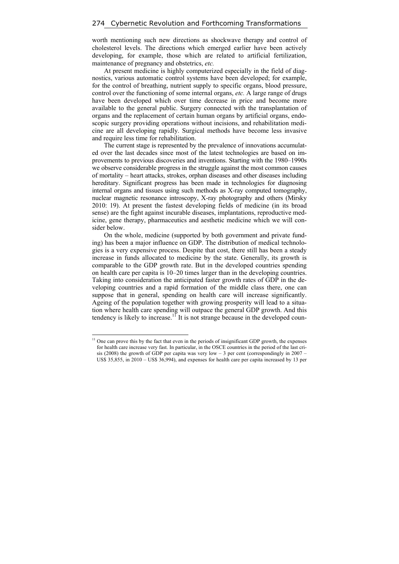worth mentioning such new directions as shockwave therapy and control of cholesterol levels. The directions which emerged earlier have been actively developing, for example, those which are related to artificial fertilization, maintenance of pregnancy and obstetrics, *etc.*

At present medicine is highly computerized especially in the field of diagnostics, various automatic control systems have been developed; for example, for the control of breathing, nutrient supply to specific organs, blood pressure, control over the functioning of some internal organs, *etc.* A large range of drugs have been developed which over time decrease in price and become more available to the general public. Surgery connected with the transplantation of organs and the replacement of certain human organs by artificial organs, endoscopic surgery providing operations without incisions, and rehabilitation medicine are all developing rapidly. Surgical methods have become less invasive and require less time for rehabilitation.

The current stage is represented by the prevalence of innovations accumulated over the last decades since most of the latest technologies are based on improvements to previous discoveries and inventions. Starting with the 1980–1990s we observe considerable progress in the struggle against the most common causes of mortality – heart attacks, strokes, orphan diseases and other diseases including hereditary. Significant progress has been made in technologies for diagnosing internal organs and tissues using such methods as X-ray computed tomography, nuclear magnetic resonance introscopy, X-ray photography and others (Mirsky 2010: 19). At present the fastest developing fields of medicine (in its broad sense) are the fight against incurable diseases, implantations, reproductive medicine, gene therapy, pharmaceutics and aesthetic medicine which we will consider below.

On the whole, medicine (supported by both government and private funding) has been a major influence on GDP. The distribution of medical technologies is a very expensive process. Despite that cost, there still has been a steady increase in funds allocated to medicine by the state. Generally, its growth is comparable to the GDP growth rate. But in the developed countries spending on health care per capita is 10–20 times larger than in the developing countries. Taking into consideration the anticipated faster growth rates of GDP in the developing countries and a rapid formation of the middle class there, one can suppose that in general, spending on health care will increase significantly. Ageing of the population together with growing prosperity will lead to a situation where health care spending will outpace the general GDP growth. And this tendency is likely to increase.<sup>11</sup> It is not strange because in the developed coun-

 $11$  One can prove this by the fact that even in the periods of insignificant GDP growth, the expenses for health care increase very fast. In particular, in the OSCE countries in the period of the last crisis (2008) the growth of GDP per capita was very low – 3 per cent (correspondingly in 2007 – US\$ 35,855, in 2010 – US\$ 36,994), and expenses for health care per capita increased by 13 per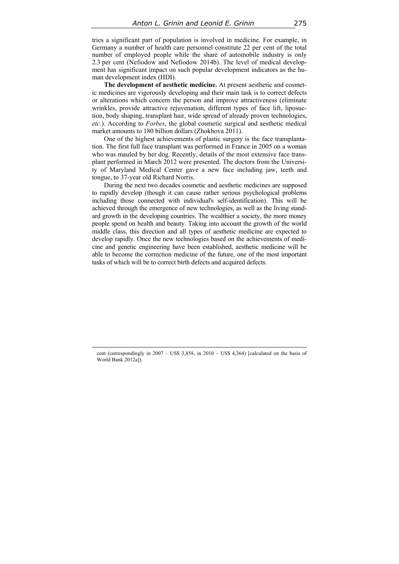tries a significant part of population is involved in medicine. For example, in Germany a number of health care personnel constitute 22 per cent of the total number of employed people while the share of automobile industry is only 2.3 per cent (Nefiodow and Nefiodow 2014b). The level of medical development has significant impact on such popular development indicators as the human development index (HDI).

**The development of aesthetic medicine.** At present aesthetic and cosmetic medicines are vigorously developing and their main task is to correct defects or alterations which concern the person and improve attractiveness (eliminate wrinkles, provide attractive rejuvenation, different types of face lift, liposuction, body shaping, transplant hair, wide spread of already proven technologies, *etc.*). According to *Forbes*, the global cosmetic surgical and aesthetic medical market amounts to 180 billion dollars (Zhokhova 2011).

One of the highest achievements of plastic surgery is the face transplantation. The first full face transplant was performed in France in 2005 on a woman who was mauled by her dog. Recently, details of the most extensive face transplant performed in March 2012 were presented. The doctors from the University of Maryland Medical Center gave a new face including jaw, teeth and tongue, to 37-year old Richard Norris.

During the next two decades cosmetic and aesthetic medicines are supposed to rapidly develop (though it can cause rather serious psychological problems including those connected with individual's self-identification). This will be achieved through the emergence of new technologies, as well as the living standard growth in the developing countries. The wealthier a society, the more money people spend on health and beauty. Taking into account the growth of the world middle class, this direction and all types of aesthetic medicine are expected to develop rapidly. Once the new technologies based on the achievements of medicine and genetic engineering have been established, aesthetic medicine will be able to become the correction medicine of the future, one of the most important tasks of which will be to correct birth defects and acquired defects.

cent (correspondingly in 2007 – US\$ 3,858, in 2010 – US\$ 4,364) [calculated on the basis of World Bank 2012a]).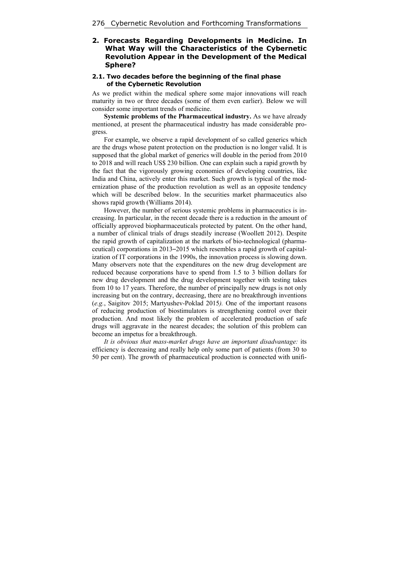# **2. Forecasts Regarding Developments in Medicine. In What Way will the Characteristics of the Cybernetic Revolution Appear in the Development of the Medical Sphere?**

## **2.1. Two decades before the beginning of the final phase of the Cybernetic Revolution**

As we predict within the medical sphere some major innovations will reach maturity in two or three decades (some of them even earlier). Below we will consider some important trends of medicine.

**Systemic problems of the Pharmaceutical industry.** As we have already mentioned, at present the pharmaceutical industry has made considerable progress.

For example, we observe a rapid development of so called generics which are the drugs whose patent protection on the production is no longer valid. It is supposed that the global market of generics will double in the period from 2010 to 2018 and will reach US\$ 230 billion. One can explain such a rapid growth by the fact that the vigorously growing economies of developing countries, like India and China, actively enter this market. Such growth is typical of the modernization phase of the production revolution as well as an opposite tendency which will be described below. In the securities market pharmaceutics also shows rapid growth (Williams 2014).

However, the number of serious systemic problems in pharmaceutics is increasing. In particular, in the recent decade there is a reduction in the amount of officially approved biopharmaceuticals protected by patent. On the other hand, a number of clinical trials of drugs steadily increase (Woollett 2012). Despite the rapid growth of capitalization at the markets of bio-technological (pharmaceutical) corporations in 2013–2015 which resembles a rapid growth of capitalization of IT corporations in the 1990s, the innovation process is slowing down. Many observers note that the expenditures on the new drug development are reduced because corporations have to spend from 1*.*5 to 3 billion dollars for new drug development and the drug development together with testing takes from 10 to 17 years. Therefore, the number of principally new drugs is not only increasing but on the contrary, decreasing, there are no breakthrough inventions (*e.g.*, Saigitov 2015; Martyushev-Poklad 2015*).* One of the important reasons of reducing production of biostimulators is strengthening control over their production. And most likely the problem of accelerated production of safe drugs will aggravate in the nearest decades; the solution of this problem can become an impetus for a breakthrough.

*It is obvious that mass-market drugs have an important disadvantage:* its efficiency is decreasing and really help only some part of patients (from 30 to 50 per cent). The growth of pharmaceutical production is connected with unifi-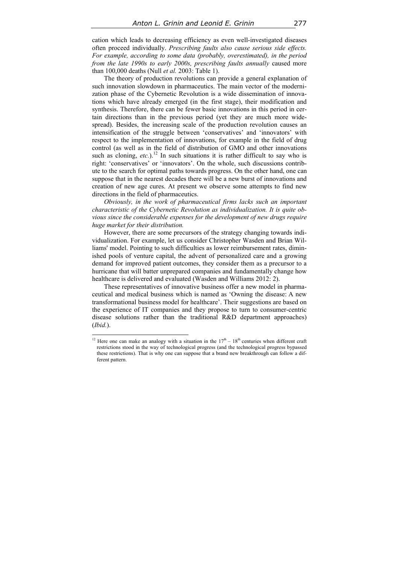cation which leads to decreasing efficiency as even well-investigated diseases often proceed individually. *Prescribing faults also cause serious side effects. For example, according to some data (probably, overestimated), in the period from the late 1990s to early 2000s, prescribing faults annually* caused more than 100,000 deaths (Null *et al.* 2003: Table 1).

The theory of production revolutions can provide a general explanation of such innovation slowdown in pharmaceutics. The main vector of the modernization phase of the Cybernetic Revolution is a wide dissemination of innovations which have already emerged (in the first stage), their modification and synthesis. Therefore, there can be fewer basic innovations in this period in certain directions than in the previous period (yet they are much more widespread). Besides, the increasing scale of the production revolution causes an intensification of the struggle between 'conservatives' and 'innovators' with respect to the implementation of innovations, for example in the field of drug control (as well as in the field of distribution of GMO and other innovations such as cloning,  $etc.$ ).<sup>12</sup> In such situations it is rather difficult to say who is right: 'conservatives' or 'innovators'. On the whole, such discussions contribute to the search for optimal paths towards progress. On the other hand, one can suppose that in the nearest decades there will be a new burst of innovations and creation of new age cures. At present we observe some attempts to find new directions in the field of pharmaceutics.

*Obviously, in the work of pharmaceutical firms lacks such an important characteristic of the Cybernetic Revolution as individualization. It is quite obvious since the considerable expenses for the development of new drugs require huge market for their distribution.*

However, there are some precursors of the strategy changing towards individualization. For example, let us consider Christopher Wasden and Brian Williams' model. Pointing to such difficulties as lower reimbursement rates, diminished pools of venture capital, the advent of personalized care and a growing demand for improved patient outcomes, they consider them as a precursor to a hurricane that will batter unprepared companies and fundamentally change how healthcare is delivered and evaluated (Wasden and Williams 2012: 2).

These representatives of innovative business offer a new model in pharmaceutical and medical business which is named as 'Owning the disease: A new transformational business model for healthcare'. Their suggestions are based on the experience of IT companies and they propose to turn to consumer-centric disease solutions rather than the traditional R&D department approaches) (*Ibid.*).

<sup>&</sup>lt;sup>12</sup> Here one can make an analogy with a situation in the  $17<sup>th</sup> - 18<sup>th</sup>$  centuries when different craft restrictions stood in the way of technological progress (and the technological progress bypassed these restrictions). That is why one can suppose that a brand new breakthrough can follow a different pattern.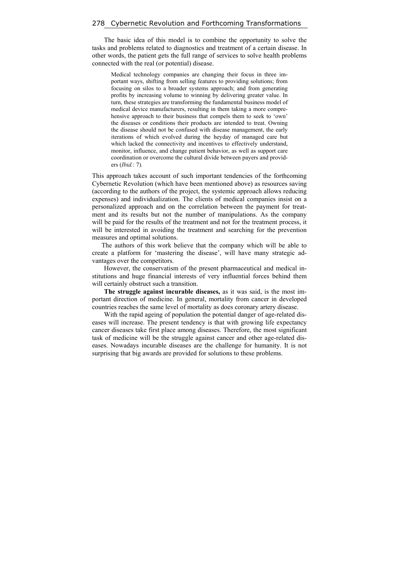The basic idea of this model is to combine the opportunity to solve the tasks and problems related to diagnostics and treatment of a certain disease. In other words, the patient gets the full range of services to solve health problems connected with the real (or potential) disease.

Medical technology companies are changing their focus in three important ways, shifting from selling features to providing solutions; from focusing on silos to a broader systems approach; and from generating profits by increasing volume to winning by delivering greater value. In turn, these strategies are transforming the fundamental business model of medical device manufacturers, resulting in them taking a more comprehensive approach to their business that compels them to seek to 'own' the diseases or conditions their products are intended to treat. Owning the disease should not be confused with disease management, the early iterations of which evolved during the heyday of managed care but which lacked the connectivity and incentives to effectively understand, monitor, influence, and change patient behavior, as well as support care coordination or overcome the cultural divide between payers and providers (*Ibid.*: 7).

This approach takes account of such important tendencies of the forthcoming Cybernetic Revolution (which have been mentioned above) as resources saving (according to the authors of the project, the systemic approach allows reducing expenses) and individualization. The clients of medical companies insist on a personalized approach and on the correlation between the payment for treatment and its results but not the number of manipulations. As the company will be paid for the results of the treatment and not for the treatment process, it will be interested in avoiding the treatment and searching for the prevention measures and optimal solutions.

The authors of this work believe that the company which will be able to create a platform for 'mastering the disease', will have many strategic advantages over the competitors.

However, the conservatism of the present pharmaceutical and medical institutions and huge financial interests of very influential forces behind them will certainly obstruct such a transition.

**The struggle against incurable diseases,** as it was said, is the most important direction of medicine. In general, mortality from cancer in developed countries reaches the same level of mortality as does coronary artery disease.

With the rapid ageing of population the potential danger of age-related diseases will increase. The present tendency is that with growing life expectancy cancer diseases take first place among diseases. Therefore, the most significant task of medicine will be the struggle against cancer and other age-related diseases. Nowadays incurable diseases are the challenge for humanity. It is not surprising that big awards are provided for solutions to these problems.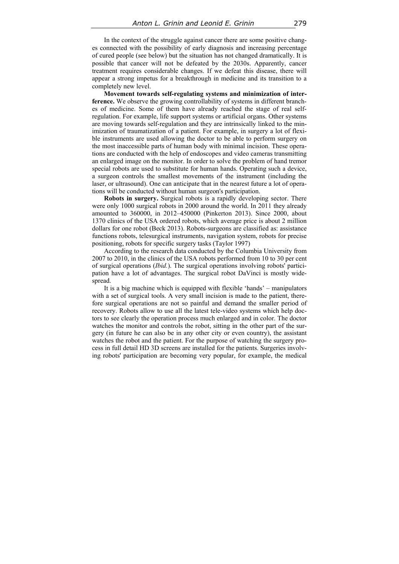In the context of the struggle against cancer there are some positive changes connected with the possibility of early diagnosis and increasing percentage of cured people (see below) but the situation has not changed dramatically. It is possible that cancer will not be defeated by the 2030s. Apparently, cancer treatment requires considerable changes. If we defeat this disease, there will appear a strong impetus for a breakthrough in medicine and its transition to a completely new level.

**Movement towards self-regulating systems and minimization of interference.** We observe the growing controllability of systems in different branches of medicine. Some of them have already reached the stage of real selfregulation. For example, life support systems or artificial organs. Other systems are moving towards self-regulation and they are intrinsically linked to the minimization of traumatization of a patient. For example, in surgery a lot of flexible instruments are used allowing the doctor to be able to perform surgery on the most inaccessible parts of human body with minimal incision. These operations are conducted with the help of endoscopes and video cameras transmitting an enlarged image on the monitor. In order to solve the problem of hand tremor special robots are used to substitute for human hands. Operating such a device, a surgeon controls the smallest movements of the instrument (including the laser, or ultrasound). One can anticipate that in the nearest future a lot of operations will be conducted without human surgeon's participation.

**Robots in surgery.** Surgical robots is a rapidly developing sector. There were only 1000 surgical robots in 2000 around the world. In 2011 they already amounted to 360000, in 2012–450000 (Pinkerton 2013). Since 2000, about 1370 clinics of the USA ordered robots, which average price is about 2 million dollars for one robot (Beck 2013). Robots-surgeons are classified as: assistance functions robots, telesurgical instruments, navigation system, robots for precise positioning, robots for specific surgery tasks (Taylor 1997)

According to the research data conducted by the Columbia University from 2007 to 2010, in the clinics of the USA robots performed from 10 to 30 per cent of surgical operations (*Ibid.*). The surgical operations involving robots' participation have a lot of advantages. The surgical robot DaVinci is mostly widespread.

It is a big machine which is equipped with flexible 'hands' – manipulators with a set of surgical tools. A very small incision is made to the patient, therefore surgical operations are not so painful and demand the smaller period of recovery. Robots allow to use all the latest tele-video systems which help doctors to see clearly the operation process much enlarged and in color. The doctor watches the monitor and controls the robot, sitting in the other part of the surgery (in future he can also be in any other city or even country), the assistant watches the robot and the patient. For the purpose of watching the surgery process in full detail HD 3D screens are installed for the patients. Surgeries involving robots' participation are becoming very popular, for example, the medical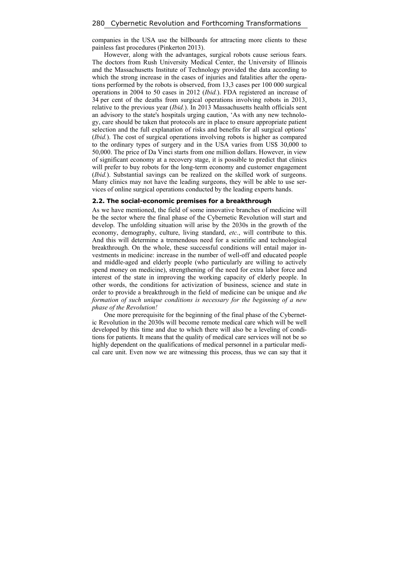companies in the USA use the billboards for attracting more clients to these painless fast procedures (Pinkerton 2013).

However, along with the advantages, surgical robots cause serious fears. The doctors from Rush University Medical Center, the University of Illinois and the Massachusetts Institute of Technology provided the data according to which the strong increase in the cases of injuries and fatalities after the operations performed by the robots is observed, from 13,3 cases per 100 000 surgical operations in 2004 to 50 cases in 2012 (*Ibid.*). FDA registered an increase of 34 per cent of the deaths from surgical operations involving robots in 2013, relative to the previous year (*Ibid.*). In 2013 Massachusetts health officials sent an advisory to the state's hospitals urging caution, 'As with any new technology, care should be taken that protocols are in place to ensure appropriate patient selection and the full explanation of risks and benefits for all surgical options' (*Ibid.*). The cost of surgical operations involving robots is higher as compared to the ordinary types of surgery and in the USA varies from US\$ 30,000 to 50,000. The price of Da Vinci starts from one million dollars. However, in view of significant economy at a recovery stage, it is possible to predict that clinics will prefer to buy robots for the long-term economy and customer engagement (*Ibid.*). Substantial savings can be realized on the skilled work of surgeons. Many clinics may not have the leading surgeons, they will be able to use services of online surgical operations conducted by the leading experts hands.

#### **2.2. The social-economic premises for a breakthrough**

As we have mentioned, the field of some innovative branches of medicine will be the sector where the final phase of the Cybernetic Revolution will start and develop. The unfolding situation will arise by the 2030s in the growth of the economy, demography, culture, living standard, *etc.*, will contribute to this. And this will determine a tremendous need for a scientific and technological breakthrough. On the whole, these successful conditions will entail major investments in medicine: increase in the number of well-off and educated people and middle-aged and elderly people (who particularly are willing to actively spend money on medicine), strengthening of the need for extra labor force and interest of the state in improving the working capacity of elderly people. In other words, the conditions for activization of business, science and state in order to provide a breakthrough in the field of medicine can be unique and *the formation of such unique conditions is necessary for the beginning of a new phase of the Revolution!* 

One more prerequisite for the beginning of the final phase of the Cybernetic Revolution in the 2030s will become remote medical care which will be well developed by this time and due to which there will also be a leveling of conditions for patients. It means that the quality of medical care services will not be so highly dependent on the qualifications of medical personnel in a particular medical care unit. Even now we are witnessing this process, thus we can say that it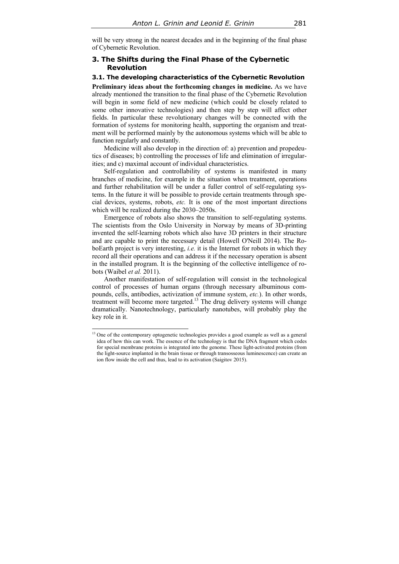will be very strong in the nearest decades and in the beginning of the final phase of Cybernetic Revolution.

## **3. The Shifts during the Final Phase of the Cybernetic Revolution**

## **3.1. The developing characteristics of the Cybernetic Revolution**

**Preliminary ideas about the forthcoming changes in medicine.** As we have already mentioned the transition to the final phase of the Cybernetic Revolution will begin in some field of new medicine (which could be closely related to some other innovative technologies) and then step by step will affect other fields. In particular these revolutionary changes will be connected with the formation of systems for monitoring health, supporting the organism and treatment will be performed mainly by the autonomous systems which will be able to function regularly and constantly.

Medicine will also develop in the direction of: a) prevention and propedeutics of diseases; b) controlling the processes of life and elimination of irregularities; and c) maximal account of individual characteristics.

Self-regulation and controllability of systems is manifested in many branches of medicine, for example in the situation when treatment, operations and further rehabilitation will be under a fuller control of self-regulating systems. In the future it will be possible to provide certain treatments through special devices, systems, robots, *etc.* It is one of the most important directions which will be realized during the 2030–2050s.

Emergence of robots also shows the transition to self-regulating systems. The scientists from the Oslo University in Norway by means of 3D-printing invented the self-learning robots which also have 3D printers in their structure and are capable to print the necessary detail (Howell O'Neill 2014). The RoboEarth project is very interesting, *i.e.* it is the Internet for robots in which they record all their operations and can address it if the necessary operation is absent in the installed program. It is the beginning of the collective intelligence of robots (Waibel *et al.* 2011).

Another manifestation of self-regulation will consist in the technological control of processes of human organs (through necessary albuminous compounds, cells, antibodies, activization of immune system, *etc.*). In other words, treatment will become more targeted.<sup>13</sup> The drug delivery systems will change dramatically. Nanotechnology, particularly nanotubes, will probably play the key role in it.

<sup>&</sup>lt;sup>13</sup> One of the contemporary optogenetic technologies provides a good example as well as a general idea of how this can work. The essence of the technology is that the DNA fragment which codes for special membrane proteins is integrated into the genome. These light-activated proteins (from the light-source implanted in the brain tissue or through transosseous luminescence) can create an ion flow inside the cell and thus, lead to its activation (Saigitov 2015).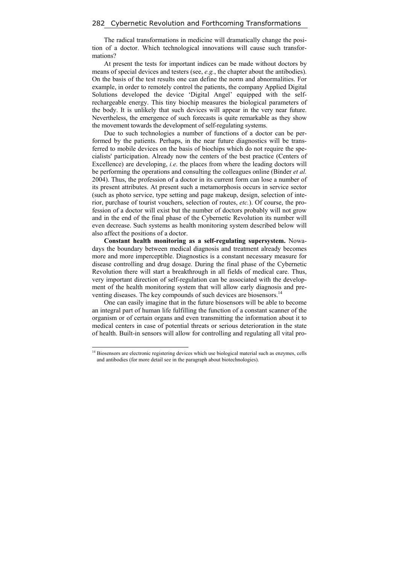The radical transformations in medicine will dramatically change the position of a doctor. Which technological innovations will cause such transformations?

At present the tests for important indices can be made without doctors by means of special devices and testers (see, *e.g.*, the chapter about the antibodies). On the basis of the test results one can define the norm and abnormalities. For example, in order to remotely control the patients, the company Applied Digital Solutions developed the device 'Digital Angel' equipped with the selfrechargeable energy. This tiny biochip measures the biological parameters of the body. It is unlikely that such devices will appear in the very near future. Nevertheless, the emergence of such forecasts is quite remarkable as they show the movement towards the development of self-regulating systems.

Due to such technologies a number of functions of a doctor can be performed by the patients. Perhaps, in the near future diagnostics will be transferred to mobile devices on the basis of biochips which do not require the specialists' participation. Already now the centers of the best practice (Centers of Excellence) are developing, *i.e*. the places from where the leading doctors will be performing the operations and consulting the colleagues online (Binder *et al.* 2004). Thus, the profession of a doctor in its current form can lose a number of its present attributes. At present such a metamorphosis occurs in service sector (such as photo service, type setting and page makeup, design, selection of interior, purchase of tourist vouchers, selection of routes, *etc.*). Of course, the profession of a doctor will exist but the number of doctors probably will not grow and in the end of the final phase of the Cybernetic Revolution its number will even decrease. Such systems as health monitoring system described below will also affect the positions of a doctor.

**Constant health monitoring as a self-regulating supersystem.** Nowadays the boundary between medical diagnosis and treatment already becomes more and more imperceptible. Diagnostics is a constant necessary measure for disease controlling and drug dosage. During the final phase of the Cybernetic Revolution there will start a breakthrough in all fields of medical care. Thus, very important direction of self-regulation can be associated with the development of the health monitoring system that will allow early diagnosis and preventing diseases. The key compounds of such devices are biosensors.<sup>14</sup>

One can easily imagine that in the future biosensors will be able to become an integral part of human life fulfilling the function of a constant scanner of the organism or of certain organs and even transmitting the information about it to medical centers in case of potential threats or serious deterioration in the state of health. Built-in sensors will allow for controlling and regulating all vital pro-

<sup>&</sup>lt;sup>14</sup> Biosensors are electronic registering devices which use biological material such as enzymes, cells and antibodies (for more detail see in the paragraph about biotechnologies).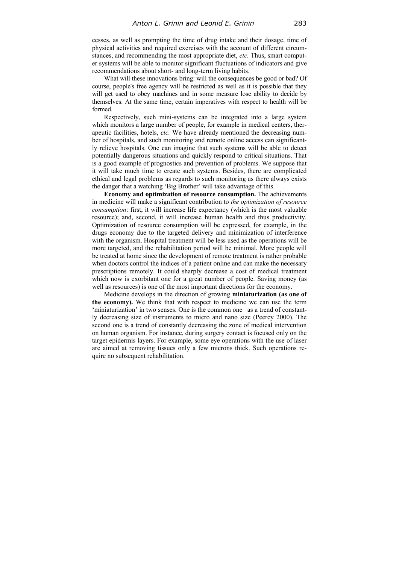cesses, as well as prompting the time of drug intake and their dosage, time of physical activities and required exercises with the account of different circumstances, and recommending the most appropriate diet, *etc.* Thus, smart computer systems will be able to monitor significant fluctuations of indicators and give recommendations about short- and long-term living habits.

What will these innovations bring: will the consequences be good or bad? Of course, people's free agency will be restricted as well as it is possible that they will get used to obey machines and in some measure lose ability to decide by themselves. At the same time, certain imperatives with respect to health will be formed.

Respectively, such mini-systems can be integrated into a large system which monitors a large number of people, for example in medical centers, therapeutic facilities, hotels, *etc.* We have already mentioned the decreasing number of hospitals, and such monitoring and remote online access can significantly relieve hospitals. One can imagine that such systems will be able to detect potentially dangerous situations and quickly respond to critical situations. That is a good example of prognostics and prevention of problems. We suppose that it will take much time to create such systems. Besides, there are complicated ethical and legal problems as regards to such monitoring as there always exists the danger that a watching 'Big Brother' will take advantage of this.

**Economy and optimization of resource consumption.** The achievements in medicine will make a significant contribution to *the optimization of resource consumption*: first, it will increase life expectancy (which is the most valuable resource); and, second, it will increase human health and thus productivity. Optimization of resource consumption will be expressed, for example, in the drugs economy due to the targeted delivery and minimization of interference with the organism. Hospital treatment will be less used as the operations will be more targeted, and the rehabilitation period will be minimal. More people will be treated at home since the development of remote treatment is rather probable when doctors control the indices of a patient online and can make the necessary prescriptions remotely. It could sharply decrease a cost of medical treatment which now is exorbitant one for a great number of people. Saving money (as well as resources) is one of the most important directions for the economy.

Medicine develops in the direction of growing **miniaturization (as one of the economy).** We think that with respect to medicine we can use the term 'miniaturization' in two senses. One is the common one– as a trend of constantly decreasing size of instruments to micro and nano size (Peercy 2000). The second one is a trend of constantly decreasing the zone of medical intervention on human organism. For instance, during surgery contact is focused only on the target epidermis layers. For example, some eye operations with the use of laser are aimed at removing tissues only a few microns thick. Such operations require no subsequent rehabilitation.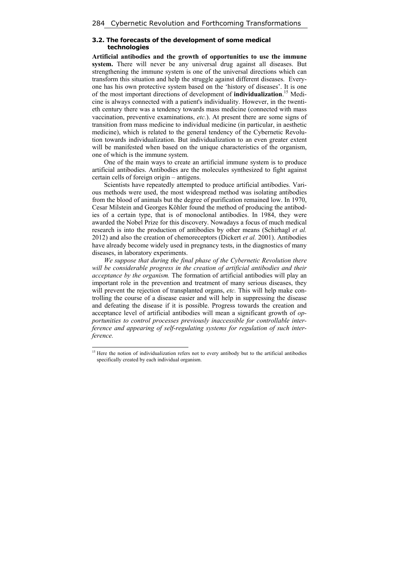# **3.2. The forecasts of the development of some medical technologies**

**Artificial antibodies and the growth of opportunities to use the immune system.** There will never be any universal drug against all diseases. But strengthening the immune system is one of the universal directions which can transform this situation and help the struggle against different diseases. Everyone has his own protective system based on the 'history of diseases'. It is one of the most important directions of development of **individualization**. 15 Medicine is always connected with a patient's individuality. However, in the twentieth century there was a tendency towards mass medicine (connected with mass vaccination, preventive examinations, *etc.*). At present there are some signs of transition from mass medicine to individual medicine (in particular, in aesthetic medicine), which is related to the general tendency of the Cybernetic Revolution towards individualization. But individualization to an even greater extent will be manifested when based on the unique characteristics of the organism. one of which is the immune system.

One of the main ways to create an artificial immune system is to produce artificial antibodies. Antibodies are the molecules synthesized to fight against certain cells of foreign origin – antigens.

Scientists have repeatedly attempted to produce artificial antibodies. Various methods were used, the most widespread method was isolating antibodies from the blood of animals but the degree of purification remained low. In 1970, Cesar Milstein and Georges Köhler found the method of producing the antibodies of a certain type, that is of monoclonal antibodies. In 1984, they were awarded the Nobel Prize for this discovery. Nowadays a focus of much medical research is into the production of antibodies by other means (Schirhagl *et al.* 2012) and also the creation of chemoreceptors (Dickert *et al.* 2001). Antibodies have already become widely used in pregnancy tests, in the diagnostics of many diseases, in laboratory experiments.

*We suppose that during the final phase of the Cybernetic Revolution there will be considerable progress in the creation of artificial antibodies and their acceptance by the organism.* The formation of artificial antibodies will play an important role in the prevention and treatment of many serious diseases, they will prevent the rejection of transplanted organs, *etc*. This will help make controlling the course of a disease easier and will help in suppressing the disease and defeating the disease if it is possible. Progress towards the creation and acceptance level of artificial antibodies will mean a significant growth of *opportunities to control processes previously inaccessible for controllable interference and appearing of self-regulating systems for regulation of such interference.*

<sup>&</sup>lt;sup>15</sup> Here the notion of individualization refers not to every antibody but to the artificial antibodies specifically created by each individual organism.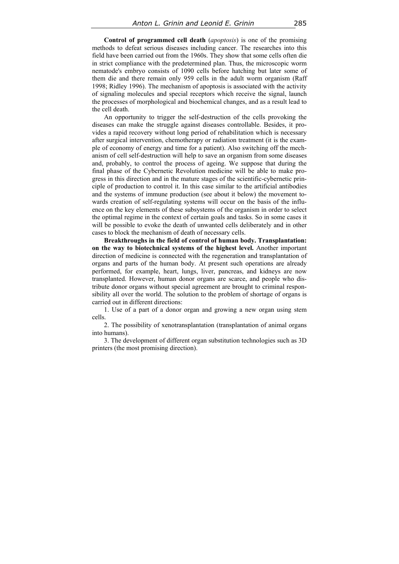**Control of programmed cell death** (*apoptosis*) is one of the promising methods to defeat serious diseases including cancer. The researches into this field have been carried out from the 1960s. They show that some cells often die in strict compliance with the predetermined plan. Thus, the microscopic worm nematode's embryo consists of 1090 cells before hatching but later some of them die and there remain only 959 cells in the adult worm organism (Raff 1998; Ridley 1996). The mechanism of apoptosis is associated with the activity of signaling molecules and special receptors which receive the signal, launch the processes of morphological and biochemical changes, and as a result lead to the cell death.

An opportunity to trigger the self-destruction of the cells provoking the diseases can make the struggle against diseases controllable. Besides, it provides a rapid recovery without long period of rehabilitation which is necessary after surgical intervention, chemotherapy or radiation treatment (it is the example of economy of energy and time for a patient). Also switching off the mechanism of cell self-destruction will help to save an organism from some diseases and, probably, to control the process of ageing. We suppose that during the final phase of the Cybernetic Revolution medicine will be able to make progress in this direction and in the mature stages of the scientific-cybernetic principle of production to control it. In this case similar to the artificial antibodies and the systems of immune production (see about it below) the movement towards creation of self-regulating systems will occur on the basis of the influence on the key elements of these subsystems of the organism in order to select the optimal regime in the context of certain goals and tasks. So in some cases it will be possible to evoke the death of unwanted cells deliberately and in other cases to block the mechanism of death of necessary cells.

**Breakthroughs in the field of control of human body. Transplantation: on the way to biotechnical systems of the highest level.** Another important direction of medicine is connected with the regeneration and transplantation of organs and parts of the human body. At present such operations are already performed, for example, heart, lungs, liver, pancreas, and kidneys are now transplanted. However, human donor organs are scarce, and people who distribute donor organs without special agreement are brought to criminal responsibility all over the world. The solution to the problem of shortage of organs is carried out in different directions:

1. Use of a part of a donor organ and growing a new organ using stem cells.

2. The possibility of xenotransplantation (transplantation of animal organs into humans).

3. The development of different organ substitution technologies such as 3D printers (the most promising direction).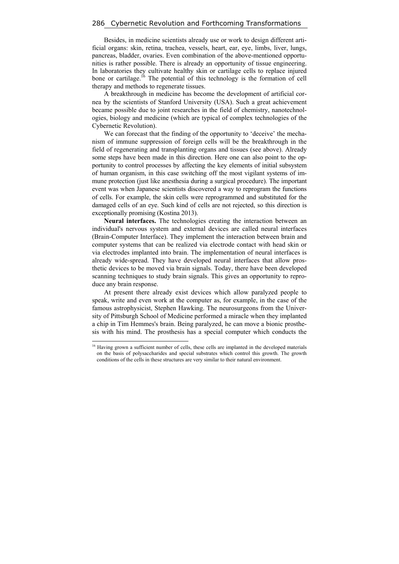#### 286 Cybernetic Revolution and Forthcoming Transformations

Besides, in medicine scientists already use or work to design different artificial organs: skin, retina, trachea, vessels, heart, ear, eye, limbs, liver, lungs, pancreas, bladder, ovaries. Even combination of the above-mentioned opportunities is rather possible. There is already an opportunity of tissue engineering. In laboratories they cultivate healthy skin or cartilage cells to replace injured bone or cartilage.<sup>16</sup> The potential of this technology is the formation of cell therapy and methods to regenerate tissues.

A breakthrough in medicine has become the development of artificial cornea by the scientists of Stanford University (USA). Such a great achievement became possible due to joint researches in the field of chemistry, nanotechnologies, biology and medicine (which are typical of complex technologies of the Cybernetic Revolution).

We can forecast that the finding of the opportunity to 'deceive' the mechanism of immune suppression of foreign cells will be the breakthrough in the field of regenerating and transplanting organs and tissues (see above). Already some steps have been made in this direction. Here one can also point to the opportunity to control processes by affecting the key elements of initial subsystem of human organism, in this case switching off the most vigilant systems of immune protection (just like anesthesia during a surgical procedure). The important event was when Japanese scientists discovered a way to reprogram the functions of cells. For example, the skin cells were reprogrammed and substituted for the damaged cells of an eye. Such kind of cells are not rejected, so this direction is exceptionally promising (Kostina 2013).

**Neural interfaces.** The technologies creating the interaction between an individual's nervous system and external devices are called neural interfaces (Brain-Computer Interface). They implement the interaction between brain and computer systems that can be realized via electrode contact with head skin or via electrodes implanted into brain. The implementation of neural interfaces is already wide-spread. They have developed neural interfaces that allow prosthetic devices to be moved via brain signals. Today, there have been developed scanning techniques to study brain signals. This gives an opportunity to reproduce any brain response.

At present there already exist devices which allow paralyzed people to speak, write and even work at the computer as, for example, in the case of the famous astrophysicist, Stephen Hawking. The neurosurgeons from the University of Pittsburgh School of Medicine performed a miracle when they implanted a chip in Tim Hemmes's brain. Being paralyzed, he can move a bionic prosthesis with his mind. The prosthesis has a special computer which conducts the

<sup>&</sup>lt;sup>16</sup> Having grown a sufficient number of cells, these cells are implanted in the developed materials on the basis of polysaccharides and special substrates which control this growth. The growth conditions of the cells in these structures are very similar to their natural environment.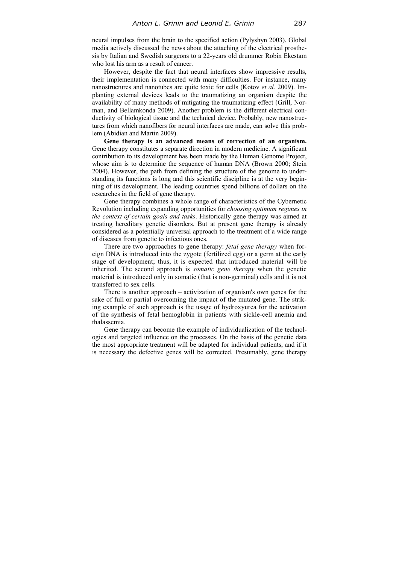neural impulses from the brain to the specified action (Pylyshyn 2003). Global media actively discussed the news about the attaching of the electrical prosthesis by Italian and Swedish surgeons to a 22-years old drummer Robin Ekestam who lost his arm as a result of cancer.

However, despite the fact that neural interfaces show impressive results, their implementation is connected with many difficulties. For instance, many nanostructures and nanotubes are quite toxic for cells (Kotov *et al.* 2009). Implanting external devices leads to the traumatizing an organism despite the availability of many methods of mitigating the traumatizing effect (Grill, Norman, and Bellamkonda 2009). Another problem is the different electrical conductivity of biological tissue and the technical device. Probably, new nanostructures from which nanofibers for neural interfaces are made, can solve this problem (Abidian and Martin 2009).

**Gene therapy is an advanced means of correction of an organism.**  Gene therapy constitutes a separate direction in modern medicine. A significant contribution to its development has been made by the Human Genome Project, whose aim is to determine the sequence of human DNA (Brown 2000; Stein 2004). However, the path from defining the structure of the genome to understanding its functions is long and this scientific discipline is at the very beginning of its development. The leading countries spend billions of dollars on the researches in the field of gene therapy.

Gene therapy combines a whole range of characteristics of the Cybernetic Revolution including expanding opportunities for *choosing optimum regimes in the context of certain goals and tasks*. Historically gene therapy was aimed at treating hereditary genetic disorders. But at present gene therapy is already considered as a potentially universal approach to the treatment of a wide range of diseases from genetic to infectious ones.

There are two approaches to gene therapy: *fetal gene therapy* when foreign DNA is introduced into the zygote (fertilized egg) or a germ at the early stage of development; thus, it is expected that introduced material will be inherited. The second approach is *somatic gene therapy* when the genetic material is introduced only in somatic (that is non-germinal) cells and it is not transferred to sex cells.

There is another approach – activization of organism's own genes for the sake of full or partial overcoming the impact of the mutated gene. The striking example of such approach is the usage of hydroxyurea for the activation of the synthesis of fetal hemoglobin in patients with sickle-cell anemia and thalassemia.

Gene therapy can become the example of individualization of the technologies and targeted influence on the processes. On the basis of the genetic data the most appropriate treatment will be adapted for individual patients, and if it is necessary the defective genes will be corrected. Presumably, gene therapy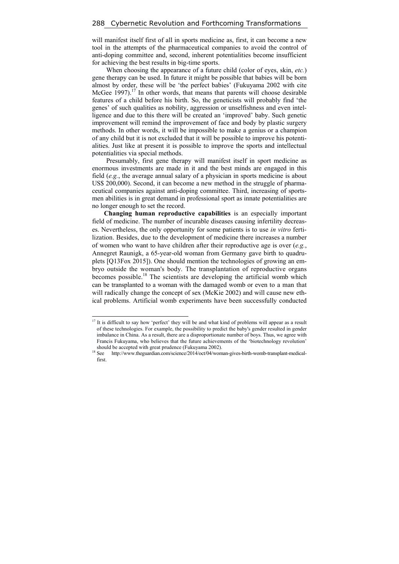will manifest itself first of all in sports medicine as, first, it can become a new tool in the attempts of the pharmaceutical companies to avoid the control of anti-doping committee and, second, inherent potentialities become insufficient for achieving the best results in big-time sports.

When choosing the appearance of a future child (color of eyes, skin, *etc.*) gene therapy can be used. In future it might be possible that babies will be born almost by order, these will be 'the perfect babies' (Fukuyama 2002 with cite McGee 1997).<sup>17</sup> In other words, that means that parents will choose desirable features of a child before his birth. So, the geneticists will probably find 'the genes' of such qualities as nobility, aggression or unselfishness and even intelligence and due to this there will be created an 'improved' baby. Such genetic improvement will remind the improvement of face and body by plastic surgery methods. In other words, it will be impossible to make a genius or a champion of any child but it is not excluded that it will be possible to improve his potentialities. Just like at present it is possible to improve the sports and intellectual potentialities via special methods.

Presumably, first gene therapy will manifest itself in sport medicine as enormous investments are made in it and the best minds are engaged in this field (*e.g.*, the average annual salary of a physician in sports medicine is about US\$ 200,000). Second, it can become a new method in the struggle of pharmaceutical companies against anti-doping committee. Third, increasing of sportsmen abilities is in great demand in professional sport as innate potentialities are no longer enough to set the record.

**Changing human reproductive capabilities** is an especially important field of medicine. The number of incurable diseases causing infertility decreases. Nevertheless, the only opportunity for some patients is to use *in vitro* fertilization. Besides, due to the development of medicine there increases a number of women who want to have children after their reproductive age is over (*e.g.*, Annegret Raunigk, a 65-year-old woman from Germany gave birth to quadruplets [Q13Fox 2015]). One should mention the technologies of growing an embryo outside the woman's body. The transplantation of reproductive organs becomes possible.<sup>18</sup> The scientists are developing the artificial womb which can be transplanted to a woman with the damaged womb or even to a man that will radically change the concept of sex (McKie 2002) and will cause new ethical problems. Artificial womb experiments have been successfully conducted

<sup>&</sup>lt;sup>17</sup> It is difficult to say how 'perfect' they will be and what kind of problems will appear as a result of these technologies. For example, the possibility to predict the baby's gender resulted in gender imbalance in China. As a result, there are a disproportionate number of boys. Thus, we agree with Francis Fukuyama, who believes that the future achievements of the 'biotechnology revolution'

should be accepted with great prudence (Fukuyama 2002).<br><sup>18</sup> See http://www.theguardian.com/science/2014/oct/04/woman-gives-birth-womb-transplant-medicalfirst.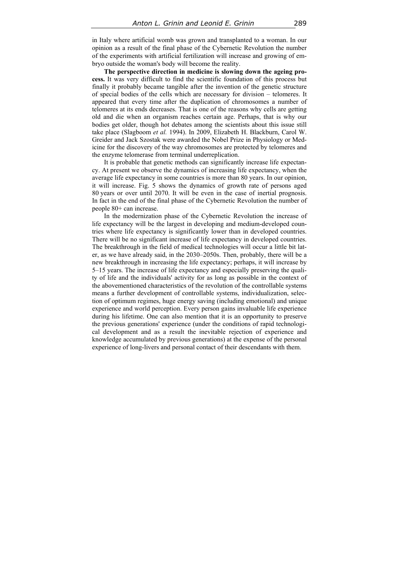in Italy where artificial womb was grown and transplanted to a woman. In our opinion as a result of the final phase of the Cybernetic Revolution the number of the experiments with artificial fertilization will increase and growing of embryo outside the woman's body will become the reality.

**The perspective direction in medicine is slowing down the ageing process.** It was very difficult to find the scientific foundation of this process but finally it probably became tangible after the invention of the genetic structure of special bodies of the cells which are necessary for division – telomeres. It appeared that every time after the duplication of chromosomes a number of telomeres at its ends decreases. That is one of the reasons why cells are getting old and die when an organism reaches certain age. Perhaps, that is why our bodies get older, though hot debates among the scientists about this issue still take place (Slagboom *et al.* 1994). In 2009, Elizabeth H. Blackburn, Carol W. Greider and Jack Szostak were awarded the Nobel Prize in Physiology or Medicine for the discovery of the way chromosomes are protected by telomeres and the enzyme telomerase from terminal underreplication.

It is probable that genetic methods can significantly increase life expectancy. At present we observe the dynamics of increasing life expectancy, when the average life expectancy in some countries is more than 80 years. In our opinion, it will increase. Fig. 5 shows the dynamics of growth rate of persons aged 80 years or over until 2070. It will be even in the case of inertial prognosis. In fact in the end of the final phase of the Cybernetic Revolution the number of people 80+ can increase.

In the modernization phase of the Cybernetic Revolution the increase of life expectancy will be the largest in developing and medium-developed countries where life expectancy is significantly lower than in developed countries. There will be no significant increase of life expectancy in developed countries. The breakthrough in the field of medical technologies will occur a little bit later, as we have already said, in the 2030–2050s. Then, probably, there will be a new breakthrough in increasing the life expectancy; perhaps, it will increase by 5–15 years. The increase of life expectancy and especially preserving the quality of life and the individuals' activity for as long as possible in the context of the abovementioned characteristics of the revolution of the controllable systems means a further development of controllable systems, individualization, selection of optimum regimes, huge energy saving (including emotional) and unique experience and world perception. Every person gains invaluable life experience during his lifetime. One can also mention that it is an opportunity to preserve the previous generations' experience (under the conditions of rapid technological development and as a result the inevitable rejection of experience and knowledge accumulated by previous generations) at the expense of the personal experience of long-livers and personal contact of their descendants with them.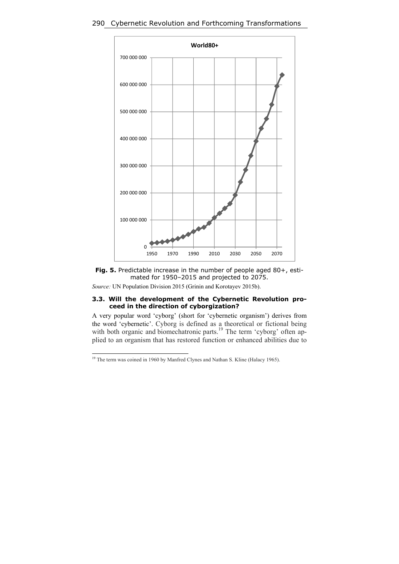# 290 Cybernetic Revolution and Forthcoming Transformations





# *Source:* UN Population Division 2015 (Grinin and Korotayev 2015b).

### **3.3. Will the development of the Cybernetic Revolution proceed in the direction of cyborgization?**

A very popular word 'cyborg' (short for 'cybernetic organism') derives from the word 'cybernetic'. Cyborg is defined as a theoretical or fictional being with both organic and biomechatronic parts.<sup>19</sup> The term 'cyborg' often applied to an organism that has restored function or enhanced abilities due to

<sup>&</sup>lt;sup>19</sup> The term was coined in 1960 by Manfred Clynes and Nathan S. Kline (Halacy 1965).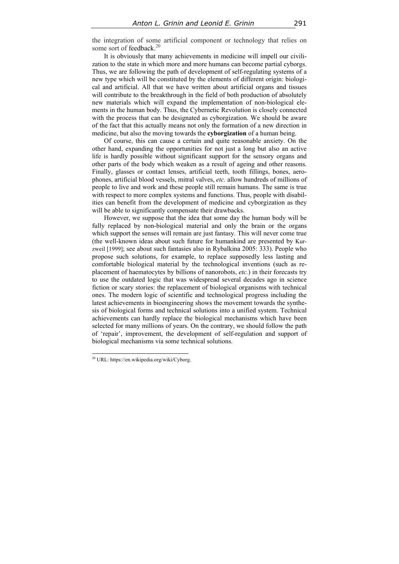the integration of some artificial component or technology that relies on some sort of feedback.<sup>20</sup>

It is obviously that many achievements in medicine will impell our civilization to the state in which more and more humans can become partial cyborgs. Thus, we are following the path of development of self-regulating systems of a new type which will be constituted by the elements of different origin: biological and artificial. All that we have written about artificial organs and tissues will contribute to the breakthrough in the field of both production of absolutely new materials which will expand the implementation of non-biological elements in the human body. Thus, the Cybernetic Revolution is closely connected with the process that can be designated as cyborgization. We should be aware of the fact that this actually means not only the formation of a new direction in medicine, but also the moving towards the **cyborgization** of a human being.

Of course, this can cause a certain and quite reasonable anxiety. On the other hand, expanding the opportunities for not just a long but also an active life is hardly possible without significant support for the sensory organs and other parts of the body which weaken as a result of ageing and other reasons. Finally, glasses or contact lenses, artificial teeth, tooth fillings, bones, aerophones, artificial blood vessels, mitral valves, *etc.* allow hundreds of millions of people to live and work and these people still remain humans. The same is true with respect to more complex systems and functions. Thus, people with disabilities can benefit from the development of medicine and cyborgization as they will be able to significantly compensate their drawbacks.

However, we suppose that the idea that some day the human body will be fully replaced by non-biological material and only the brain or the organs which support the senses will remain are just fantasy. This will never come true (the well-known ideas about such future for humankind are presented by Kurzweil [1999]; see about such fantasies also in Rybalkina 2005: 333). People who propose such solutions, for example, to replace supposedly less lasting and comfortable biological material by the technological inventions (such as replacement of haematocytes by billions of nanorobots, *etc.*) in their forecasts try to use the outdated logic that was widespread several decades ago in science fiction or scary stories: the replacement of biological organisms with technical ones. The modern logic of scientific and technological progress including the latest achievements in bioengineering shows the movement towards the synthesis of biological forms and technical solutions into a unified system. Technical achievements can hardly replace the biological mechanisms which have been selected for many millions of years. On the contrary, we should follow the path of 'repair', improvement, the development of self-regulation and support of biological mechanisms via some technical solutions.

<sup>20</sup> URL: https://en.wikipedia.org/wiki/Cyborg.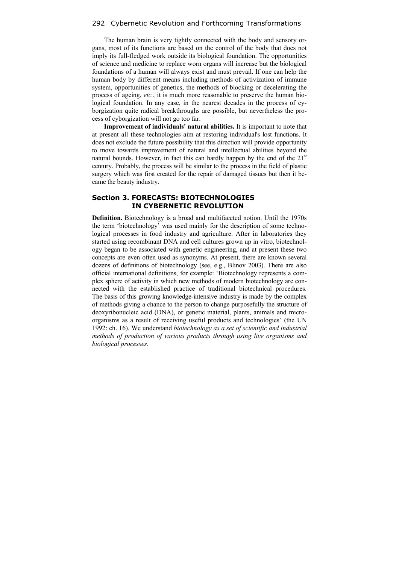The human brain is very tightly connected with the body and sensory organs, most of its functions are based on the control of the body that does not imply its full-fledged work outside its biological foundation. The opportunities of science and medicine to replace worn organs will increase but the biological foundations of a human will always exist and must prevail. If one can help the human body by different means including methods of activization of immune system, opportunities of genetics, the methods of blocking or decelerating the process of ageing, *etc.*, it is much more reasonable to preserve the human biological foundation. In any case, in the nearest decades in the process of cyborgization quite radical breakthroughs are possible, but nevertheless the process of cyborgization will not go too far.

**Improvement of individuals' natural abilities.** It is important to note that at present all these technologies aim at restoring individual's lost functions. It does not exclude the future possibility that this direction will provide opportunity to move towards improvement of natural and intellectual abilities beyond the natural bounds. However, in fact this can hardly happen by the end of the  $21<sup>st</sup>$ century. Probably, the process will be similar to the process in the field of plastic surgery which was first created for the repair of damaged tissues but then it became the beauty industry.

### **Section 3. FORECASTS: BIOTECHNOLOGIES IN CYBERNETIC REVOLUTION**

**Definition.** Biotechnology is a broad and multifaceted notion. Until the 1970s the term 'biotechnology' was used mainly for the description of some technological processes in food industry and agriculture. After in laboratories they started using recombinant DNA and cell cultures grown up in vitro, biotechnology began to be associated with genetic engineering, and at present these two concepts are even often used as synonyms. At present, there are known several dozens of definitions of biotechnology (see, e.g., Blinov 2003). There are also official international definitions, for example: 'Biotechnology represents a complex sphere of activity in which new methods of modern biotechnology are connected with the established practice of traditional biotechnical procedures. The basis of this growing knowledge-intensive industry is made by the complex of methods giving a chance to the person to change purposefully the structure of deoxyribonucleic acid (DNA), or genetic material, plants, animals and microorganisms as a result of receiving useful products and technologies' (the UN 1992: ch. 16). We understand *biotechnology as a set of scientific and industrial methods of production of various products through using live organisms and biological processes.*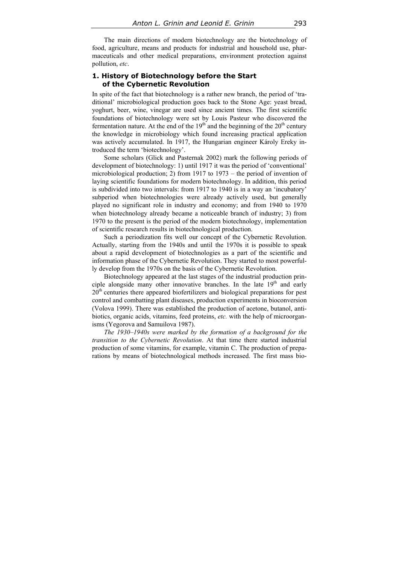The main directions of modern biotechnology are the biotechnology of food, agriculture, means and products for industrial and household use, pharmaceuticals and other medical preparations, environment protection against pollution, *etc*.

# **1. History of Biotechnology before the Start of the Cybernetic Revolution**

In spite of the fact that biotechnology is a rather new branch, the period of 'traditional' microbiological production goes back to the Stone Age: yeast bread, yoghurt, beer, wine, vinegar are used since ancient times. The first scientific foundations of biotechnology were set by Louis Pasteur who discovered the fermentation nature. At the end of the  $19<sup>th</sup>$  and the beginning of the  $20<sup>th</sup>$  century the knowledge in microbiology which found increasing practical application was actively accumulated. In 1917, the Hungarian engineer Károly Ereky introduced the term 'biotechnology'.

Some scholars (Glick and Pasternak 2002) mark the following periods of development of biotechnology: 1) until 1917 it was the period of 'conventional' microbiological production; 2) from 1917 to 1973 – the period of invention of laying scientific foundations for modern biotechnology. In addition, this period is subdivided into two intervals: from 1917 to 1940 is in a way an 'incubatory' subperiod when biotechnologies were already actively used, but generally played no significant role in industry and economy; and from 1940 to 1970 when biotechnology already became a noticeable branch of industry; 3) from 1970 to the present is the period of the modern biotechnology, implementation of scientific research results in biotechnological production.

Such a periodization fits well our concept of the Cybernetic Revolution. Actually, starting from the 1940s and until the 1970s it is possible to speak about a rapid development of biotechnologies as a part of the scientific and information phase of the Cybernetic Revolution. They started to most powerfully develop from the 1970s on the basis of the Cybernetic Revolution.

Biotechnology appeared at the last stages of the industrial production principle alongside many other innovative branches. In the late 19<sup>th</sup> and early 20<sup>th</sup> centuries there appeared biofertilizers and biological preparations for pest control and combatting plant diseases, production experiments in bioconversion (Volova 1999). There was established the production of acetone, butanol, antibiotics, organic acids, vitamins, feed proteins, *etc.* with the help of microorganisms (Yegorova and Samuilova 1987).

*The 1930–1940s were marked by the formation of a background for the transition to the Cybernetic Revolution*. At that time there started industrial production of some vitamins, for example, vitamin C. The production of preparations by means of biotechnological methods increased. The first mass bio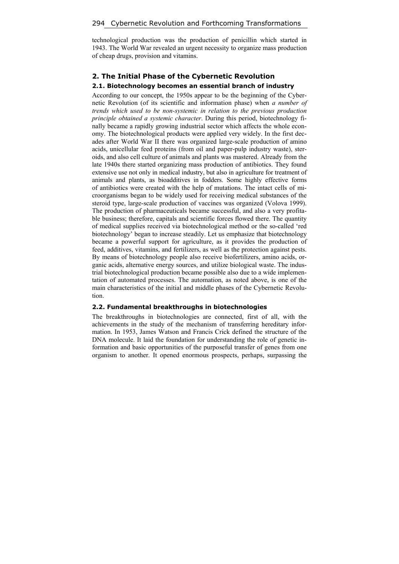technological production was the production of penicillin which started in 1943. The World War revealed an urgent necessity to organize mass production of cheap drugs, provision and vitamins.

# **2. The Initial Phase of the Cybernetic Revolution 2.1. Biotechnology becomes an essential branch of industry**

According to our concept, the 1950s appear to be the beginning of the Cybernetic Revolution (of its scientific and information phase) when *a number of trends which used to be non-systemic in relation to the previous production principle obtained a systemic character*. During this period, biotechnology finally became a rapidly growing industrial sector which affects the whole economy. The biotechnological products were applied very widely. In the first decades after World War II there was organized large-scale production of amino acids, unicellular feed proteins (from oil and paper-pulp industry waste), steroids, and also cell culture of animals and plants was mastered. Already from the late 1940s there started organizing mass production of antibiotics. They found extensive use not only in medical industry, but also in agriculture for treatment of animals and plants, as bioadditives in fodders. Some highly effective forms of antibiotics were created with the help of mutations. The intact cells of microorganisms began to be widely used for receiving medical substances of the steroid type, large-scale production of vaccines was organized (Volova 1999). The production of pharmaceuticals became successful, and also a very profitable business; therefore, capitals and scientific forces flowed there. The quantity of medical supplies received via biotechnological method or the so-called 'red biotechnology' began to increase steadily. Let us emphasize that biotechnology became a powerful support for agriculture, as it provides the production of feed, additives, vitamins, and fertilizers, as well as the protection against pests. By means of biotechnology people also receive biofertilizers, amino acids, organic acids, alternative energy sources, and utilize biological waste. The industrial biotechnological production became possible also due to a wide implementation of automated processes. The automation, as noted above, is one of the main characteristics of the initial and middle phases of the Cybernetic Revolution.

#### **2.2. Fundamental breakthroughs in biotechnologies**

The breakthroughs in biotechnologies are connected, first of all, with the achievements in the study of the mechanism of transferring hereditary information. In 1953, James Watson and Francis Crick defined the structure of the DNA molecule. It laid the foundation for understanding the role of genetic information and basic opportunities of the purposeful transfer of genes from one organism to another. It opened enormous prospects, perhaps, surpassing the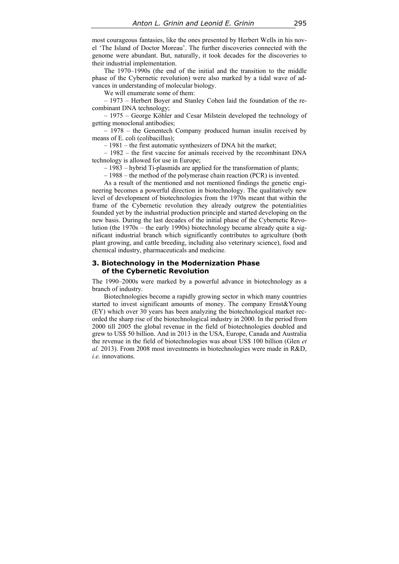most courageous fantasies, like the ones presented by Herbert Wells in his novel 'The Island of Doctor Moreau'. The further discoveries connected with the genome were abundant. But, naturally, it took decades for the discoveries to their industrial implementation.

The 1970–1990s (the end of the initial and the transition to the middle phase of the Cybernetic revolution) were also marked by a tidal wave of advances in understanding of molecular biology.

We will enumerate some of them:

– 1973 – Herbert Boyer and Stanley Cohen laid the foundation of the recombinant DNA technology;

– 1975 – George Köhler and Cesar Milstein developed the technology of getting monoclonal antibodies;

– 1978 – the Genentech Company produced human insulin received by means of E. coli (colibacillus);

– 1981 – the first automatic synthesizers of DNA hit the market;

– 1982 – the first vaccine for animals received by the recombinant DNA technology is allowed for use in Europe;

– 1983 – hybrid Ti-plasmids are applied for the transformation of plants;

– 1988 – the method of the polymerase chain reaction (PCR) is invented.

As a result of the mentioned and not mentioned findings the genetic engineering becomes a powerful direction in biotechnology. The qualitatively new level of development of biotechnologies from the 1970s meant that within the frame of the Cybernetic revolution they already outgrew the potentialities founded yet by the industrial production principle and started developing on the new basis. During the last decades of the initial phase of the Cybernetic Revolution (the 1970s – the early 1990s) biotechnology became already quite a significant industrial branch which significantly contributes to agriculture (both plant growing, and cattle breeding, including also veterinary science), food and chemical industry, pharmaceuticals and medicine.

#### **3. Biotechnology in the Modernization Phase of the Cybernetic Revolution**

The 1990–2000s were marked by a powerful advance in biotechnology as a branch of industry.

Biotechnologies become a rapidly growing sector in which many countries started to invest significant amounts of money. The company Ernst&Young (EY) which over 30 years has been analyzing the biotechnological market recorded the sharp rise of the biotechnological industry in 2000. In the period from 2000 till 2005 the global revenue in the field of biotechnologies doubled and grew to US\$ 50 billion. And in 2013 in the USA, Europe, Canada and Australia the revenue in the field of biotechnologies was about US\$ 100 billion (Glen *et al.* 2013). From 2008 most investments in biotechnologies were made in R&D, *i.e.* innovations.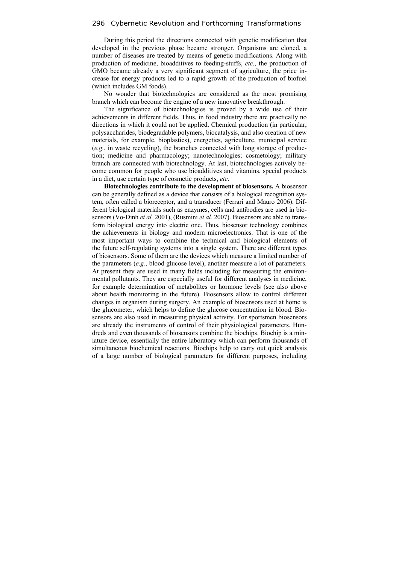During this period the directions connected with genetic modification that developed in the previous phase became stronger. Organisms are cloned, a number of diseases are treated by means of genetic modifications. Along with production of medicine, bioadditives to feeding-stuffs, *etc*., the production of GMO became already a very significant segment of agriculture, the price increase for energy products led to a rapid growth of the production of biofuel (which includes GM foods).

No wonder that biotechnologies are considered as the most promising branch which can become the engine of a new innovative breakthrough.

The significance of biotechnologies is proved by a wide use of their achievements in different fields. Thus, in food industry there are practically no directions in which it could not be applied. Chemical production (in particular, polysaccharides, biodegradable polymers, biocatalysis, and also creation of new materials, for example, bioplastics), energetics, agriculture, municipal service (*e.g.*, in waste recycling), the branches connected with long storage of production; medicine and pharmacology; nanotechnologies; cosmetology; military branch are connected with biotechnology. At last, biotechnologies actively become common for people who use bioadditives and vitamins, special products in a diet, use certain type of cosmetic products, *etc*.

**Biotechnologies contribute to the development of biosensors.** A biosensor can be generally defined as a device that consists of a biological recognition system, often called a bioreceptor, and a transducer (Ferrari and Mauro 2006). Different biological materials such as enzymes, cells and antibodies are used in biosensors (Vo-Dinh *et al.* 2001), (Rusmini *et al.* 2007). Biosensors are able to transform biological energy into electric one. Thus, biosensor technology combines the achievements in biology and modern microelectronics. That is one of the most important ways to combine the technical and biological elements of the future self-regulating systems into a single system. There are different types of biosensors. Some of them are the devices which measure a limited number of the parameters (*e.g.*, blood glucose level), another measure a lot of parameters. At present they are used in many fields including for measuring the environmental pollutants. They are especially useful for different analyses in medicine, for example determination of metabolites or hormone levels (see also above about health monitoring in the future). Biosensors allow to control different changes in organism during surgery. An example of biosensors used at home is the glucometer, which helps to define the glucose concentration in blood. Biosensors are also used in measuring physical activity. For sportsmen biosensors are already the instruments of control of their physiological parameters. Hundreds and even thousands of biosensors combine the biochips. Biochip is a miniature device, essentially the entire laboratory which can perform thousands of simultaneous biochemical reactions. Biochips help to carry out quick analysis of a large number of biological parameters for different purposes, including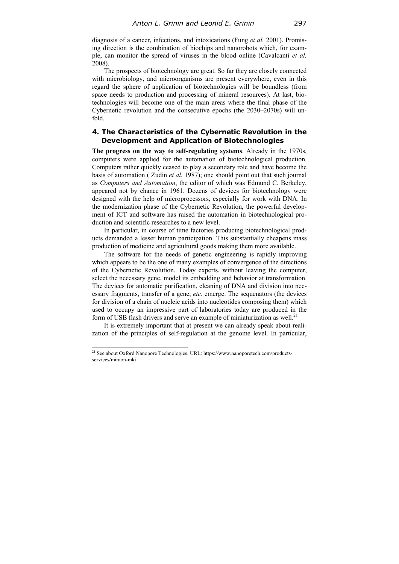diagnosis of a cancer, infections, and intoxications (Fung *et al.* 2001). Promising direction is the combination of biochips and nanorobots which, for example, can monitor the spread of viruses in the blood online (Cavalcanti *et al.* 2008).

The prospects of biotechnology are great. So far they are closely connected with microbiology, and microorganisms are present everywhere, even in this regard the sphere of application of biotechnologies will be boundless (from space needs to production and processing of mineral resources). At last, biotechnologies will become one of the main areas where the final phase of the Cybernetic revolution and the consecutive epochs (the 2030–2070s) will unfold.

# **4. The Characteristics of the Cybernetic Revolution in the Development and Application of Biotechnologies**

**The progress on the way to self-regulating systems**. Already in the 1970s, computers were applied for the automation of biotechnological production. Computers rather quickly ceased to play a secondary role and have become the basis of automation ( Zudin *et al.* 1987); one should point out that such journal as *Computers and Automation*, the editor of which was Edmund C. Berkeley, appeared not by chance in 1961. Dozens of devices for biotechnology were designed with the help of microprocessors, especially for work with DNA. In the modernization phase of the Cybernetic Revolution, the powerful development of ICT and software has raised the automation in biotechnological production and scientific researches to a new level.

In particular, in course of time factories producing biotechnological products demanded a lesser human participation. This substantially cheapens mass production of medicine and agricultural goods making them more available.

The software for the needs of genetic engineering is rapidly improving which appears to be the one of many examples of convergence of the directions of the Cybernetic Revolution. Today experts, without leaving the computer, select the necessary gene, model its embedding and behavior at transformation. The devices for automatic purification, cleaning of DNA and division into necessary fragments, transfer of a gene, *etc.* emerge. The sequenators (the devices for division of a chain of nucleic acids into nucleotides composing them) which used to occupy an impressive part of laboratories today are produced in the form of USB flash drivers and serve an example of miniaturization as well.<sup>21</sup>

It is extremely important that at present we can already speak about realization of the principles of self-regulation at the genome level. In particular,

<sup>&</sup>lt;sup>21</sup> See about Oxford Nanopore Technologies. URL: https://www.nanoporetech.com/productsservices/minion-mki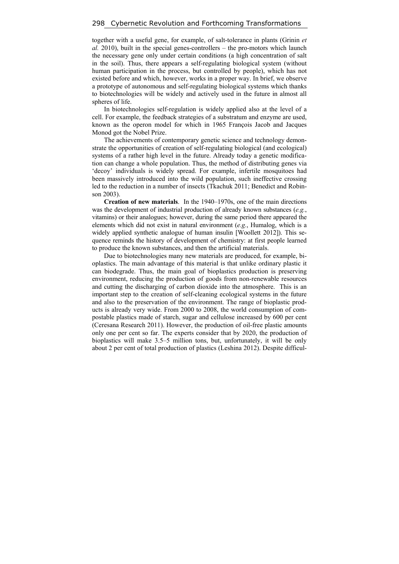together with a useful gene, for example, of salt-tolerance in plants (Grinin *et al.* 2010), built in the special genes-controllers – the pro-motors which launch the necessary gene only under certain conditions (a high concentration of salt in the soil). Thus, there appears a self-regulating biological system (without human participation in the process, but controlled by people), which has not existed before and which, however, works in a proper way. In brief, we observe a prototype of autonomous and self-regulating biological systems which thanks to biotechnologies will be widely and actively used in the future in almost all spheres of life.

In biotechnologies self-regulation is widely applied also at the level of a cell. For example, the feedback strategies of a substratum and enzyme are used, known as the operon model for which in 1965 François Jacob and Jacques Monod got the Nobel Prize.

The achievements of contemporary genetic science and technology demonstrate the opportunities of creation of self-regulating biological (and ecological) systems of a rather high level in the future. Already today a genetic modification can change a whole population. Thus, the method of distributing genes via 'decoy' individuals is widely spread. For example, infertile mosquitoes had been massively introduced into the wild population, such ineffective crossing led to the reduction in a number of insects (Tkachuk 2011; Benedict and Robinson 2003).

**Creation of new materials**. In the 1940–1970s, one of the main directions was the development of industrial production of already known substances (*e.g.*, vitamins) or their analogues; however, during the same period there appeared the elements which did not exist in natural environment (*e.g.*, Humalog, which is a widely applied synthetic analogue of human insulin [Woollett 2012]). This sequence reminds the history of development of chemistry: at first people learned to produce the known substances, and then the artificial materials.

Due to biotechnologies many new materials are produced, for example, bioplastics. The main advantage of this material is that unlike ordinary plastic it can biodegrade. Thus, the main goal of bioplastics production is preserving environment, reducing the production of goods from non-renewable resources and cutting the discharging of carbon dioxide into the atmosphere. This is an important step to the creation of self-cleaning ecological systems in the future and also to the preservation of the environment. The range of bioplastic products is already very wide. From 2000 to 2008, the world consumption of compostable plastics made of starch, sugar and cellulose increased by 600 per cent (Ceresana Research 2011). However, the production of oil-free plastic amounts only one per cent so far. The experts consider that by 2020, the production of bioplastics will make 3.5–5 million tons, but, unfortunately, it will be only about 2 per cent of total production of plastics (Leshina 2012). Despite difficul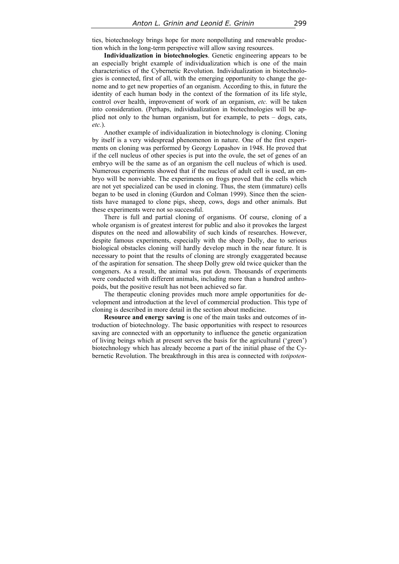ties, biotechnology brings hope for more nonpolluting and renewable production which in the long-term perspective will allow saving resources.

**Individualization in biotechnologies**. Genetic engineering appears to be an especially bright example of individualization which is one of the main characteristics of the Cybernetic Revolution. Individualization in biotechnologies is connected, first of all, with the emerging opportunity to change the genome and to get new properties of an organism. According to this, in future the identity of each human body in the context of the formation of its life style, control over health, improvement of work of an organism, *etc.* will be taken into consideration. (Perhaps, individualization in biotechnologies will be applied not only to the human organism, but for example, to pets – dogs, cats, *etc.*).

Another example of individualization in biotechnology is cloning. Cloning by itself is a very widespread phenomenon in nature. One of the first experiments on cloning was performed by Georgy Lopashov in 1948. He proved that if the cell nucleus of other species is put into the ovule, the set of genes of an embryo will be the same as of an organism the cell nucleus of which is used. Numerous experiments showed that if the nucleus of adult cell is used, an embryo will be nonviable. The experiments on frogs proved that the cells which are not yet specialized can be used in cloning. Thus, the stem (immature) cells began to be used in cloning (Gurdon and Colman 1999). Since then the scientists have managed to clone pigs, sheep, cows, dogs and other animals. But these experiments were not so successful.

There is full and partial cloning of organisms. Of course, cloning of a whole organism is of greatest interest for public and also it provokes the largest disputes on the need and allowability of such kinds of researches. However, despite famous experiments, especially with the sheep Dolly, due to serious biological obstacles cloning will hardly develop much in the near future. It is necessary to point that the results of cloning are strongly exaggerated because of the aspiration for sensation. The sheep Dolly grew old twice quicker than the congeners. As a result, the animal was put down. Thousands of experiments were conducted with different animals, including more than a hundred anthropoids, but the positive result has not been achieved so far.

The therapeutic cloning provides much more ample opportunities for development and introduction at the level of commercial production. This type of cloning is described in more detail in the section about medicine.

**Resource and energy saving** is one of the main tasks and outcomes of introduction of biotechnology. The basic opportunities with respect to resources saving are connected with an opportunity to influence the genetic organization of living beings which at present serves the basis for the agricultural ('green') biotechnology which has already become a part of the initial phase of the Cybernetic Revolution. The breakthrough in this area is connected with *totipoten-*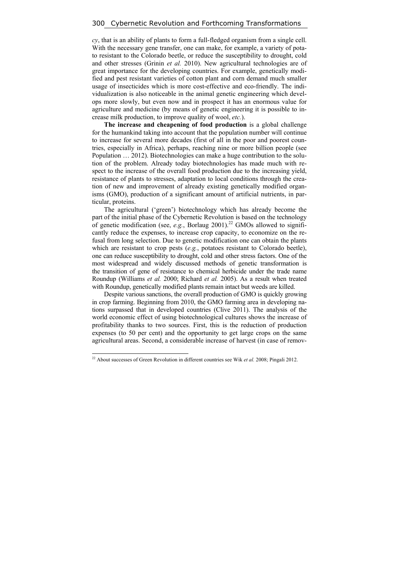*cy*, that is an ability of plants to form a full-fledged organism from a single cell. With the necessary gene transfer, one can make, for example, a variety of potato resistant to the Colorado beetle, or reduce the susceptibility to drought, cold and other stresses (Grinin *et al.* 2010). New agricultural technologies are of great importance for the developing countries. For example, genetically modified and pest resistant varieties of cotton plant and corn demand much smaller usage of insecticides which is more cost-effective and eco-friendly. The individualization is also noticeable in the animal genetic engineering which develops more slowly, but even now and in prospect it has an enormous value for agriculture and medicine (by means of genetic engineering it is possible to increase milk production, to improve quality of wool, *etc.*).

**The increase and cheapening of food production** is a global challenge for the humankind taking into account that the population number will continue to increase for several more decades (first of all in the poor and poorest countries, especially in Africa), perhaps, reaching nine or more billion people (see Population … 2012). Biotechnologies can make a huge contribution to the solution of the problem. Already today biotechnologies has made much with respect to the increase of the overall food production due to the increasing yield, resistance of plants to stresses, adaptation to local conditions through the creation of new and improvement of already existing genetically modified organisms (GMO), production of a significant amount of artificial nutrients, in particular, proteins.

The agricultural ('green') biotechnology which has already become the part of the initial phase of the Cybernetic Revolution is based on the technology of genetic modification (see, *e.g.*, Borlaug 2001).<sup>22</sup> GMOs allowed to significantly reduce the expenses, to increase crop capacity, to economize on the refusal from long selection. Due to genetic modification one can obtain the plants which are resistant to crop pests (*e.g.*, potatoes resistant to Colorado beetle), one can reduce susceptibility to drought, cold and other stress factors. One of the most widespread and widely discussed methods of genetic transformation is the transition of gene of resistance to chemical herbicide under the trade name Roundup (Williams *et al.* 2000; Richard *et al.* 2005). As a result when treated with Roundup, genetically modified plants remain intact but weeds are killed.

Despite various sanctions, the overall production of GMO is quickly growing in crop farming. Beginning from 2010, the GMO farming area in developing nations surpassed that in developed countries (Clive 2011). The analysis of the world economic effect of using biotechnological cultures shows the increase of profitability thanks to two sources. First, this is the reduction of production expenses (to 50 per cent) and the opportunity to get large crops on the same agricultural areas. Second, a considerable increase of harvest (in case of remov-

<sup>22</sup> About successes of Green Revolution in different countries see Wik *et al.* 2008; Pingali 2012.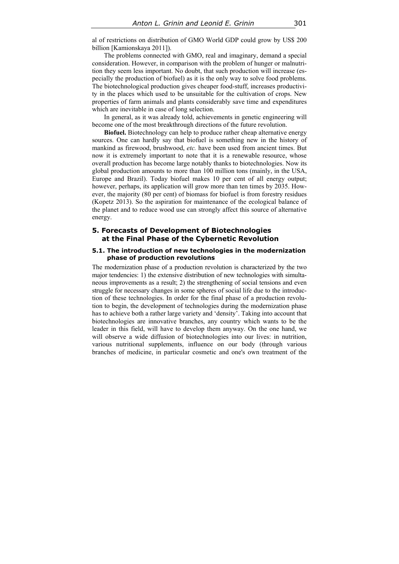al of restrictions on distribution of GMO World GDP could grow by US\$ 200 billion [Kamionskaya 2011]).

The problems connected with GMO, real and imaginary, demand a special consideration. However, in comparison with the problem of hunger or malnutrition they seem less important. No doubt, that such production will increase (especially the production of biofuel) as it is the only way to solve food problems. The biotechnological production gives cheaper food-stuff, increases productivity in the places which used to be unsuitable for the cultivation of crops. New properties of farm animals and plants considerably save time and expenditures which are inevitable in case of long selection.

In general, as it was already told, achievements in genetic engineering will become one of the most breakthrough directions of the future revolution.

**Biofuel.** Biotechnology can help to produce rather cheap alternative energy sources. One can hardly say that biofuel is something new in the history of mankind as firewood, brushwood, *etc.* have been used from ancient times. But now it is extremely important to note that it is a renewable resource, whose overall production has become large notably thanks to biotechnologies. Now its global production amounts to more than 100 million tons (mainly, in the USA, Europe and Brazil). Today biofuel makes 10 per cent of all energy output; however, perhaps, its application will grow more than ten times by 2035. However, the majority (80 per cent) of biomass for biofuel is from forestry residues (Kopetz 2013). So the aspiration for maintenance of the ecological balance of the planet and to reduce wood use can strongly affect this source of alternative energy.

### **5. Forecasts of Development of Biotechnologies at the Final Phase of the Cybernetic Revolution**

#### **5.1. The introduction of new technologies in the modernization phase of production revolutions**

The modernization phase of a production revolution is characterized by the two major tendencies: 1) the extensive distribution of new technologies with simultaneous improvements as a result; 2) the strengthening of social tensions and even struggle for necessary changes in some spheres of social life due to the introduction of these technologies. In order for the final phase of a production revolution to begin, the development of technologies during the modernization phase has to achieve both a rather large variety and 'density'. Taking into account that biotechnologies are innovative branches, any country which wants to be the leader in this field, will have to develop them anyway. On the one hand, we will observe a wide diffusion of biotechnologies into our lives: in nutrition, various nutritional supplements, influence on our body (through various branches of medicine, in particular cosmetic and one's own treatment of the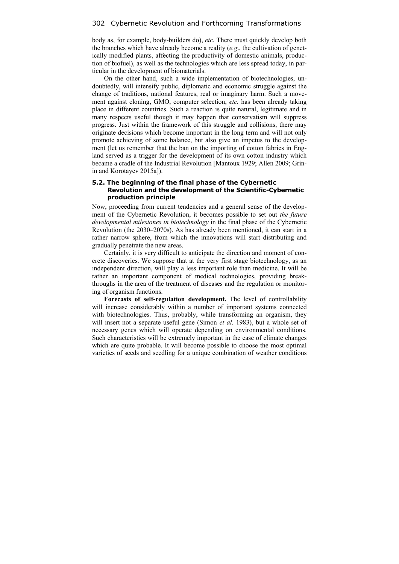body as, for example, body-builders do), *etc*. There must quickly develop both the branches which have already become a reality (*e.g*., the cultivation of genetically modified plants, affecting the productivity of domestic animals, production of biofuel), as well as the technologies which are less spread today, in particular in the development of biomaterials.

On the other hand, such a wide implementation of biotechnologies, undoubtedly, will intensify public, diplomatic and economic struggle against the change of traditions, national features, real or imaginary harm. Such a movement against cloning, GMO, computer selection, *etc.* has been already taking place in different countries. Such a reaction is quite natural, legitimate and in many respects useful though it may happen that conservatism will suppress progress. Just within the framework of this struggle and collisions, there may originate decisions which become important in the long term and will not only promote achieving of some balance, but also give an impetus to the development (let us remember that the ban on the importing of cotton fabrics in England served as a trigger for the development of its own cotton industry which became a cradle of the Industrial Revolution [Mantoux 1929; Allen 2009; Grinin and Korotayev 2015a]).

#### **5.2. The beginning of the final phase of the Cybernetic Revolution and the development of the Scientific-Cybernetic production principle**

Now, proceeding from current tendencies and a general sense of the development of the Cybernetic Revolution, it becomes possible to set out *the future developmental milestones in biotechnology* in the final phase of the Cybernetic Revolution (the 2030–2070s). As has already been mentioned, it can start in a rather narrow sphere, from which the innovations will start distributing and gradually penetrate the new areas.

Certainly, it is very difficult to anticipate the direction and moment of concrete discoveries. We suppose that at the very first stage biotechnology, as an independent direction, will play a less important role than medicine. It will be rather an important component of medical technologies, providing breakthroughs in the area of the treatment of diseases and the regulation or monitoring of organism functions.

**Forecasts of self-regulation development.** The level of controllability will increase considerably within a number of important systems connected with biotechnologies. Thus, probably, while transforming an organism, they will insert not a separate useful gene (Simon *et al.* 1983), but a whole set of necessary genes which will operate depending on environmental conditions. Such characteristics will be extremely important in the case of climate changes which are quite probable. It will become possible to choose the most optimal varieties of seeds and seedling for a unique combination of weather conditions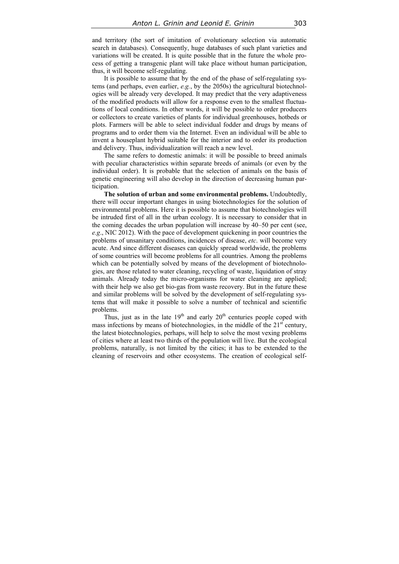and territory (the sort of imitation of evolutionary selection via automatic search in databases). Consequently, huge databases of such plant varieties and variations will be created. It is quite possible that in the future the whole process of getting a transgenic plant will take place without human participation, thus, it will become self-regulating.

It is possible to assume that by the end of the phase of self-regulating systems (and perhaps, even earlier, *e.g.*, by the 2050s) the agricultural biotechnologies will be already very developed. It may predict that the very adaptiveness of the modified products will allow for a response even to the smallest fluctuations of local conditions. In other words, it will be possible to order producers or collectors to create varieties of plants for individual greenhouses, hotbeds or plots. Farmers will be able to select individual fodder and drugs by means of programs and to order them via the Internet. Even an individual will be able to invent a houseplant hybrid suitable for the interior and to order its production and delivery. Thus, individualization will reach a new level.

The same refers to domestic animals: it will be possible to breed animals with peculiar characteristics within separate breeds of animals (or even by the individual order). It is probable that the selection of animals on the basis of genetic engineering will also develop in the direction of decreasing human participation.

**The solution of urban and some environmental problems.** Undoubtedly, there will occur important changes in using biotechnologies for the solution of environmental problems. Here it is possible to assume that biotechnologies will be intruded first of all in the urban ecology. It is necessary to consider that in the coming decades the urban population will increase by 40–50 per cent (see, *e.g*., NIC 2012). With the pace of development quickening in poor countries the problems of unsanitary conditions, incidences of disease, *etc*. will become very acute. And since different diseases can quickly spread worldwide, the problems of some countries will become problems for all countries. Among the problems which can be potentially solved by means of the development of biotechnologies, are those related to water cleaning, recycling of waste, liquidation of stray animals. Already today the micro-organisms for water cleaning are applied; with their help we also get bio-gas from waste recovery. But in the future these and similar problems will be solved by the development of self-regulating systems that will make it possible to solve a number of technical and scientific problems.

Thus, just as in the late  $19<sup>th</sup>$  and early  $20<sup>th</sup>$  centuries people coped with mass infections by means of biotechnologies, in the middle of the  $21<sup>st</sup>$  century, the latest biotechnologies, perhaps, will help to solve the most vexing problems of cities where at least two thirds of the population will live. But the ecological problems, naturally, is not limited by the cities; it has to be extended to the cleaning of reservoirs and other ecosystems. The creation of ecological self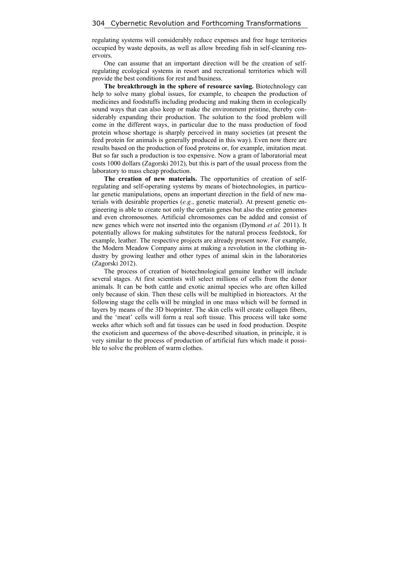regulating systems will considerably reduce expenses and free huge territories occupied by waste deposits, as well as allow breeding fish in self-cleaning reservoirs.

One can assume that an important direction will be the creation of selfregulating ecological systems in resort and recreational territories which will provide the best conditions for rest and business.

**The breakthrough in the sphere of resource saving.** Biotechnology can help to solve many global issues, for example, to cheapen the production of medicines and foodstuffs including producing and making them in ecologically sound ways that can also keep or make the environment pristine, thereby considerably expanding their production. The solution to the food problem will come in the different ways, in particular due to the mass production of food protein whose shortage is sharply perceived in many societies (at present the feed protein for animals is generally produced in this way). Even now there are results based on the production of food proteins or, for example, imitation meat. But so far such a production is too expensive. Now a gram of laboratorial meat costs 1000 dollars (Zagorski 2012), but this is part of the usual process from the laboratory to mass cheap production.

**The creation of new materials.** The opportunities of creation of selfregulating and self-operating systems by means of biotechnologies, in particular genetic manipulations, opens an important direction in the field of new materials with desirable properties (*e.g.*, genetic material). At present genetic engineering is able to create not only the certain genes but also the entire genomes and even chromosomes. Artificial chromosomes can be added and consist of new genes which were not inserted into the organism (Dymond *et al.* 2011). It potentially allows for making substitutes for the natural process feedstock, for example, leather. The respective projects are already present now. For example, the Modern Meadow Company aims at making a revolution in the clothing industry by growing leather and other types of animal skin in the laboratories (Zagorski 2012).

The process of creation of biotechnological genuine leather will include several stages. At first scientists will select millions of cells from the donor animals. It can be both cattle and exotic animal species who are often killed only because of skin. Then these cells will be multiplied in bioreactors. At the following stage the cells will be mingled in one mass which will be formed in layers by means of the 3D bioprinter. The skin cells will create collagen fibers, and the 'meat' cells will form a real soft tissue. This process will take some weeks after which soft and fat tissues can be used in food production. Despite the exoticism and queerness of the above-described situation, in principle, it is very similar to the process of production of artificial furs which made it possible to solve the problem of warm clothes.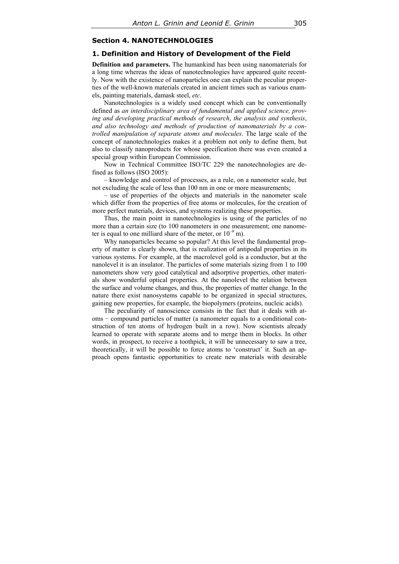### **Section 4. NANOTECHNOLOGIES**

#### **1. Definition and History of Development of the Field**

**Definition and parameters.** The humankind has been using nanomaterials for a long time whereas the ideas of nanotechnologies have appeared quite recently. Now with the existence of nanoparticles one can explain the peculiar properties of the well-known materials created in ancient times such as various enamels, painting materials, damask steel, *etc*.

Nanotechnologies is a widely used concept which can be conventionally defined as *an interdisciplinary area of fundamental and applied science, proving and developing practical methods of research*, *the analysis and synthesis*, *and also technology and methods of production of nanomaterials by a controlled manipulation of separate atoms and molecules*. The large scale of the concept of nanotechnologies makes it a problem not only to define them, but also to classify nanoproducts for whose specification there was even created a special group within European Commission.

Now in Technical Committee ISO/TC 229 the nanotechnologies are defined as follows (ISO 2005):

– knowledge and control of processes, as a rule, on a nanometer scale, but not excluding the scale of less than 100 nm in one or more measurements;

– use of properties of the objects and materials in the nanometer scale which differ from the properties of free atoms or molecules, for the creation of more perfect materials, devices, and systems realizing these properties.

Thus, the main point in nanotechnologies is using of the particles of no more than a certain size (to 100 nanometers in one measurement; one nanometer is equal to one milliard share of the meter, or  $10^{-9}$  m).

Why nanoparticles became so popular? At this level the fundamental property of matter is clearly shown, that is realization of antipodal properties in its various systems. For example, at the macrolevel gold is a conductor, but at the nanolevel it is an insulator. The particles of some materials sizing from 1 to 100 nanometers show very good catalytical and adsorptive properties, other materials show wonderful optical properties. At the nanolevel the relation between the surface and volume changes, and thus, the properties of matter change. In the nature there exist nanosystems capable to be organized in special structures, gaining new properties, for example, the biopolymers (proteins, nucleic acids).

The peculiarity of nanoscience consists in the fact that it deals with atoms − compound particles of matter (a nanometer equals to a conditional construction of ten atoms of hydrogen built in a row). Now scientists already learned to operate with separate atoms and to merge them in blocks. In other words, in prospect, to receive a toothpick, it will be unnecessary to saw a tree, theoretically, it will be possible to force atoms to 'construct' it. Such an approach opens fantastic opportunities to create new materials with desirable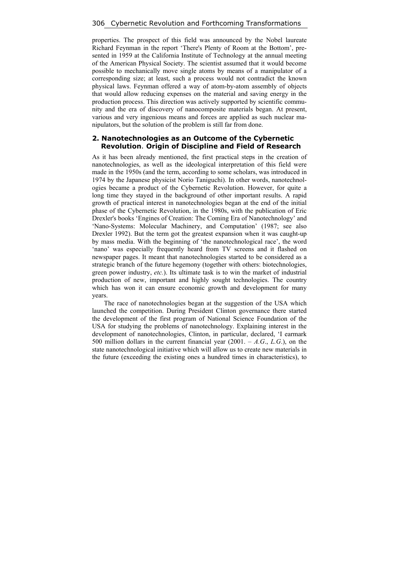properties. The prospect of this field was announced by the Nobel laureate Richard Feynman in the report 'There's Plenty of Room at the Bottom', presented in 1959 at the California Institute of Technology at the annual meeting of the American Physical Society. The scientist assumed that it would become possible to mechanically move single atoms by means of a manipulator of a corresponding size; at least, such a process would not contradict the known physical laws. Feynman offered a way of atom-by-atom assembly of objects that would allow reducing expenses on the material and saving energy in the production process. This direction was actively supported by scientific community and the era of discovery of nanocomposite materials began. At present, various and very ingenious means and forces are applied as such nuclear manipulators, but the solution of the problem is still far from done.

## **2. Nanotechnologies as an Outcome of the Cybernetic Revolution**. **Origin of Discipline and Field of Research**

As it has been already mentioned, the first practical steps in the creation of nanotechnologies, as well as the ideological interpretation of this field were made in the 1950s (and the term, according to some scholars, was introduced in 1974 by the Japanese physicist Norio Taniguchi). In other words, nanotechnologies became a product of the Cybernetic Revolution. However, for quite a long time they stayed in the background of other important results. A rapid growth of practical interest in nanotechnologies began at the end of the initial phase of the Cybernetic Revolution, in the 1980s, with the publication of Eric Drexler's books 'Engines of Creation: The Coming Era of Nanotechnology' and 'Nano-Systems: Molecular Machinery, and Computation' (1987; see also Drexler 1992). But the term got the greatest expansion when it was caught-up by mass media. With the beginning of 'the nanotechnological race', the word 'nano' was especially frequently heard from TV screens and it flashed on newspaper pages. It meant that nanotechnologies started to be considered as a strategic branch of the future hegemony (together with others: biotechnologies, green power industry, *etc.*). Its ultimate task is to win the market of industrial production of new, important and highly sought technologies. The country which has won it can ensure economic growth and development for many years.

The race of nanotechnologies began at the suggestion of the USA which launched the competition. During President Clinton governance there started the development of the first program of National Science Foundation of the USA for studying the problems of nanotechnology. Explaining interest in the development of nanotechnologies, Clinton, in particular, declared, 'I earmark 500 million dollars in the current financial year (2001. – *A.G*., *L.G*.), on the state nanotechnological initiative which will allow us to create new materials in the future (exceeding the existing ones a hundred times in characteristics), to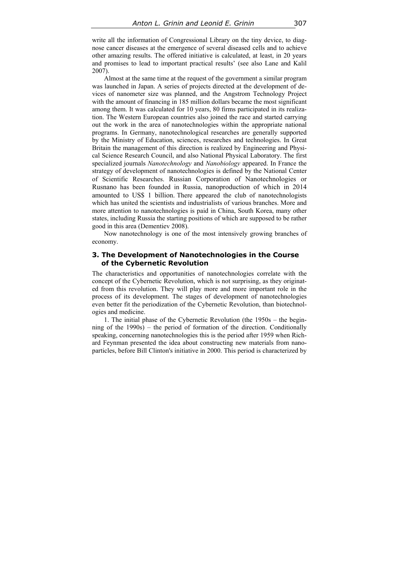write all the information of Congressional Library on the tiny device, to diagnose cancer diseases at the emergence of several diseased cells and to achieve other amazing results. The offered initiative is calculated, at least, in 20 years and promises to lead to important practical results' (see also Lane and Kalil 2007).

Almost at the same time at the request of the government a similar program was launched in Japan. A series of projects directed at the development of devices of nanometer size was planned, and the Angstrom Technology Project with the amount of financing in 185 million dollars became the most significant among them. It was calculated for 10 years, 80 firms participated in its realization. The Western European countries also joined the race and started carrying out the work in the area of nanotechnologies within the appropriate national programs. In Germany, nanotechnological researches are generally supported by the Ministry of Education, sciences, researches and technologies. In Great Britain the management of this direction is realized by Engineering and Physical Science Research Council, and also National Physical Laboratory. The first specialized journals *Nanotechnology* and *Nanobiology* appeared. In France the strategy of development of nanotechnologies is defined by the National Center of Scientific Researches. Russian Corporation of Nanotechnologies or Rusnano has been founded in Russia, nanoproduction of which in 2014 amounted to US\$ 1 billion. There appeared the club of nanotechnologists which has united the scientists and industrialists of various branches. More and more attention to nanotechnologies is paid in China, South Korea, many other states, including Russia the starting positions of which are supposed to be rather good in this area (Dementiev 2008).

Now nanotechnology is one of the most intensively growing branches of economy.

# **3. The Development of Nanotechnologies in the Course of the Cybernetic Revolution**

The characteristics and opportunities of nanotechnologies correlate with the concept of the Cybernetic Revolution, which is not surprising, as they originated from this revolution. They will play more and more important role in the process of its development. The stages of development of nanotechnologies even better fit the periodization of the Cybernetic Revolution, than biotechnologies and medicine.

1. The initial phase of the Cybernetic Revolution (the 1950s – the beginning of the 1990s) – the period of formation of the direction. Conditionally speaking, concerning nanotechnologies this is the period after 1959 when Richard Feynman presented the idea about constructing new materials from nanoparticles, before Bill Clinton's initiative in 2000. This period is characterized by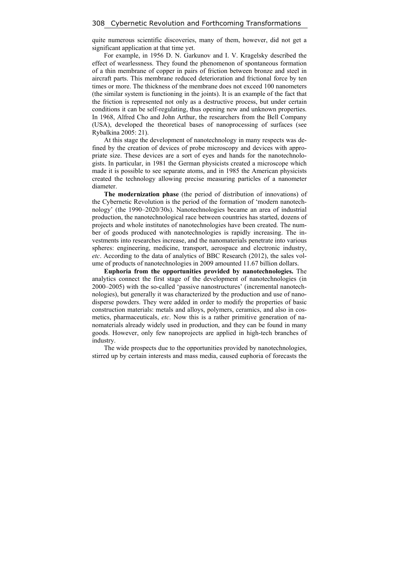quite numerous scientific discoveries, many of them, however, did not get a significant application at that time yet.

For example, in 1956 D. N. Garkunov and I. V. Kragelsky described the effect of wearlessness. They found the phenomenon of spontaneous formation of a thin membrane of copper in pairs of friction between bronze and steel in aircraft parts. This membrane reduced deterioration and frictional force by ten times or more. The thickness of the membrane does not exceed 100 nanometers (the similar system is functioning in the joints). It is an example of the fact that the friction is represented not only as a destructive process, but under certain conditions it can be self-regulating, thus opening new and unknown properties. In 1968, Alfred Cho and John Arthur, the researchers from the Bell Company (USA), developed the theoretical bases of nanoprocessing of surfaces (see Rybalkina 2005: 21).

At this stage the development of nanotechnology in many respects was defined by the creation of devices of probe microscopy and devices with appropriate size. These devices are a sort of eyes and hands for the nanotechnologists. In particular, in 1981 the German physicists created a microscope which made it is possible to see separate atoms, аnd in 1985 the American physicists created the technology allowing precise measuring particles of a nanometer diameter.

**The modernization phase** (the period of distribution of innovations) of the Cybernetic Revolution is the period of the formation of 'modern nanotechnology' (the 1990–2020/30s). Nanotechnologies became an area of industrial production, the nanotechnological race between countries has started, dozens of projects and whole institutes of nanotechnologies have been created. The number of goods produced with nanotechnologies is rapidly increasing. The investments into researches increase, and the nanomaterials penetrate into various spheres: engineering, medicine, transport, aerospace and electronic industry, *etc*. According to the data of analytics of BBC Research (2012), the sales volume of products of nanotechnologies in 2009 amounted 11.67 billion dollars.

**Euphoria from the opportunities provided by nanotechnologies.** The analytics connect the first stage of the development of nanotechnologies (in 2000–2005) with the so-called 'passive nanostructures' (incremental nanotechnologies), but generally it was characterized by the production and use of nanodisperse powders. They were added in order to modify the properties of basic construction materials: metals and alloys, polymers, ceramics, and also in cosmetics, pharmaceuticals, *etc*. Now this is a rather primitive generation of nanomaterials already widely used in production, and they can be found in many goods. However, only few nanoprojects are applied in high-tech branches of industry.

The wide prospects due to the opportunities provided by nanotechnologies, stirred up by certain interests and mass media, caused euphoria of forecasts the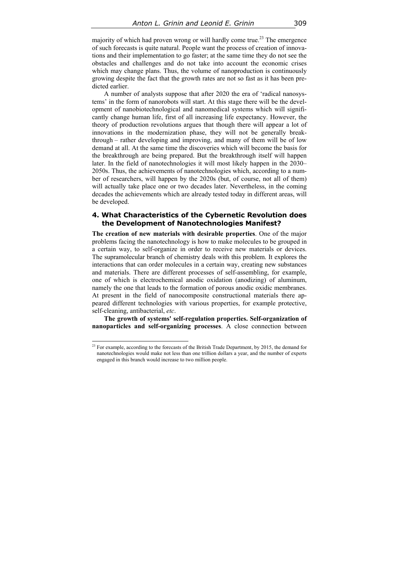majority of which had proven wrong or will hardly come true.<sup>23</sup> The emergence of such forecasts is quite natural. People want the process of creation of innovations and their implementation to go faster; at the same time they do not see the obstacles and challenges and do not take into account the economic crises which may change plans. Thus, the volume of nanoproduction is continuously growing despite the fact that the growth rates are not so fast as it has been predicted earlier.

A number of analysts suppose that after 2020 the era of 'radical nanosystems' in the form of nanorobots will start. At this stage there will be the development of nanobiotechnological and nanomedical systems which will significantly change human life, first of all increasing life expectancy. However, the theory of production revolutions argues that though there will appear a lot of innovations in the modernization phase, they will not be generally breakthrough – rather developing and improving, and many of them will be of low demand at all. At the same time the discoveries which will become the basis for the breakthrough are being prepared. But the breakthrough itself will happen later. In the field of nanotechnologies it will most likely happen in the 2030– 2050s. Thus, the achievements of nanotechnologies which, according to a number of researchers, will happen by the 2020s (but, of course, not all of them) will actually take place one or two decades later. Nevertheless, in the coming decades the achievements which are already tested today in different areas, will be developed.

## **4. What Characteristics of the Cybernetic Revolution does the Development of Nanotechnologies Manifest?**

**The creation of new materials with desirable properties**. One of the major problems facing the nanotechnology is how to make molecules to be grouped in a certain way, to self-organize in order to receive new materials or devices. The supramolecular branch of chemistry deals with this problem. It explores the interactions that can order molecules in a certain way, creating new substances and materials. There are different processes of self-assembling, for example, one of which is electrochemical anodic oxidation (anodizing) of aluminum, namely the one that leads to the formation of porous anodic oxidic membranes. At present in the field of nanocomposite constructional materials there appeared different technologies with various properties, for example protective, self-cleaning, antibacterial, *etc*.

**The growth of systems' self-regulation properties. Self-organization of nanoparticles and self-organizing processes**. A close connection between

<sup>&</sup>lt;sup>23</sup> For example, according to the forecasts of the British Trade Department, by 2015, the demand for nanotechnologies would make not less than one trillion dollars a year, and the number of experts engaged in this branch would increase to two million people.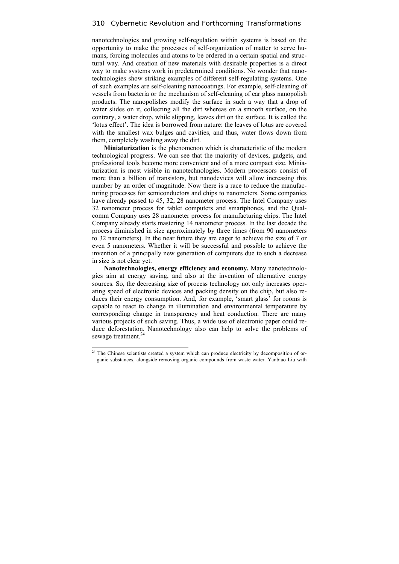nanotechnologies and growing self-regulation within systems is based on the opportunity to make the processes of self-organization of matter to serve humans, forcing molecules and atoms to be ordered in a certain spatial and structural way. And creation of new materials with desirable properties is a direct way to make systems work in predetermined conditions. No wonder that nanotechnologies show striking examples of different self-regulating systems. One of such examples are self-cleaning nanocoatings. For example, self-cleaning of vessels from bacteria or the mechanism of self-cleaning of car glass nanopolish products. The nanopolishes modify the surface in such a way that a drop of water slides on it, collecting all the dirt whereas on a smooth surface, on the contrary, a water drop, while slipping, leaves dirt on the surface. It is called the 'lotus effect'. The idea is borrowed from nature: the leaves of lotus are covered with the smallest wax bulges and cavities, and thus, water flows down from them, completely washing away the dirt.

**Miniaturization** is the phenomenon which is characteristic of the modern technological progress. We can see that the majority of devices, gadgets, and professional tools become more convenient and of a more compact size. Miniaturization is most visible in nanotechnologies. Modern processors consist of more than a billion of transistors, but nanodevices will allow increasing this number by an order of magnitude. Now there is a race to reduce the manufacturing processes for semiconductors and chips to nanometers. Some companies have already passed to 45, 32, 28 nanometer process. The Intel Company uses 32 nanometer process for tablet computers and smartphones, and the Qualcomm Company uses 28 nanometer process for manufacturing chips. The Intel Company already starts mastering 14 nanometer process. In the last decade the process diminished in size approximately by three times (from 90 nanometers to 32 nanometers). In the near future they are eager to achieve the size of 7 or even 5 nanometers. Whether it will be successful and possible to achieve the invention of a principally new generation of computers due to such a decrease in size is not clear yet.

**Nanotechnologies, energy efficiency and economy.** Many nanotechnologies aim at energy saving, and also at the invention of alternative energy sources. So, the decreasing size of process technology not only increases operating speed of electronic devices and packing density on the chip, but also reduces their energy consumption. And, for example, 'smart glass' for rooms is capable to react to change in illumination and environmental temperature by corresponding change in transparency and heat conduction. There are many various projects of such saving. Thus, a wide use of electronic paper could reduce deforestation. Nanotechnology also can help to solve the problems of sewage treatment.<sup>24</sup>

 $24$  The Chinese scientists created a system which can produce electricity by decomposition of organic substances, alongside removing organic compounds from waste water. Yanbiao Liu with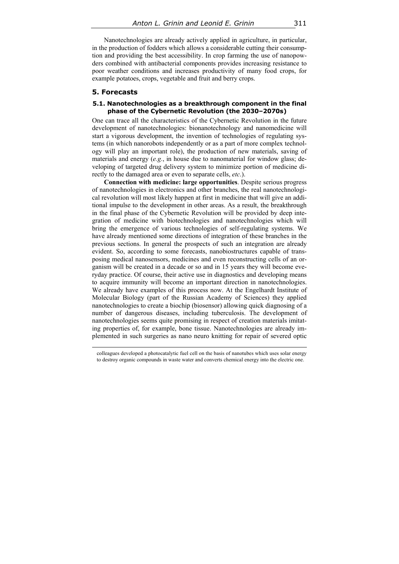Nanotechnologies are already actively applied in agriculture, in particular, in the production of fodders which allows a considerable cutting their consumption and providing the best accessibility. In crop farming the use of nanopowders combined with antibacterial components provides increasing resistance to poor weather conditions and increases productivity of many food crops, for example potatoes, crops, vegetable and fruit and berry crops.

### **5. Forecasts**

#### **5.1. Nanotechnologies as a breakthrough component in the final phase of the Cybernetic Revolution (the 2030–2070s)**

One can trace all the characteristics of the Cybernetic Revolution in the future development of nanotechnologies: bionanotechnology and nanomedicine will start a vigorous development, the invention of technologies of regulating systems (in which nanorobots independently or as a part of more complex technology will play an important role), the production of new materials, saving of materials and energy (*e.g.*, in house due to nanomaterial for window glass; developing of targeted drug delivery system to minimize portion of medicine directly to the damaged area or even to separate cells, *etc*.).

**Connection with medicine: large opportunities**. Despite serious progress of nanotechnologies in electronics and other branches, the real nanotechnological revolution will most likely happen at first in medicine that will give an additional impulse to the development in other areas. As a result, the breakthrough in the final phase of the Cybernetic Revolution will be provided by deep integration of medicine with biotechnologies and nanotechnologies which will bring the emergence of various technologies of self-regulating systems. We have already mentioned some directions of integration of these branches in the previous sections. In general the prospects of such an integration are already evident. So, according to some forecasts, nanobiostructures capable of transposing medical nanosensors, medicines and even reconstructing cells of an organism will be created in a decade or so and in 15 years they will become everyday practice. Of course, their active use in diagnostics and developing means to acquire immunity will become an important direction in nanotechnologies. We already have examples of this process now. At the Engelhardt Institute of Molecular Biology (part of the Russian Academy of Sciences) they applied nanotechnologies to create a biochip (biosensor) allowing quick diagnosing of a number of dangerous diseases, including tuberculosis. The development of nanotechnologies seems quite promising in respect of creation materials imitating properties of, for example, bone tissue. Nanotechnologies are already implemented in such surgeries as nano neuro knitting for repair of severed optic

 colleagues developed a photocatalytic fuel cell on the basis of nanotubes which uses solar energy to destroy organic compounds in waste water and converts chemical energy into the electric one.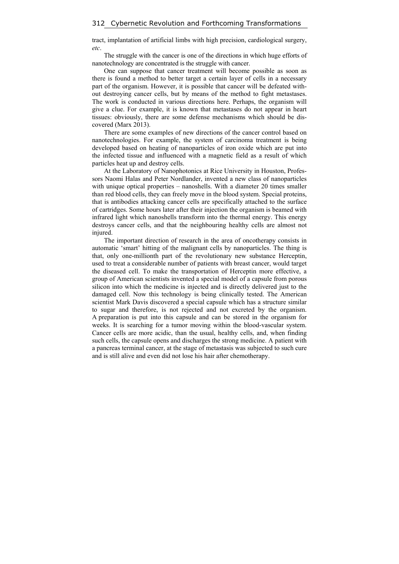tract, implantation of artificial limbs with high precision, cardiological surgery, *etc*.

The struggle with the cancer is one of the directions in which huge efforts of nanotechnology are concentrated is the struggle with cancer.

One can suppose that cancer treatment will become possible as soon as there is found a method to better target a certain layer of cells in a necessary part of the organism. However, it is possible that cancer will be defeated without destroying cancer cells, but by means of the method to fight metastases. The work is conducted in various directions here. Perhaps, the organism will give a clue. For example, it is known that metastases do not appear in heart tissues: obviously, there are some defense mechanisms which should be discovered (Marx 2013).

There are some examples of new directions of the cancer control based on nanotechnologies. For example, the system of carcinoma treatment is being developed based on heating of nanoparticles of iron oxide which are put into the infected tissue and influenced with a magnetic field as a result of which particles heat up and destroy cells.

At the Laboratory of Nanophotonics at Rice University in Houston, Professors Naomi Halas and Peter Nordlander, invented a new class of nanoparticles with unique optical properties – nanoshells. With a diameter 20 times smaller than red blood cells, they can freely move in the blood system. Special proteins, that is antibodies attacking cancer cells are specifically attached to the surface of cartridges. Some hours later after their injection the organism is beamed with infrared light which nanoshells transform into the thermal energy. This energy destroys cancer cells, and that the neighbouring healthy cells are almost not injured.

The important direction of research in the area of oncotherapy consists in automatic 'smart' hitting of the malignant cells by nanoparticles. The thing is that, only one-millionth part of the revolutionary new substance Herceptin, used to treat a considerable number of patients with breast cancer, would target the diseased cell. To make the transportation of Herceptin more effective, a group of American scientists invented a special model of a capsule from porous silicon into which the medicine is injected and is directly delivered just to the damaged cell. Now this technology is being clinically tested. The American scientist Mark Davis discovered a special capsule which has a structure similar to sugar and therefore, is not rejected and not excreted by the organism. A preparation is put into this capsule and can be stored in the organism for weeks. It is searching for a tumor moving within the blood-vascular system. Cancer cells are more acidic, than the usual, healthy cells, and, when finding such cells, the capsule opens and discharges the strong medicine. A patient with a pancreas terminal cancer, at the stage of metastasis was subjected to such cure and is still alive and even did not lose his hair after chemotherapy.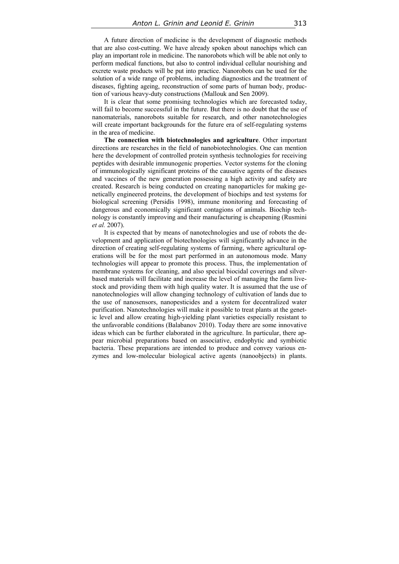A future direction of medicine is the development of diagnostic methods that are also cost-cutting. We have already spoken about nanochips which can play an important role in medicine. The nanorobots which will be able not only to perform medical functions, but also to control individual cellular nourishing and excrete waste products will be put into practice. Nanorobots can be used for the solution of a wide range of problems, including diagnostics and the treatment of diseases, fighting ageing, reconstruction of some parts of human body, production of various heavy-duty constructions (Mallouk and Sen 2009).

It is clear that some promising technologies which are forecasted today, will fail to become successful in the future. But there is no doubt that the use of nanomaterials, nanorobots suitable for research, and other nanotechnologies will create important backgrounds for the future era of self-regulating systems in the area of medicine.

**The connection with biotechnologies and agriculture**. Other important directions are researches in the field of nanobiotechnologies. One can mention here the development of controlled protein synthesis technologies for receiving peptides with desirable immunogenic properties. Vector systems for the cloning of immunologically significant proteins of the causative agents of the diseases and vaccines of the new generation possessing a high activity and safety are created. Research is being conducted on creating nanoparticles for making genetically engineered proteins, the development of biochips and test systems for biological screening (Persidis 1998), immune monitoring and forecasting of dangerous and economically significant contagions of animals. Biochip technology is constantly improving and their manufacturing is cheapening (Rusmini *et al.* 2007).

It is expected that by means of nanotechnologies and use of robots the development and application of biotechnologies will significantly advance in the direction of creating self-regulating systems of farming, where agricultural operations will be for the most part performed in an autonomous mode. Many technologies will appear to promote this process. Thus, the implementation of membrane systems for cleaning, and also special biocidal coverings and silverbased materials will facilitate and increase the level of managing the farm livestock and providing them with high quality water. It is assumed that the use of nanotechnologies will allow changing technology of cultivation of lands due to the use of nanosensors, nanopesticides and a system for decentralized water purification. Nanotechnologies will make it possible to treat plants at the genetic level and allow creating high-yielding plant varieties especially resistant to the unfavorable conditions (Balabanov 2010). Today there are some innovative ideas which can be further elaborated in the agriculture. In particular, there appear microbial preparations based on associative, endophytic and symbiotic bacteria. These preparations are intended to produce and convey various enzymes and low-molecular biological active agents (nanoobjects) in plants.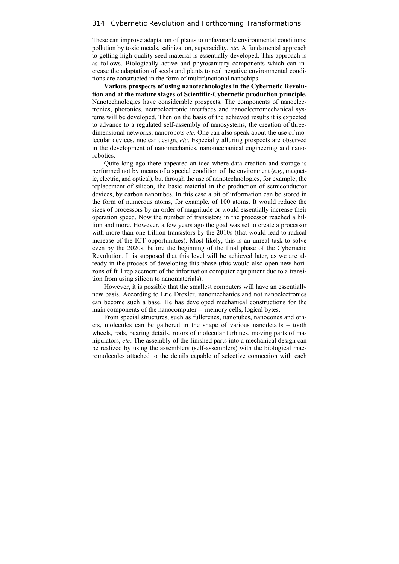These can improve adaptation of plants to unfavorable environmental conditions: pollution by toxic metals, salinization, superacidity, *etc*. A fundamental approach to getting high quality seed material is essentially developed. This approach is as follows. Biologically active and phytosanitary components which can increase the adaptation of seeds and plants to real negative environmental conditions are constructed in the form of multifunctional nanochips.

**Various prospects of using nanotechnologies in the Cybernetic Revolution and at the mature stages of Scientific-Cybernetic production principle.** Nanotechnologies have considerable prospects. The components of nanoelectronics, photonics, neuroelectronic interfaces and nanoelectromechanical systems will be developed. Then on the basis of the achieved results it is expected to advance to a regulated self-assembly of nanosystems, the creation of threedimensional networks, nanorobots *etc*. One can also speak about the use of molecular devices, nuclear design, *etc*. Especially alluring prospects are observed in the development of nanomechanics, nanomechanical engineering and nanorobotics.

Quite long ago there appeared an idea where data creation and storage is performed not by means of a special condition of the environment (*e.g*., magnetic, electric, and optical), but through the use of nanotechnologies, for example, the replacement of silicon, the basic material in the production of semiconductor devices, by carbon nanotubes. In this case a bit of information can be stored in the form of numerous atoms, for example, of 100 atoms. It would reduce the sizes of processors by an order of magnitude or would essentially increase their operation speed. Now the number of transistors in the processor reached a billion and more. However, a few years ago the goal was set to create a processor with more than one trillion transistors by the 2010s (that would lead to radical increase of the ICT opportunities). Most likely, this is an unreal task to solve even by the 2020s, before the beginning of the final phase of the Cybernetic Revolution. It is supposed that this level will be achieved later, as we are already in the process of developing this phase (this would also open new horizons of full replacement of the information computer equipment due to a transition from using silicon to nanomaterials).

However, it is possible that the smallest computers will have an essentially new basis. According to Eric Drexler, nanomechanics and not nanoelectronics can become such a base. He has developed mechanical constructions for the main components of the nanocomputer – memory cells, logical bytes.

From special structures, such as fullerenes, nanotubes, nanocones and others, molecules can be gathered in the shape of various nanodetails – tooth wheels, rods, bearing details, rotors of molecular turbines, moving parts of manipulators, *etc*. The assembly of the finished parts into a mechanical design can be realized by using the assemblers (self-assemblers) with the biological macromolecules attached to the details capable of selective connection with each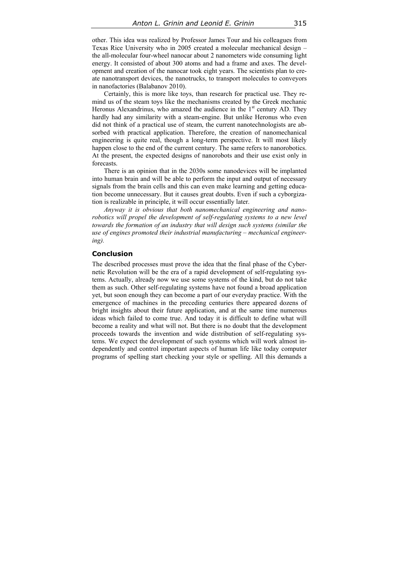other. This idea was realized by Professor James Tour and his colleagues from Texas Rice University who in 2005 created a molecular mechanical design – the all-molecular four-wheel nanocar about 2 nanometers wide consuming light energy. It consisted of about 300 atoms and had a frame and axes. The development and creation of the nanocar took eight years. The scientists plan to create nanotransport devices, the nanotrucks, to transport molecules to conveyors in nanofactories (Balabanov 2010).

Certainly, this is more like toys, than research for practical use. They remind us of the steam toys like the mechanisms created by the Greek mechanic Heronus Alexandrinus, who amazed the audience in the  $1<sup>st</sup>$  century AD. They hardly had any similarity with a steam-engine. But unlike Heronus who even did not think of a practical use of steam, the current nanotechnologists are absorbed with practical application. Therefore, the creation of nanomechanical engineering is quite real, though a long-term perspective. It will most likely happen close to the end of the current century. The same refers to nanorobotics. At the present, the expected designs of nanorobots and their use exist only in forecasts.

There is an opinion that in the 2030s some nanodevices will be implanted into human brain and will be able to perform the input and output of necessary signals from the brain cells and this can even make learning and getting education become unnecessary. But it causes great doubts. Even if such a cyborgization is realizable in principle, it will occur essentially later.

*Anyway it is obvious that both nanomechanical engineering and nanorobotics will propel the development of self-regulating systems to a new level towards the formation of an industry that will design such systems (similar the use of engines promoted their industrial manufacturing – mechanical engineering).* 

### **Conclusion**

The described processes must prove the idea that the final phase of the Cybernetic Revolution will be the era of a rapid development of self-regulating systems. Actually, already now we use some systems of the kind, but do not take them as such. Other self-regulating systems have not found a broad application yet, but soon enough they can become a part of our everyday practice. With the emergence of machines in the preceding centuries there appeared dozens of bright insights about their future application, and at the same time numerous ideas which failed to come true. And today it is difficult to define what will become a reality and what will not. But there is no doubt that the development proceeds towards the invention and wide distribution of self-regulating systems. We expect the development of such systems which will work almost independently and control important aspects of human life like today computer programs of spelling start checking your style or spelling. All this demands a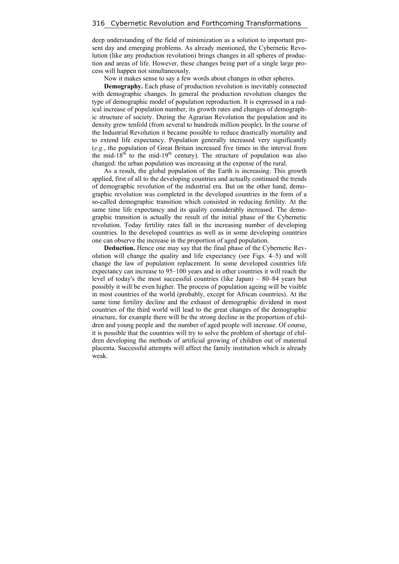deep understanding of the field of minimization as a solution to important present day and emerging problems. As already mentioned, the Cybernetic Revolution (like any production revolution) brings changes in all spheres of production and areas of life. However, these changes being part of a single large process will happen not simultaneously.

Now it makes sense to say a few words about changes in other spheres.

**Demography.** Each phase of production revolution is inevitably connected with demographic changes. In general the production revolution changes the type of demographic model of population reproduction. It is expressed in a radical increase of population number, its growth rates and changes of demographic structure of society. During the Agrarian Revolution the population and its density grew tenfold (from several to hundreds million people). In the course of the Industrial Revolution it became possible to reduce drastically mortality and to extend life expectancy. Population generally increased very significantly (*e.g.*, the population of Great Britain increased five times in the interval from the mid-18<sup>th</sup> to the mid-19<sup>th</sup> century). The structure of population was also changed: the urban population was increasing at the expense of the rural.

As a result, the global population of the Earth is increasing. This growth applied, first of all to the developing countries and actually continued the trends of demographic revolution of the industrial era. But on the other hand, demographic revolution was completed in the developed countries in the form of a so-called demographic transition which consisted in reducing fertility. At the same time life expectancy and its quality considerably increased. The demographic transition is actually the result of the initial phase of the Cybernetic revolution. Today fertility rates fall in the increasing number of developing countries. In the developed countries as well as in some developing countries one can observe the increase in the proportion of aged population.

**Deduction.** Hence one may say that the final phase of the Cybernetic Revolution will change the quality and life expectancy (see Figs. 4–5) and will change the law of population replacement. In some developed countries life expectancy can increase to 95–100 years and in other countries it will reach the level of today's the most successful countries (like Japan) – 80–84 years but possibly it will be even higher. The process of population ageing will be visible in most countries of the world (probably, except for African countries). At the same time fertility decline and the exhaust of demographic dividend in most countries of the third world will lead to the great changes of the demographic structure, for example there will be the strong decline in the proportion of children and young people and the number of aged people will increase. Of course, it is possible that the countries will try to solve the problem of shortage of children developing the methods of artificial growing of children out of maternal placenta. Successful attempts will affect the family institution which is already weak.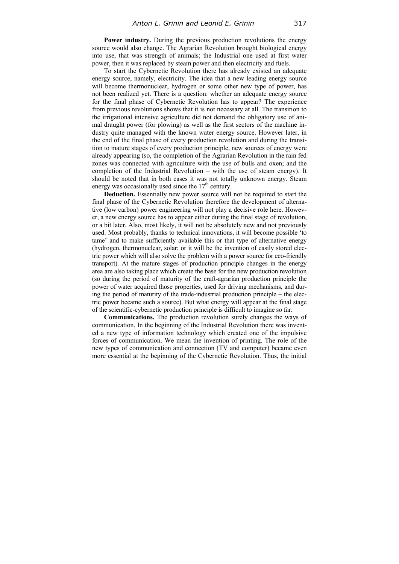Power industry. During the previous production revolutions the energy source would also change. The Agrarian Revolution brought biological energy into use, that was strength of animals; the Industrial one used at first water power, then it was replaced by steam power and then electricity and fuels.

To start the Cybernetic Revolution there has already existed an adequate energy source, namely, electricity. The idea that a new leading energy source will become thermonuclear, hydrogen or some other new type of power, has not been realized yet. There is a question: whether an adequate energy source for the final phase of Cybernetic Revolution has to appear? The experience from previous revolutions shows that it is not necessary at all. The transition to the irrigational intensive agriculture did not demand the obligatory use of animal draught power (for plowing) as well as the first sectors of the machine industry quite managed with the known water energy source. However later, in the end of the final phase of every production revolution and during the transition to mature stages of every production principle, new sources of energy were already appearing (so, the completion of the Agrarian Revolution in the rain fed zones was connected with agriculture with the use of bulls and oxen; and the completion of the Industrial Revolution – with the use of steam energy). It should be noted that in both cases it was not totally unknown energy. Steam energy was occasionally used since the  $17<sup>th</sup>$  century.

**Deduction.** Essentially new power source will not be required to start the final phase of the Cybernetic Revolution therefore the development of alternative (low carbon) power engineering will not play a decisive role here. However, a new energy source has to appear either during the final stage of revolution, or a bit later. Also, most likely, it will not be absolutely new and not previously used. Most probably, thanks to technical innovations, it will become possible 'to tame' and to make sufficiently available this or that type of alternative energy (hydrogen, thermonuclear, solar; or it will be the invention of easily stored electric power which will also solve the problem with a power source for eco-friendly transport). At the mature stages of production principle changes in the energy area are also taking place which create the base for the new production revolution (so during the period of maturity of the craft-agrarian production principle the power of water acquired those properties, used for driving mechanisms, and during the period of maturity of the trade-industrial production principle – the electric power became such a source). But what energy will appear at the final stage of the scientific-cybernetic production principle is difficult to imagine so far.

**Communications.** The production revolution surely changes the ways of communication. In the beginning of the Industrial Revolution there was invented a new type of information technology which created one of the impulsive forces of communication. We mean the invention of printing. The role of the new types of communication and connection (TV and computer) became even more essential at the beginning of the Cybernetic Revolution. Thus, the initial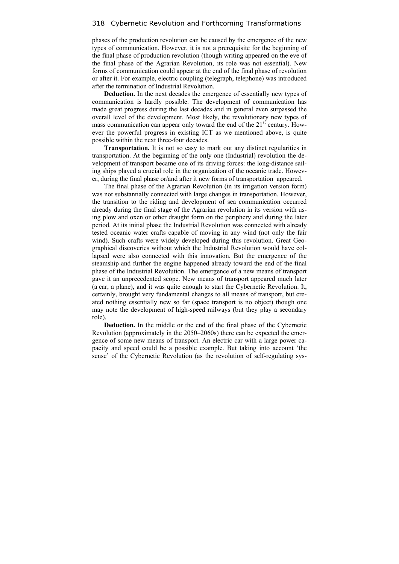phases of the production revolution can be caused by the emergence of the new types of communication. However, it is not a prerequisite for the beginning of the final phase of production revolution (though writing appeared on the eve of the final phase of the Agrarian Revolution, its role was not essential). New forms of communication could appear at the end of the final phase of revolution or after it. For example, electric coupling (telegraph, telephone) was introduced after the termination of Industrial Revolution.

**Deduction.** In the next decades the emergence of essentially new types of communication is hardly possible. The development of communication has made great progress during the last decades and in general even surpassed the overall level of the development. Most likely, the revolutionary new types of mass communication can appear only toward the end of the  $21<sup>st</sup>$  century. However the powerful progress in existing ICT as we mentioned above, is quite possible within the next three-four decades.

**Transportation.** It is not so easy to mark out any distinct regularities in transportation. At the beginning of the only one (Industrial) revolution the development of transport became one of its driving forces: the long-distance sailing ships played a crucial role in the organization of the oceanic trade. However, during the final phase or/and after it new forms of transportation appeared.

The final phase of the Agrarian Revolution (in its irrigation version form) was not substantially connected with large changes in transportation. However, the transition to the riding and development of sea communication occurred already during the final stage of the Agrarian revolution in its version with using plow and oxen or other draught form on the periphery and during the later period. At its initial phase the Industrial Revolution was connected with already tested oceanic water crafts capable of moving in any wind (not only the fair wind). Such crafts were widely developed during this revolution. Great Geographical discoveries without which the Industrial Revolution would have collapsed were also connected with this innovation. But the emergence of the steamship and further the engine happened already toward the end of the final phase of the Industrial Revolution. The emergence of a new means of transport gave it an unprecedented scope. New means of transport appeared much later (a car, a plane), and it was quite enough to start the Cybernetic Revolution. It, certainly, brought very fundamental changes to all means of transport, but created nothing essentially new so far (space transport is no object) though one may note the development of high-speed railways (but they play a secondary role).

**Deduction.** In the middle or the end of the final phase of the Cybernetic Revolution (approximately in the 2050–2060s) there can be expected the emergence of some new means of transport. An electric car with a large power capacity and speed could be a possible example. But taking into account 'the sense' of the Cybernetic Revolution (as the revolution of self-regulating sys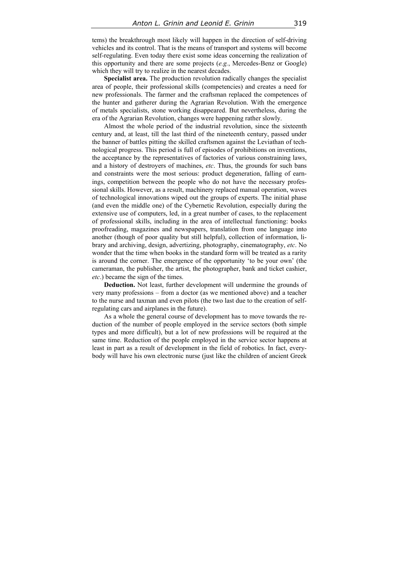tems) the breakthrough most likely will happen in the direction of self-driving vehicles and its control. That is the means of transport and systems will become self-regulating. Even today there exist some ideas concerning the realization of this opportunity and there are some projects (*e.g.*, Mercedes-Benz or Google) which they will try to realize in the nearest decades.

**Specialist area.** The production revolution radically changes the specialist area of people, their professional skills (competencies) and creates a need for new professionals. The farmer and the craftsman replaced the competences of the hunter and gatherer during the Agrarian Revolution. With the emergence of metals specialists, stone working disappeared. But nevertheless, during the era of the Agrarian Revolution, changes were happening rather slowly.

Almost the whole period of the industrial revolution, since the sixteenth century and, at least, till the last third of the nineteenth century, passed under the banner of battles pitting the skilled craftsmen against the Leviathan of technological progress. This period is full of episodes of prohibitions on inventions, the acceptance by the representatives of factories of various constraining laws, and a history of destroyers of machines, *etc*. Thus, the grounds for such bans and constraints were the most serious: product degeneration, falling of earnings, competition between the people who do not have the necessary professional skills. However, as a result, machinery replaced manual operation, waves of technological innovations wiped out the groups of experts. The initial phase (and even the middle one) of the Cybernetic Revolution, especially during the extensive use of computers, led, in a great number of cases, to the replacement of professional skills, including in the area of intellectual functioning: books proofreading, magazines and newspapers, translation from one language into another (though of poor quality but still helpful), collection of information, library and archiving, design, advertizing, photography, cinematography, *etc*. No wonder that the time when books in the standard form will be treated as a rarity is around the corner. The emergence of the opportunity 'to be your own' (the cameraman, the publisher, the artist, the photographer, bank and ticket cashier, *etc*.) became the sign of the times.

**Deduction.** Not least, further development will undermine the grounds of very many professions – from a doctor (as we mentioned above) and a teacher to the nurse and taxman and even pilots (the two last due to the creation of selfregulating cars and airplanes in the future).

As a whole the general course of development has to move towards the reduction of the number of people employed in the service sectors (both simple types and more difficult), but a lot of new professions will be required at the same time. Reduction of the people employed in the service sector happens at least in part as a result of development in the field of robotics. In fact, everybody will have his own electronic nurse (just like the children of ancient Greek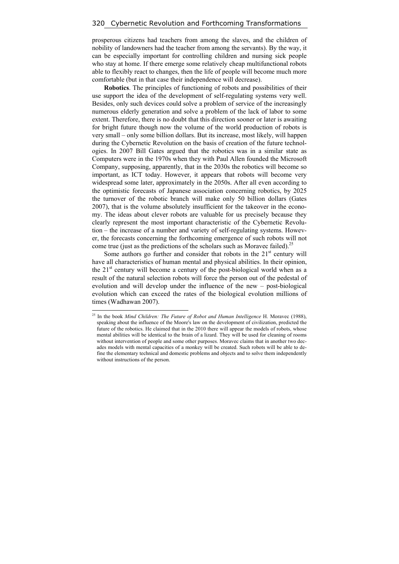prosperous citizens had teachers from among the slaves, and the children of nobility of landowners had the teacher from among the servants). By the way, it can be especially important for controlling children and nursing sick people who stay at home. If there emerge some relatively cheap multifunctional robots able to flexibly react to changes, then the life of people will become much more comfortable (but in that case their independence will decrease).

**Robotics**. The principles of functioning of robots and possibilities of their use support the idea of the development of self-regulating systems very well. Besides, only such devices could solve a problem of service of the increasingly numerous elderly generation and solve a problem of the lack of labor to some extent. Therefore, there is no doubt that this direction sooner or later is awaiting for bright future though now the volume of the world production of robots is very small – only some billion dollars. But its increase, most likely, will happen during the Cybernetic Revolution on the basis of creation of the future technologies. In 2007 Bill Gates argued that the robotics was in a similar state as Computers were in the 1970s when they with Paul Allen founded the Microsoft Company, supposing, apparently, that in the 2030s the robotics will become so important, as ICT today. However, it appears that robots will become very widespread some later, approximately in the 2050s. After all even according to the optimistic forecasts of Japanese association concerning robotics, by 2025 the turnover of the robotic branch will make only 50 billion dollars (Gates 2007), that is the volume absolutely insufficient for the takeover in the economy. The ideas about clever robots are valuable for us precisely because they clearly represent the most important characteristic of the Cybernetic Revolution – the increase of a number and variety of self-regulating systems. However, the forecasts concerning the forthcoming emergence of such robots will not come true (just as the predictions of the scholars such as Moravec failed).<sup>25</sup>

Some authors go further and consider that robots in the  $21<sup>st</sup>$  century will have all characteristics of human mental and physical abilities. In their opinion, the  $21<sup>st</sup>$  century will become a century of the post-biological world when as a result of the natural selection robots will force the person out of the pedestal of evolution and will develop under the influence of the new – post-biological evolution which can exceed the rates of the biological evolution millions of times (Wadhawan 2007).

<sup>25</sup> In the book *Mind Children: The Future of Robot and Human Intelligence* H. Moravec (1988), speaking about the influence of the Moore's law on the development of civilization, predicted the future of the robotics. He claimed that in the 2010 there will appear the models of robots, whose mental abilities will be identical to the brain of a lizard. They will be used for cleaning of rooms without intervention of people and some other purposes. Moravec claims that in another two decades models with mental capacities of a monkey will be created. Such robots will be able to define the elementary technical and domestic problems and objects and to solve them independently without instructions of the person.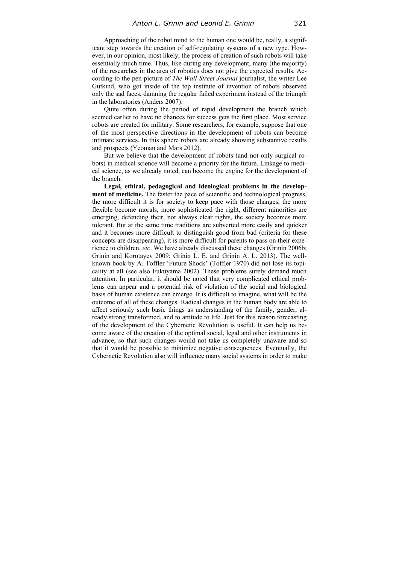Approaching of the robot mind to the human one would be, really, a significant step towards the creation of self-regulating systems of a new type. However, in our opinion, most likely, the process of creation of such robots will take essentially much time. Thus, like during any development, many (the majority) of the researches in the area of robotics does not give the expected results. According to the pen-picture of *The Wall Street Journal* journalist, the writer Lee Gutkind, who got inside of the top institute of invention of robots observed only the sad faces, damning the regular failed experiment instead of the triumph in the laboratories (Anders 2007).

Quite often during the period of rapid development the branch which seemed earlier to have no chances for success gets the first place. Most service robots are created for military. Some researchers, for example, suppose that one of the most perspective directions in the development of robots can become intimate services. In this sphere robots are already showing substantive results and prospects (Yeoman and Mars 2012).

But we believe that the development of robots (and not only surgical robots) in medical science will become a priority for the future. Linkage to medical science, as we already noted, can become the engine for the development of the branch.

**Legal, ethical, pedagogical and ideological problems in the development of medicine.** The faster the pace of scientific and technological progress, the more difficult it is for society to keep pace with those changes, the more flexible become morals, more sophisticated the right, different minorities are emerging, defending their, not always clear rights, the society becomes more tolerant. But at the same time traditions are subverted more easily and quicker and it becomes more difficult to distinguish good from bad (criteria for these concepts are disappearing), it is more difficult for parents to pass on their experience to children, *etc*. We have already discussed these changes (Grinin 2006b; Grinin and Korotayev 2009; Grinin L. E. and Grinin A. L. 2013). The wellknown book by A. Toffler 'Future Shock' (Toffler 1970) did not lose its topicality at all (see also Fukuyama 2002). These problems surely demand much attention. In particular, it should be noted that very complicated ethical problems can appear and a potential risk of violation of the social and biological basis of human existence can emerge. It is difficult to imagine, what will be the outcome of all of these changes. Radical changes in the human body are able to affect seriously such basic things as understanding of the family, gender, already strong transformed, and to attitude to life. Just for this reason forecasting of the development of the Cybernetic Revolution is useful. It can help us become aware of the creation of the optimal social, legal and other instruments in advance, so that such changes would not take us completely unaware and so that it would be possible to minimize negative consequences. Eventually, the Cybernetic Revolution also will influence many social systems in order to make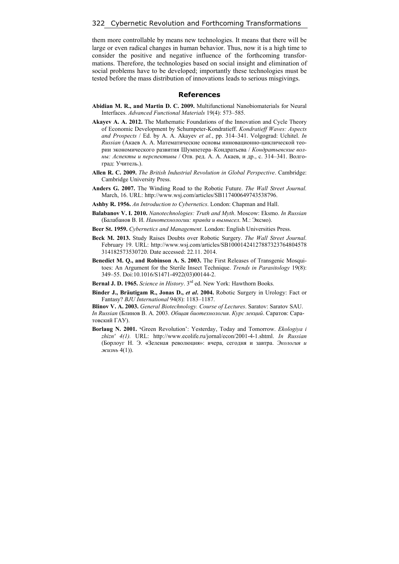them more controllable by means new technologies. It means that there will be large or even radical changes in human behavior. Thus, now it is a high time to consider the positive and negative influence of the forthcoming transformations. Therefore, the technologies based on social insight and elimination of social problems have to be developed; importantly these technologies must be tested before the mass distribution of innovations leads to serious misgivings.

#### **References**

- **Abidian M. R., and Martin D. C. 2009.** Multifunctional Nanobiomaterials for Neural Interfaces. *Advanced Functional Materials* 19(4): 573–585.
- **Akayev A. A. 2012.** The Mathematic Foundations of the Innovation and Cycle Theory of Economic Development by Schumpeter-Kondratieff. *Kondratieff Waves: Aspects and Prospects* / Ed. by A. A. Akayev *et al.*, pp. 314–341. Volgograd: Uchitel. *In Russian* (Акаев А. А. Математические основы инновационно-циклической теории экономического развития Шумпетера–Кондратьева / *Кондратьевские волны: Аспекты и перспективы* / Отв. ред. А. А. Акаев, и др., c. 314–341. Волгоград: Учитель.).
- **Allen R. C. 2009.** *The British Industrial Revolution in Global Perspective*. Cambridge: Cambridge University Press.
- **Anders G. 2007.** The Winding Road to the Robotic Future. *The Wall Street Journal.*  March, 16. URL: http://www.wsj.com/articles/SB117400649743538796.
- **Ashby R. 1956.** *An Introduction to Cybernetics*. London: Chapman and Hall.
- **Balabanov V. I. 2010.** *Nanotechnologies: Truth and Myth*. Moscow: Eksmo. *In Russian* (Балабанов В. И. *Нанотехнологии: правда и вымысел*. М.: Эксмо).
- **Beer St. 1959.** *Cybernetics and Management*. London: English Universities Press.
- **Beck M. 2013.** Study Raises Doubts over Robotic Surgery. *The Wall Street Journal*. February 19. URL: http://www.wsj.com/articles/SB10001424127887323764804578 314182573530720. Date accessed: 22.11. 2014.
- **Benedict M. Q., and Robinson A. S. 2003.** The First Releases of Transgenic Mosquitoes: An Argument for the Sterile Insect Technique. *Trends in Parasitology* 19(8): 349–55. Doi:10.1016/S1471-4922(03)00144-2.
- **Bernal J. D. 1965.** *Science in History*. 3rd ed. New York: Hawthorn Books.
- **Binder J., Bräutigam R., Jonas D.,** *et al***. 2004.** Robotic Surgery in Urology: Fact or Fantasy? *BJU International* 94(8): 1183–1187.

**Blinov V. A. 2003.** *General Biotechnology. Course of Lectures*. Saratov: Saratov SAU.

- *In Russian* (Блинов В. А. 2003. *Общая биотехнология*. *Курс лекций*. Саратов: Саратовский ГАУ).
- **Borlaug N. 2001. '**Green Revolution': Yesterday, Today and Tomorrow. *Ekologiya i zhizn' 4(1).* URL: http://www.ecolife.ru/jornal/econ/2001-4-1.shtml. *In Russian* (Борлоуг Н. Э. **«**Зеленая революция»: вчера, сегодня и завтра. *Экология и жизнь* 4(1)).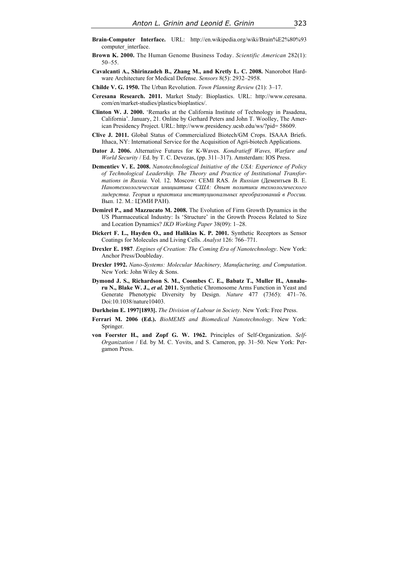- **Brain-Computer Interface.** URL: http://en.wikipedia.org/wiki/Brain%E2%80%93 computer interface.
- **Brown K. 2000.** The Human Genome Business Today. *Scientific American* 282(1): 50–55.
- **Cavalcanti A., Shirinzadeh B., Zhang M., and Kretly L. C. 2008.** Nanorobot Hardware Architecture for Medical Defense. *Sensors* 8(5): 2932–2958.
- **Childe V. G. 1950.** The Urban Revolution. *Town Planning Review* (21): 3–17.
- **Ceresana Research. 2011.** Market Study: Bioplastics. URL: http://www.ceresana. com/en/market-studies/plastics/bioplastics/.
- **Clinton W. J. 2000.** 'Remarks at the California Institute of Technology in Pasadena, California'. January, 21. Online by Gerhard Peters and John T. Woolley, The American Presidency Project. URL: http://www.presidency.ucsb.edu/ws/?pid= 58609.
- **Clive J. 2011.** Global Status of Commercialized Biotech/GM Crops. ISAAA Briefs. Ithaca, NY: International Service for the Acquisition of Agri-biotech Applications.
- **Dator J. 2006.** Alternative Futures for K-Waves. *Kondratieff Waves, Warfare and World Security* / Ed. by T. C. Devezas, (pp. 311–317). Amsterdam: IOS Press.
- **Dementiev V. E. 2008.** *Nanotechnological Initiative of the USA: Experience of Policy of Technological Leadership. The Theory and Practice of Institutional Transformations in Russia.* Vol. 12. Мoscow: CEMI RAS. *In Russian* (Дементьев В. Е. *Нанотехнологическая инициатива США: Опыт политики технологического лидерства*. *Теория и практика институциональных преобразований в России.* Вып. 12. М.: ЦЭМИ РАН).
- **Demirel P., and Mazzucato M. 2008.** The Evolution of Firm Growth Dynamics in the US Pharmaceutical Industry: Is 'Structure' in the Growth Process Related to Size and Location Dynamics? *IKD Working Paper* 38(09): 1–28.
- **Dickert F. L., Hayden O., and Halikias K. P. 2001.** Synthetic Receptors as Sensor Coatings for Molecules and Living Cells. *Analyst* 126: 766–771.
- **Drexler E. 1987**. *Engines of Creation: The Coming Era of Nanotechnology*. New York: Anchor Press/Doubleday.
- **Drexler 1992.** *Nano-Systems: Molecular Machinery, Manufacturing, and Computation*. New York: John Wiley & Sons.
- **Dymond J. S., Richardson S. M., Coombes C. E., Babatz T., Muller H., Annaluru N., Blake W. J.,** *et al.* **2011.** Synthetic Chromosome Arms Function in Yeast and Generate Phenotypic Diversity by Design. *Nature* 477 (7365): 471–76. Doi:10.1038/nature10403.
- **Durkheim E. 1997[1893].** *The Division of Labour in Society*. New York: Free Press.
- **Ferrari M. 2006 (Ed.).** *BioMEMS and Biomedical Nanotechnology*. New York: Springer.
- **von Foerster H., and Zopf G. W. 1962.** Principles of Self-Organization. *Self-Organization* / Ed. by M. C. Yovits, and S. Cameron, pp. 31–50. New York: Pergamon Press.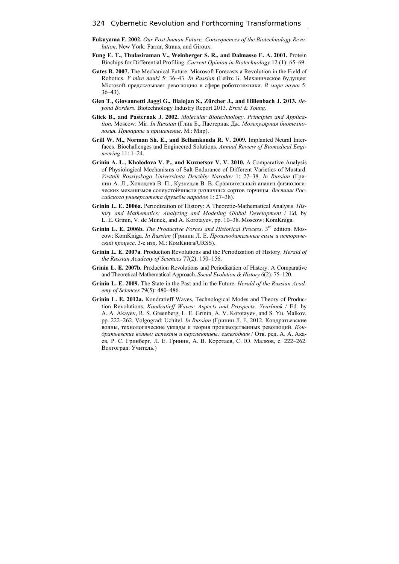- **Fukuyama F. 2002.** *Our Post-human Future: Consequences of the Biotechnology Revolution*. New York: Farrar, Straus, and Giroux.
- **Fung E. T., Thulasiraman V., Weinberger S. R., and Dalmasso E. A. 2001.** Protein Biochips for Differential Profiling. *Current Opinion in Biotechnology* 12 (1): 65–69.
- **Gates B. 2007.** The Mechanical Future: Microsoft Forecasts a Revolution in the Field of Robotics. *V mire nauki* 5: 36–43. *In Russian* (Гейтс Б. Механическое будущее: Microsoft предсказывает революцию в сфере робототехники. *В мире науки* 5: 36–43).
- **Glen T., Giovannetti Jaggi G., Bialojan S., Zürcher J., and Hillenbach J. 2013.** *Beyond Borders.* Biotechnology Industry Report 2013. *Ernst & Young.*
- **Glick B., and Pasternak J. 2002.** *Molecular Biotechnology*. *Principles and Application***.** Мoscow: Mir. *In Russian* (Глик Б., Пастернак Дж. *Молекулярная биотехнология. Принципы и применение*. М.: Мир).
- **Grill W. M., Norman Sh. E., and Bellamkonda R. V. 2009.** Implanted Neural Interfaces: Biochallenges and Engineered Solutions. *Annual Review of Biomedical Engineering* 11: 1–24.
- Grinin A. L., Kholodova V. P., and Kuznetsov V. V. 2010. A Comparative Analysis of Physiological Mechanisms of Salt-Endurance of Different Varieties of Mustard. *Vestnik Rossiyskogo Universiteta Druzhby Narodov* 1: 27–38. *In Russian* (Гринин А. Л., Холодова В. П., Кузнецов В. В. Сравнительный анализ физиологических механизмов солеустойчивсти различных сортов горчицы. *Вестник Российского университета дружбы народов* 1: 27–38).
- **Grinin L. E. 2006a.** Periodization of History: A Theoretic-Mathematical Analysis. *History and Mathematics: Analyzing and Modeling Global Development* / Ed. by L. E. Grinin, V. de Munck, and A. Korotayev, pp. 10–38. Moscow: KomKniga.
- **Grinin L. E. 2006b.** *The Productive Forces and Historical Process*. 3rd edition. Moscow: KomKniga. *In Russian* (Гринин Л. Е. *Производительные силы и исторический процесс*. 3-е изд. М.: КомКнига/URSS).
- **Grinin L. E. 2007a**. Production Revolutions and the Periodization of History. *Herald of the Russian Academy of Sciences* 77(2): 150–156.
- **Grinin L. E. 2007b.** Production Revolutions and Periodization of History: A Comparative and Theoretical-Mathematical Approach. *Social Evolution & History* 6(2): 75–120.
- **Grinin L. E. 2009.** The State in the Past and in the Future. *Herald of the Russian Academy of Sciences* 79(5): 480–486.
- **Grinin L. E. 2012a.** Kondratieff Waves, Technological Modes and Theory of Production Revolutions. *Kondratieff Waves: Aspects and Prospects: Yearbook* / Ed. by A. А. Akayev, R. S. Greenberg, L. E. Grinin, A. V. Korotayev, and S. Yu. Malkov, pp. 222–262. Volgograd: Uchitel. *In Russian* (Гринин Л. Е. 2012. Кондратьевские волны, технологические уклады и теория производственных революций. *Кондратьевские волны: аспекты и перспективы: ежегодник* / Отв. ред. А. А. Акаев, Р. С. Гринберг, Л. Е. Гринин, А. В. Коротаев, С. Ю. Малков, с. 222–262. Волгоград: Учитель.)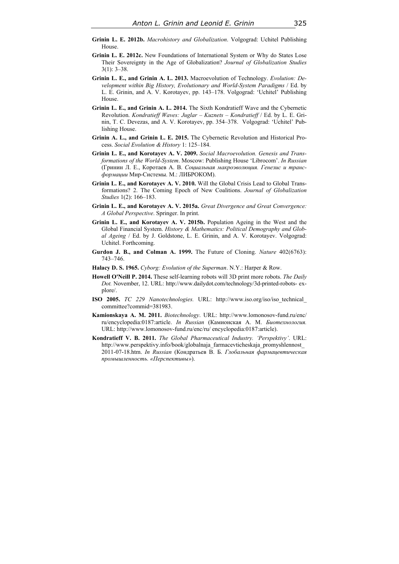- **Grinin L. E. 2012b.** *Macrohistory and Globalization*. Volgograd: Uchitel Publishing House.
- **Grinin L. E. 2012c.** New Foundations of International System or Why do States Lose Their Sovereignty in the Age of Globalization? *Journal of Globalization Studies* 3(1): 3–38.
- **Grinin L. E., and Grinin A. L. 2013.** Macroevolution of Technology. *Evolution: Development within Big History, Evolutionary and World-System Paradigms* / Ed. by L. E. Grinin, and A. V. Korotayev, pp. 143–178. Volgograd: 'Uchitel' Publishing House.
- **Grinin L. E., and Grinin A. L. 2014.** The Sixth Kondratieff Wave and the Cybernetic Revolution. *Kondratieff Waves: Juglar – Kuznets – Kondratieff* / Ed. by L. E. Grinin, T. C. Devezas, and A. V. Korotayev, pp. 354–378. Volgograd: 'Uchitel' Publishing House.
- **Grinin A. L., and Grinin L. E. 2015.** The Cybernetic Revolution and Historical Process. *Social Evolution & History* 1: 125–184.
- **Grinin L. E., and Korotayev A. V. 2009.** *Social Macroevolution. Genesis and Transformations of the World-System*. Moscow: Publishing House 'Librocom'. *In Russian* (Гринин Л. Е., Коротаев А. В. *Социальная макроэволюция. Генезис и трансформации* Мир-Системы. М.: ЛИБРОКОМ).
- **Grinin L. E., and Korotayev A. V. 2010.** Will the Global Crisis Lead to Global Transformations? 2. The Coming Epoch of New Coalitions. *Journal of Globalization Studies* 1(2): 166–183.
- **Grinin L. E., and Korotayev A. V. 2015a.** *Great Divergence and Great Convergence: A Global Perspective*. Springer. In print.
- **Grinin L. E., and Korotayev A. V. 2015b.** Population Ageing in the West and the Global Financial System. *History & Mathematics: Political Demography and Global Ageing* / Ed. by J. Goldstone, L. E. Grinin, and A. V. Korotayev. Volgograd: Uchitel. Forthcoming.
- **Gurdon J. B., and Colman A. 1999.** The Future of Cloning. *Nature* 402(6763): 743–746.
- **Halacy D. S. 1965.** *Cyborg: Evolution of the Superman*. N.Y.: Harper & Row.
- **Howell O'Neill P. 2014.** These self-learning robots will 3D print more robots. *The Daily Dot.* November, 12. URL: http://www.dailydot.com/technology/3d-printed-robots- explore/.
- **ISO 2005.** *TC 229 Nanotechnologies.* URL: http://www.iso.org/iso/iso\_technical\_ committee?commid=381983.
- **Kamionskaya A. M. 2011.** *Biotechnology*. URL: http://www.lomonosov-fund.ru/enc/ ru/encyclopedia:0187:article. *In Russian* (Камионская А. М. *Биотехнология.* URL: http://www.lomonosov-fund.ru/enc/ru/ encyclopedia:0187:article).
- **Kondratieff V. B. 2011.** *The Global Pharmaceutical Industry. 'Perspektivy'*. URL: http://www.perspektivy.info/book/globalnaja\_farmacevticheskaja\_promyshlennost\_ 2011-07-18.htm. *In Russian* (Кондратьев В. Б. *Глобальная фармацевтическая промышленность. «Перспективы»*).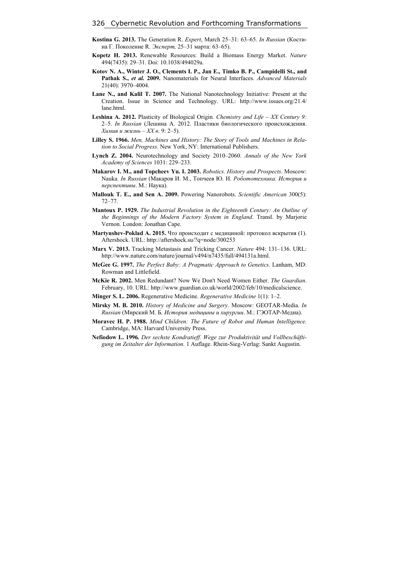- **Kostina G. 2013.** The Generation R. *Expert*, March 25–31: 63–65. *In Russian* (Костина Г. Поколение R. *Эксперт,* 25–31 марта: 63–65).
- **Kopetz H. 2013.** Renewable Resources: Build a Biomass Energy Market. *Nature*  494(7435): 29–31. Doi: 10.1038/494029a.
- **Kotov N. A., Winter J. O., Clements I. P., Jan E., Timko B. P., Campidelli St., and Pathak S.,** *et al.* **2009.** Nanomaterials for Neural Interfaces. *Advanced Materials* 21(40): 3970–4004.
- **Lane N., and Kalil T. 2007.** The National Nanotechnology Initiative: Present at the Creation. Issue in Science and Technology. URL: http://www.issues.org/21.4/ lane.html.
- **Leshina A. 2012.** Plasticity of Biological Origin*. Chemistry and Life XX Century 9:*  2–5. *In Russian* (Лешина А. 2012. Пластики биологического происхождения. *Химия и жизнь – XX в*. 9: 2–5).
- **Lilley S. 1966.** *Men, Machines and History: The Story of Tools and Machines in Relation to Social Progress*. New York, NY: International Publishers.
- **Lynch Z. 2004.** Neurotechnology and Society 2010–2060. *Annals of the New York Academy of Sciences* 1031: 229–233.
- **Makarov I. M., and Topcheev Yu. I. 2003.** *Robotics. History and Prospects*. Moscow: Nauka. *In Russian* (Макаров И. М., Топчеев Ю. И. *Робототехника. История и перспективы*. М.: Наука).
- **Mallouk T. E., and Sen A. 2009.** Powering Nanorobots. *Scientific American* 300(5): 72–77.
- **Mantoux P. 1929.** *The Industrial Revolution in the Eighteenth Century: An Outline of the Beginnings of the Modern Factory System in England*. Transl. by Marjorie Vernon. London: Jonathan Cape.
- **Martyushev-Poklad A. 2015.** Что происходит с медициной: протокол вскрытия (1). Aftershock. URL: http://aftershock.su/?q=node/300253
- **Marx V. 2013.** Tracking Metastasis and Tricking Cancer. *Nature* 494: 131–136. URL: http://www.nature.com/nature/journal/v494/n7435/full/494131a.html.
- **McGee G. 1997.** *The Perfect Baby: A Pragmatic Approach to Genetics*. Lanham, MD: Rowman and Littlefield.
- **McKie R. 2002.** Men Redundant? Now We Don't Need Women Either. *The Guardian*. February, 10. URL: http://www.guardian.co.uk/world/2002/feb/10/medicalscience.
- **Minger S. L. 2006.** Regenerative Medicine. *Regenerative Medicine* 1(1): 1–2.
- **Mirsky M. B. 2010.** *History of Medicine and Surgery*. Moscow: GEOTAR-Media. *In Russian* (Мирский М. Б. *История медицины и хирургии*. М.: ГЭОТАР-Медиа).
- **Moravec H. P. 1988.** *Mind Children: The Future of Robot and Human Intelligence.* Cambridge, MA: Harvard University Press.
- **Nefiodow L. 1996***. Der sechste Kondratieff. Wege zur Produktivität und Vollbeschäftigung im Zeitalter der Information.* 1 Auflage. Rhein-Sieg-Verlag: Sankt Augustin.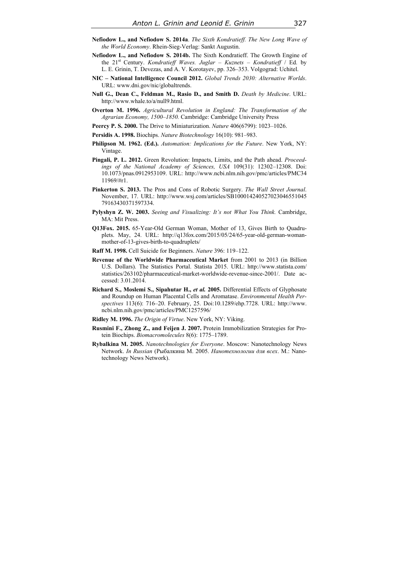- **Nefiodow L., and Nefiodow S. 2014a**. *The Sixth Kondratieff. The New Long Wave of the World Economy*. Rhein-Sieg-Verlag: Sankt Augustin.
- **Nefiodow L., and Nefiodow S. 2014b.** The Sixth Kondratieff. The Growth Engine of the 21st Century. *Kondratieff Waves. Juglar – Kuznets – Kondratieff* / Ed. by L. E. Grinin, T. Devezas, and A. V. Korotayev, pp. 326–353. Volgograd: Uchitel.
- **NIC National Intelligence Council 2012.** *Global Trends 2030: Alternative Worlds*. URL: www.dni.gov/nic/globaltrends.
- **Null G., Dean C., Feldman M., Rasio D., and Smith D.** *Death by Medicine*. URL: http://www.whale.to/a/null9.html.
- **Overton M. 1996.** *Agricultural Revolution in England: The Transformation of the Agrarian Economy, 1500–1850.* Cambridge: Cambridge University Press
- **Peercy P. S. 2000.** The Drive to Miniaturization. *Nature* 406(6799): 1023–1026.
- **Persidis A. 1998.** Biochips. *Nature Biotechnology* 16(10): 981–983.
- **Philipson M. 1962. (Ed.).** *Automation: Implications for the Future*. New York, NY: Vintage.
- **Pingali, P. L. 2012.** Green Revolution: Impacts, Limits, and the Path ahead. *Proceedings of the National Academy of Sciences, USA* 109(31): 12302–12308. Doi: 10.1073/pnas.0912953109. URL: http://www.ncbi.nlm.nih.gov/pmc/articles/PMC34 11969/#r1.
- **Pinkerton S. 2013.** The Pros and Cons of Robotic Surgery. *The Wall Street Journal*. November, 17. URL: http://www.wsj.com/articles/SB100014240527023046551045 79163430371597334.
- **Pylyshyn Z. W. 2003.** *Seeing and Visualizing: It's not What You Think.* Cambridge, MA: Mit Press.
- **Q13Fox. 2015.** 65-Year-Old German Woman, Mother of 13, Gives Birth to Quadruplets. May, 24. URL: http://q13fox.com/2015/05/24/65-year-old-german-womanmother-of-13-gives-birth-to-quadruplets/
- **Raff M. 1998.** Cell Suicide for Beginners. *Nature* 396: 119–122.
- **Revenue of the Worldwide Pharmaceutical Market** from 2001 to 2013 (in Billion U.S. Dollars). The Statistics Portal. Statista 2015. URL: http://www.statista.com/ statistics/263102/pharmaceutical-market-worldwide-revenue-since-2001/. Date accessed: 3.01.2014.
- **Richard S., Moslemi S., Sipahutar H.,** *et al.* **2005.** Differential Effects of Glyphosate and Roundup on Human Placental Cells and Aromatase. *Environmental Health Perspectives* 113(6): 716–20. February, 25. Doi:10.1289/ehp.7728. URL: http://www. ncbi.nlm.nih.gov/pmc/articles/PMC1257596/
- **Ridley M. 1996.** *The Origin of Virtue*. New York, NY: Viking.
- **Rusmini F., Zhong Z., and Feijen J. 2007.** Protein Immobilization Strategies for Protein Biochips. *Biomacromolecules* 8(6): 1775–1789.
- **Rybalkina M. 2005.** *Nanotechnologies for Everyone*. Moscow: Nanotechnology News Network. *In Russian* (Рыбалкина М. 2005. *Нанотехнологии для всех*. М.: Nanotechnology News Network).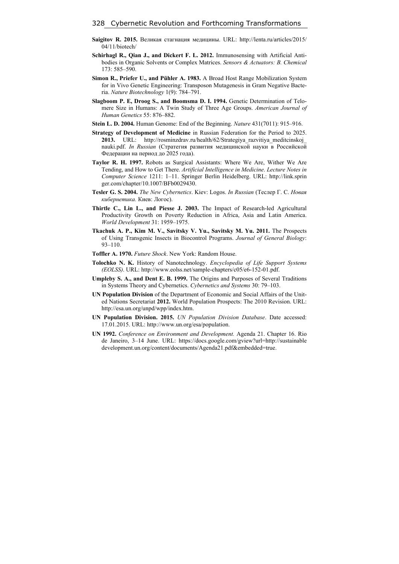- **Saigitov R. 2015.** Великая стагнация медицины. URL: http://lenta.ru/articles/2015/ 04/11/biotech/
- **Schirhagl R., Qian J., and Dickert F. L. 2012.** Immunosensing with Artificial Antibodies in Organic Solvents or Complex Matrices. *Sensors & Actuators: B. Chemical* 173: 585–590.
- **Simon R., Priefer U., and Pühler A. 1983.** A Broad Host Range Mobilization System for in Vivo Genetic Engineering: Transposon Mutagenesis in Gram Negative Bacteria. *Nature Biotechnology* 1(9): 784–791.
- **Slagboom P. Е, Droog S., and Boomsma D. I. 1994.** Genetic Determination of Telomere Size in Humans: A Twin Study of Three Age Groups. *American Journal of Human Genetics* 55: 876–882.
- **Stein L. D. 2004.** Human Genome: End of the Beginning. *Nature* 431(7011): 915–916.
- **Strategy of Development of Medicine** in Russian Federation for the Period to 2025. **2013.** URL: http://rosminzdrav.ru/health/62/Strategiya\_razvitiya\_meditcinskoj\_ nauki.pdf. *In Russian* (Стратегия развития медицинской науки в Российской Федерации на период до 2025 года).
- **Taylor R. H. 1997.** Robots as Surgical Assistants: Where We Are, Wither We Are Tending, and How to Get There. *Artificial Intelligence in Medicine*. *Lecture Notes in Computer Science* 1211: 1–11. Springer Berlin Heidelberg. URL: http://link.sprin ger.com/chapter/10.1007/BFb0029430.
- **Tesler G. S. 2004.** *The New Cybernetics*. Kiev: Logos. *In Russian* (Теслер Г. С. *Новая кибернетика.* Киев: Логос).
- **Thirtle C., Lin L., and Piesse J. 2003.** The Impact of Research-led Agricultural Productivity Growth on Poverty Reduction in Africa, Asia and Latin America. *World Development* 31: 1959–1975.
- **Tkachuk A. P., Kim M. V., Savitsky V. Yu., Savitsky M. Yu. 2011.** The Prospects of Using Transgenic Insects in Biocontrol Programs. *Journal of General Biology*: 93–110.
- **Toffler A. 1970.** *Future Shock*. New York: Random House.
- **Tolochko N. K.** History of Nanotechnology. *Encyclopedia of Life Support Systems (EOLSS)*. URL: http://www.eolss.net/sample-chapters/c05/e6-152-01.pdf.
- **Umpleby S. A., and Dent E. B. 1999.** The Origins and Purposes of Several Traditions in Systems Theory and Cybernetics. *Cybernetics and Systems* 30: 79–103.
- **UN Population Division** of the Department of Economic and Social Affairs of the United Nations Secretariat **2012.** World Population Prospects: The 2010 Revision. URL: http://esa.un.org/unpd/wpp/index.htm.
- **UN Population Division. 2015.** *UN Population Division Database*. Date accessed: 17.01.2015. URL: http://www.un.org/esa/population.
- **UN 1992.** *Conference on Environment and Development.* Agenda 21. Chapter 16. Rio de Janeiro, 3–14 June. URL: https://docs.google.com/gview?url=http://sustainable development.un.org/content/documents/Agenda21.pdf&embedded=true.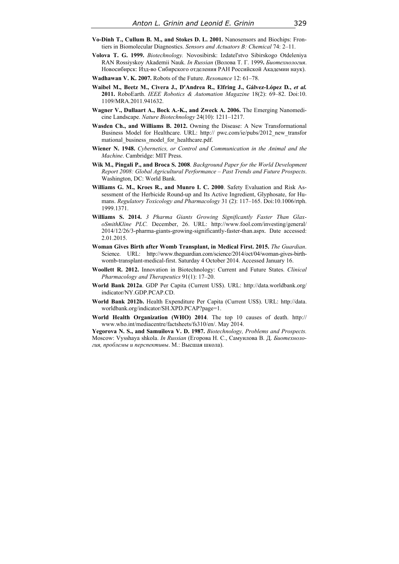- **Vo-Dinh T., Cullum B. M., and Stokes D. L. 2001.** Nanosensors and Biochips: Frontiers in Biomolecular Diagnostics. *Sensors and Actuators B: Chemical* 74: 2–11.
- **Volova T. G. 1999.** *Biotechnology.* Novosibirsk: Izdatel'stvo Sibirskogo Otdeleniya RAN Rossiyskoy Akademii Nauk. *In Russian* (Волова Т. Г. 1999**.** *Биотехнология*. Новосибирск: Изд-во Сибирского отделения РАН Российской Академии наук).
- **Wadhawan V. K. 2007.** Robots of the Future. *Resonance* 12: 61–78.
- **Waibel M., Beetz M., Civera J., D'Andrea R., Elfring J., Gálvez-López D***.***,** *et al.* **2011.** RoboEarth. *IEEE Robotics & Automation Magazine* 18(2): 69–82. Doi:10. 1109/MRA.2011.941632.
- **Wagner V., Dullaart A., Bock A.-K., and Zweck A. 2006.** The Emerging Nanomedicine Landscape. *Nature Biotechnology* 24(10): 1211–1217.
- **Wasden Ch., and Williams B. 2012.** Owning the Disease: A New Transformational Business Model for Healthcare. URL: http:// pwc.com/ie/pubs/2012\_new\_transfor mational\_business\_model\_for\_healthcare.pdf.
- **Wiener N. 1948.** *Cybernetics, or Control and Communication in the Animal and the Machine*. Cambridge: MIT Press.
- **Wik M., Pingali P., and Broca S. 2008**. *Background Paper for the World Development Report 2008: Global Agricultural Performance – Past Trends and Future Prospects*. Washington, DC: World Bank.
- **Williams G. M., Kroes R., and Munro I. C. 2000**. Safety Evaluation and Risk Assessment of the Herbicide Round-up and Its Active Ingredient, Glyphosate, for Humans. *Regulatory Toxicology and Pharmacology* 31 (2): 117–165. Doi:10.1006/rtph. 1999.1371.
- **Williams S. 2014.** *3 Pharma Giants Growing Significantly Faster Than GlaxoSmithKline PLC.* December, 26. URL: http://www.fool.com/investing/general/ 2014/12/26/3-pharma-giants-growing-significantly-faster-than.aspx. Date accessed: 2.01.2015.
- **Woman Gives Birth after Womb Transplant, in Medical First. 2015.** *The Guardian*. Science. URL: http://www.theguardian.com/science/2014/oct/04/woman-gives-birthwomb-transplant-medical-first. Saturday 4 October 2014. Accessed January 16.
- **Woollett R. 2012.** Innovation in Biotechnology: Current and Future States. *Clinical Pharmacology and Therapeutics* 91(1): 17–20.
- **World Bank 2012a**. GDP Per Capita (Current US\$). URL: http://data.worldbank.org/ indicator/NY.GDP.PCAP.CD.
- **World Bank 2012b.** Health Expenditure Per Capita (Current US\$). URL: http://data. worldbank.org/indicator/SH.XPD.PCAP?page=1.
- **World Health Organization (WHO) 2014**. The top 10 causes of death. http:// www.who.int/mediacentre/factsheets/fs310/en/. May 2014.

**Yegorova N. S., and Samuilova V. D. 1987.** *Biotechnology, Problems and Prospects.* Moscow: Vysshaya shkola. *In Russian* (Егорова Н. С., Самуилова В. Д. *Биотехнология, проблемы и перспективы*. М.: Высшая школа).